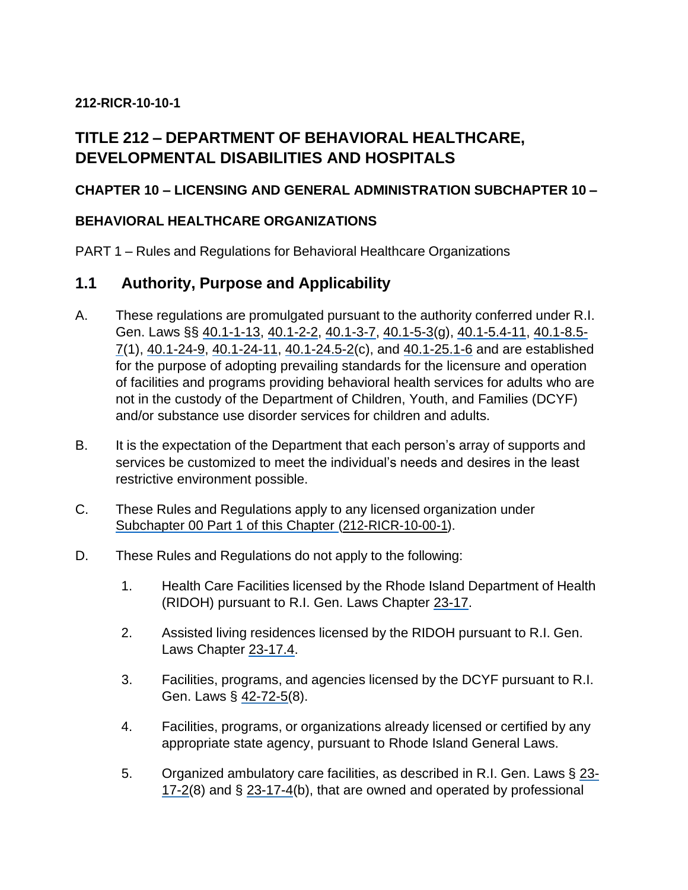# **212-RICR-10-10-1**

# **TITLE 212 – DEPARTMENT OF BEHAVIORAL HEALTHCARE, DEVELOPMENTAL DISABILITIES AND HOSPITALS**

# **CHAPTER 10 – LICENSING AND GENERAL ADMINISTRATION SUBCHAPTER 10 –**

# **BEHAVIORAL HEALTHCARE ORGANIZATIONS**

PART 1 – Rules and Regulations for Behavioral Healthcare Organizations

# **1.1 Authority, Purpose and Applicability**

- A. These regulations are promulgated pursuant to the authority conferred under R.I. Gen. Laws §§ 40.1-1-13, 40.1-2-2, 40.1-3-7, 40.1-5-3(g), 40.1-5.4-11, 40.1-8.5- 7(1), 40.1-24-9, 40.1-24-11, 40.1-24.5-2(c), and 40.1-25.1-6 and are established for the purpose of adopting prevailing standards for the licensure and operation of facilities and programs providing behavioral health services for adults who are not in the custody of the Department of Children, Youth, and Families (DCYF) and/or substance use disorder services for children and adults.
- B. It is the expectation of the Department that each person's array of supports and services be customized to meet the individual's needs and desires in the least restrictive environment possible.
- C. These Rules and Regulations apply to any licensed organization under Subchapter 00 Part 1 of this Chapter (212-RICR-10-00-1).
- D. These Rules and Regulations do not apply to the following:
	- 1. Health Care Facilities licensed by the Rhode Island Department of Health (RIDOH) pursuant to R.I. Gen. Laws Chapter 23-17.
	- 2. Assisted living residences licensed by the RIDOH pursuant to R.I. Gen. Laws Chapter 23-17.4.
	- 3. Facilities, programs, and agencies licensed by the DCYF pursuant to R.I. Gen. Laws § 42-72-5(8).
	- 4. Facilities, programs, or organizations already licensed or certified by any appropriate state agency, pursuant to Rhode Island General Laws.
	- 5. Organized ambulatory care facilities, as described in R.I. Gen. Laws § 23- 17-2(8) and § 23-17-4(b), that are owned and operated by professional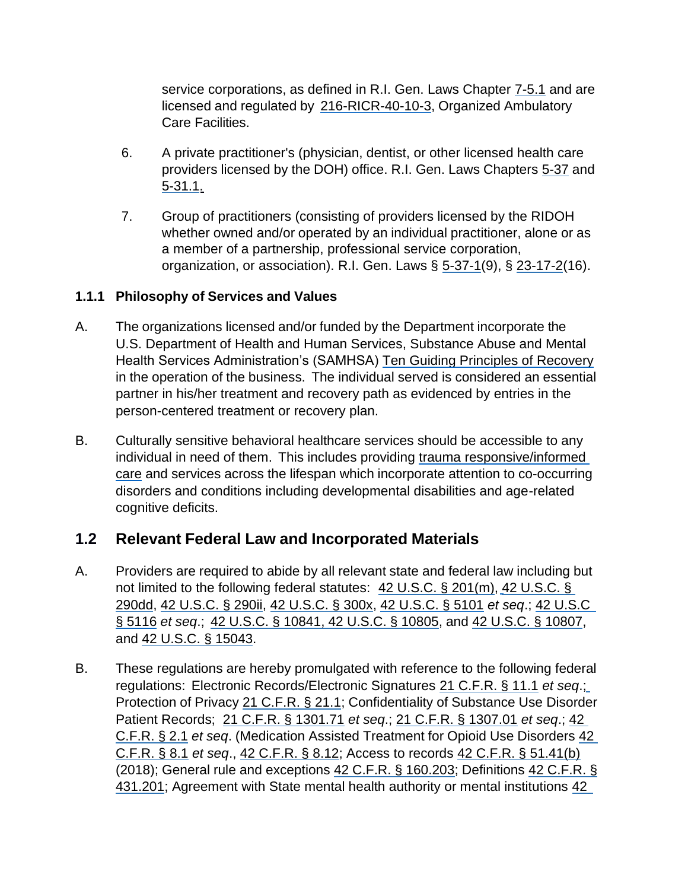service corporations, as defined in R.I. Gen. Laws Chapter 7-5.1 and are licensed and regulated by 216-RICR-40-10-3, Organized Ambulatory Care Facilities.

- 6. A private practitioner's (physician, dentist, or other licensed health care providers licensed by the DOH) office. R.I. Gen. Laws Chapters 5-37 and 5-31.1.
- 7. Group of practitioners (consisting of providers licensed by the RIDOH whether owned and/or operated by an individual practitioner, alone or as a member of a partnership, professional service corporation, organization, or association). R.I. Gen. Laws § 5-37-1(9), § 23-17-2(16).

# **1.1.1 Philosophy of Services and Values**

- A. The organizations licensed and/or funded by the Department incorporate the U.S. Department of Health and Human Services, Substance Abuse and Mental Health Services Administration's (SAMHSA) Ten Guiding Principles of Recovery in the operation of the business. The individual served is considered an essential partner in his/her treatment and recovery path as evidenced by entries in the person-centered treatment or recovery plan.
- B. Culturally sensitive behavioral healthcare services should be accessible to any individual in need of them. This includes providing trauma responsive/informed care and services across the lifespan which incorporate attention to co-occurring disorders and conditions including developmental disabilities and age-related cognitive deficits.

# **1.2 Relevant Federal Law and Incorporated Materials**

- A. Providers are required to abide by all relevant state and federal law including but not limited to the following federal statutes: 42 U.S.C. § 201(m), 42 U.S.C. § 290dd, 42 U.S.C. § 290ii, 42 U.S.C. § 300x, 42 U.S.C. § 5101 *et seq*.; 42 U.S.C § 5116 *et seq*.; 42 U.S.C. § 10841, 42 U.S.C. § 10805, and 42 U.S.C. § 10807, and 42 U.S.C. § 15043.
- B. These regulations are hereby promulgated with reference to the following federal regulations: Electronic Records/Electronic Signatures 21 C.F.R. § 11.1 *et seq*.; Protection of Privacy 21 C.F.R. § 21.1; Confidentiality of Substance Use Disorder Patient Records; 21 C.F.R. § 1301.71 *et seq*.; 21 C.F.R. § 1307.01 *et seq*.; 42 C.F.R. § 2.1 *et seq*. (Medication Assisted Treatment for Opioid Use Disorders 42 C.F.R. § 8.1 *et seq*., 42 C.F.R. § 8.12; Access to records 42 C.F.R. § 51.41(b) (2018); General rule and exceptions 42 C.F.R. § 160.203; Definitions 42 C.F.R. § 431.201; Agreement with State mental health authority or mental institutions 42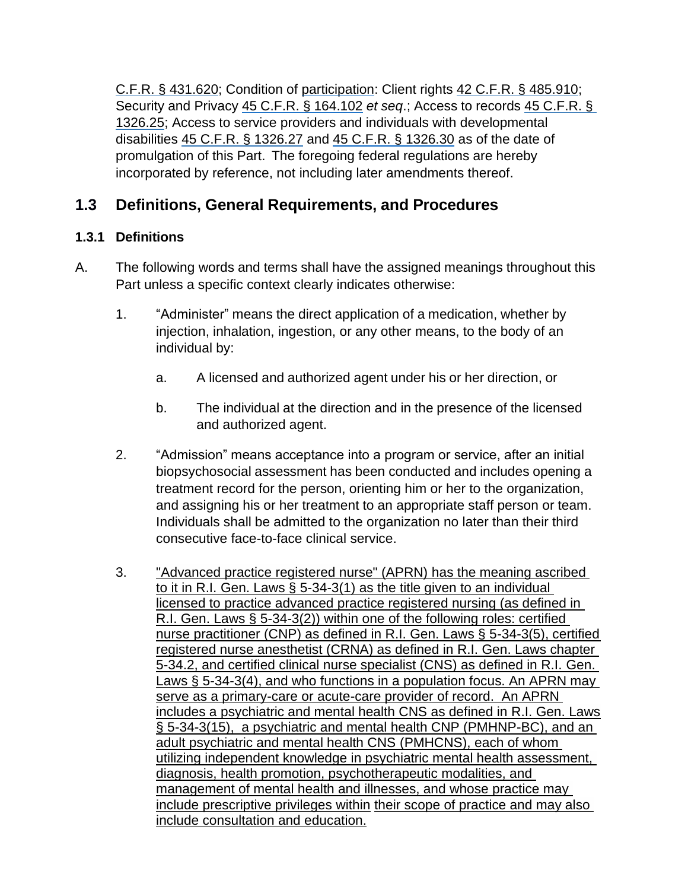C.F.R. § 431.620; Condition of participation: Client rights 42 C.F.R. § 485.910; Security and Privacy 45 C.F.R. § 164.102 *et seq*.; Access to records 45 C.F.R. § 1326.25; Access to service providers and individuals with developmental disabilities 45 C.F.R. § 1326.27 and 45 C.F.R. § 1326.30 as of the date of promulgation of this Part. The foregoing federal regulations are hereby incorporated by reference, not including later amendments thereof.

# **1.3 Definitions, General Requirements, and Procedures**

# **1.3.1 Definitions**

- A. The following words and terms shall have the assigned meanings throughout this Part unless a specific context clearly indicates otherwise:
	- 1. "Administer" means the direct application of a medication, whether by injection, inhalation, ingestion, or any other means, to the body of an individual by:
		- a. A licensed and authorized agent under his or her direction, or
		- b. The individual at the direction and in the presence of the licensed and authorized agent.
	- 2. "Admission" means acceptance into a program or service, after an initial biopsychosocial assessment has been conducted and includes opening a treatment record for the person, orienting him or her to the organization, and assigning his or her treatment to an appropriate staff person or team. Individuals shall be admitted to the organization no later than their third consecutive face-to-face clinical service.
	- 3. "Advanced practice registered nurse" (APRN) has the meaning ascribed to it in R.I. Gen. Laws § 5-34-3(1) as the title given to an individual licensed to practice advanced practice registered nursing (as defined in R.I. Gen. Laws § 5-34-3(2)) within one of the following roles: certified nurse practitioner (CNP) as defined in R.I. Gen. Laws § 5-34-3(5), certified registered nurse anesthetist (CRNA) as defined in R.I. Gen. Laws chapter 5-34.2, and certified clinical nurse specialist (CNS) as defined in R.I. Gen. Laws § 5-34-3(4), and who functions in a population focus. An APRN may serve as a primary-care or acute-care provider of record. An APRN includes a psychiatric and mental health CNS as defined in R.I. Gen. Laws [§ 5-34-3\(15\),](http://webserver.rilin.state.ri.us/Statutes/TITLE5/5-34/5-34-3.HTM) a psychiatric and mental health CNP (PMHNP-BC), and an adult psychiatric and mental health CNS (PMHCNS), each of whom utilizing independent knowledge in psychiatric mental health assessment, diagnosis, health promotion, psychotherapeutic modalities, and management of mental health and illnesses, and whose practice may include prescriptive privileges within their scope of practice and may also include consultation and education.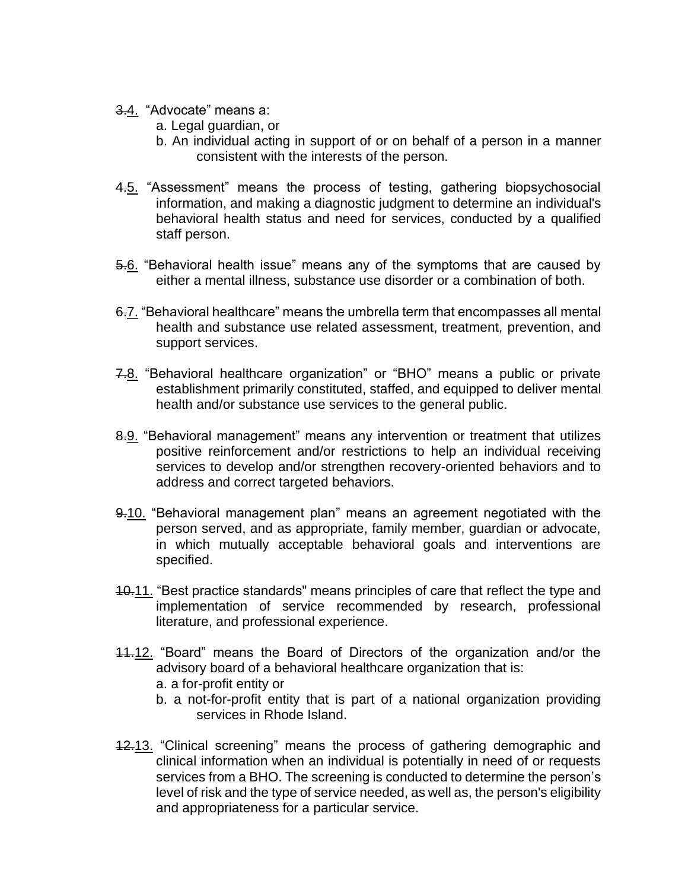- 3.4. "Advocate" means a:
	- a. Legal guardian, or
	- b. An individual acting in support of or on behalf of a person in a manner consistent with the interests of the person.
- 4.5. "Assessment" means the process of testing, gathering biopsychosocial information, and making a diagnostic judgment to determine an individual's behavioral health status and need for services, conducted by a qualified staff person.
- 5.6. "Behavioral health issue" means any of the symptoms that are caused by either a mental illness, substance use disorder or a combination of both.
- 6.7. "Behavioral healthcare" means the umbrella term that encompasses all mental health and substance use related assessment, treatment, prevention, and support services.
- 7.8. "Behavioral healthcare organization" or "BHO" means a public or private establishment primarily constituted, staffed, and equipped to deliver mental health and/or substance use services to the general public.
- 8.9. "Behavioral management" means any intervention or treatment that utilizes positive reinforcement and/or restrictions to help an individual receiving services to develop and/or strengthen recovery-oriented behaviors and to address and correct targeted behaviors.
- 9.10. "Behavioral management plan" means an agreement negotiated with the person served, and as appropriate, family member, guardian or advocate, in which mutually acceptable behavioral goals and interventions are specified.
- 10.11. "Best practice standards" means principles of care that reflect the type and implementation of service recommended by research, professional literature, and professional experience.
- 11.12. "Board" means the Board of Directors of the organization and/or the advisory board of a behavioral healthcare organization that is: a. a for-profit entity or
	- b. a not-for-profit entity that is part of a national organization providing services in Rhode Island.
- 12.13. "Clinical screening" means the process of gathering demographic and clinical information when an individual is potentially in need of or requests services from a BHO. The screening is conducted to determine the person's level of risk and the type of service needed, as well as, the person's eligibility and appropriateness for a particular service.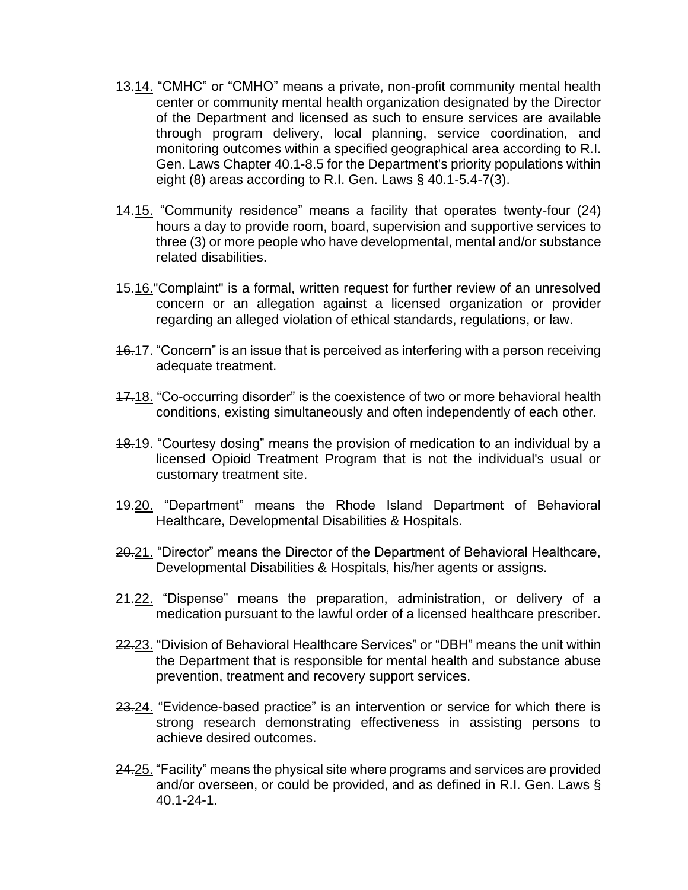- 13.14. "CMHC" or "CMHO" means a private, non-profit community mental health center or community mental health organization designated by the Director of the Department and licensed as such to ensure services are available through program delivery, local planning, service coordination, and monitoring outcomes within a specified geographical area according to R.I. Gen. Laws Chapter 40.1-8.5 for the Department's priority populations within eight (8) areas according to R.I. Gen. Laws § 40.1-5.4-7(3).
- 14.15. "Community residence" means a facility that operates twenty-four (24) hours a day to provide room, board, supervision and supportive services to three (3) or more people who have developmental, mental and/or substance related disabilities.
- 15.16."Complaint" is a formal, written request for further review of an unresolved concern or an allegation against a licensed organization or provider regarding an alleged violation of ethical standards, regulations, or law.
- 16.17. "Concern" is an issue that is perceived as interfering with a person receiving adequate treatment.
- 17.18. "Co-occurring disorder" is the coexistence of two or more behavioral health conditions, existing simultaneously and often independently of each other.
- 18.19. "Courtesy dosing" means the provision of medication to an individual by a licensed Opioid Treatment Program that is not the individual's usual or customary treatment site.
- 19.20. "Department" means the Rhode Island Department of Behavioral Healthcare, Developmental Disabilities & Hospitals.
- 20.21. "Director" means the Director of the Department of Behavioral Healthcare, Developmental Disabilities & Hospitals, his/her agents or assigns.
- 21-22. "Dispense" means the preparation, administration, or delivery of a medication pursuant to the lawful order of a licensed healthcare prescriber.
- 22.23. "Division of Behavioral Healthcare Services" or "DBH" means the unit within the Department that is responsible for mental health and substance abuse prevention, treatment and recovery support services.
- 23.24. "Evidence-based practice" is an intervention or service for which there is strong research demonstrating effectiveness in assisting persons to achieve desired outcomes.
- 24.25. "Facility" means the physical site where programs and services are provided and/or overseen, or could be provided, and as defined in R.I. Gen. Laws § 40.1-24-1.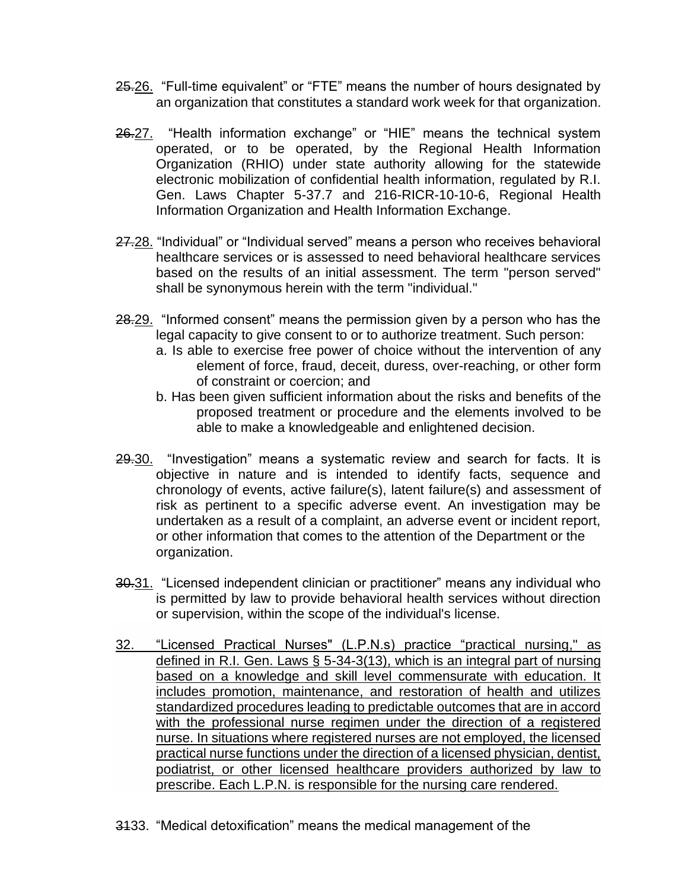- 25.26. "Full-time equivalent" or "FTE" means the number of hours designated by an organization that constitutes a standard work week for that organization.
- 26.27. "Health information exchange" or "HIE" means the technical system operated, or to be operated, by the Regional Health Information Organization (RHIO) under state authority allowing for the statewide electronic mobilization of confidential health information, regulated by R.I. Gen. Laws Chapter 5-37.7 and 216-RICR-10-10-6, Regional Health Information Organization and Health Information Exchange.
- 27.28. "Individual" or "Individual served" means a person who receives behavioral healthcare services or is assessed to need behavioral healthcare services based on the results of an initial assessment. The term "person served" shall be synonymous herein with the term "individual."
- 28.29. "Informed consent" means the permission given by a person who has the legal capacity to give consent to or to authorize treatment. Such person:
	- a. Is able to exercise free power of choice without the intervention of any element of force, fraud, deceit, duress, over-reaching, or other form of constraint or coercion; and
	- b. Has been given sufficient information about the risks and benefits of the proposed treatment or procedure and the elements involved to be able to make a knowledgeable and enlightened decision.
- 29.30. "Investigation" means a systematic review and search for facts. It is objective in nature and is intended to identify facts, sequence and chronology of events, active failure(s), latent failure(s) and assessment of risk as pertinent to a specific adverse event. An investigation may be undertaken as a result of a complaint, an adverse event or incident report, or other information that comes to the attention of the Department or the organization.
- 30.31. "Licensed independent clinician or practitioner" means any individual who is permitted by law to provide behavioral health services without direction or supervision, within the scope of the individual's license.
- 32. "Licensed Practical Nurses" (L.P.N.s) practice "practical nursing," as defined in R.I. Gen. Laws § 5-34-3(13), which is an integral part of nursing based on a knowledge and skill level commensurate with education. It includes promotion, maintenance, and restoration of health and utilizes standardized procedures leading to predictable outcomes that are in accord with the professional nurse regimen under the direction of a registered nurse. In situations where registered nurses are not employed, the licensed practical nurse functions under the direction of a licensed physician, dentist, podiatrist, or other licensed healthcare providers authorized by law to prescribe. Each L.P.N. is responsible for the nursing care rendered.
- 3133. "Medical detoxification" means the medical management of the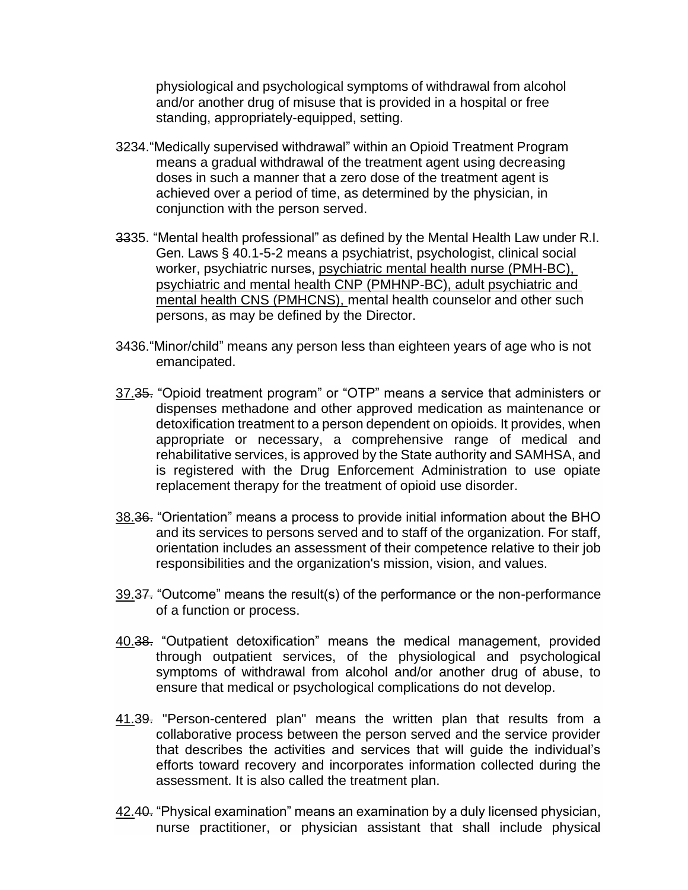physiological and psychological symptoms of withdrawal from alcohol and/or another drug of misuse that is provided in a hospital or free standing, appropriately-equipped, setting.

- 3234."Medically supervised withdrawal" within an Opioid Treatment Program means a gradual withdrawal of the treatment agent using decreasing doses in such a manner that a zero dose of the treatment agent is achieved over a period of time, as determined by the physician, in conjunction with the person served.
- 3335. "Mental health professional" as defined by the Mental Health Law under R.I. Gen. Laws § 40.1-5-2 means a psychiatrist, psychologist, clinical social worker, psychiatric nurses, psychiatric mental health nurse (PMH-BC), psychiatric and mental health CNP (PMHNP-BC), adult psychiatric and mental health CNS (PMHCNS), mental health counselor and other such persons, as may be defined by the Director.
- 3436."Minor/child" means any person less than eighteen years of age who is not emancipated.
- 37.35. "Opioid treatment program" or "OTP" means a service that administers or dispenses methadone and other approved medication as maintenance or detoxification treatment to a person dependent on opioids. It provides, when appropriate or necessary, a comprehensive range of medical and rehabilitative services, is approved by the State authority and SAMHSA, and is registered with the Drug Enforcement Administration to use opiate replacement therapy for the treatment of opioid use disorder.
- 38.36. "Orientation" means a process to provide initial information about the BHO and its services to persons served and to staff of the organization. For staff, orientation includes an assessment of their competence relative to their job responsibilities and the organization's mission, vision, and values.
- 39.37. "Outcome" means the result(s) of the performance or the non-performance of a function or process.
- 40.38. "Outpatient detoxification" means the medical management, provided through outpatient services, of the physiological and psychological symptoms of withdrawal from alcohol and/or another drug of abuse, to ensure that medical or psychological complications do not develop.
- 41.39. "Person-centered plan" means the written plan that results from a collaborative process between the person served and the service provider that describes the activities and services that will guide the individual's efforts toward recovery and incorporates information collected during the assessment. It is also called the treatment plan.
- 42.40. "Physical examination" means an examination by a duly licensed physician, nurse practitioner, or physician assistant that shall include physical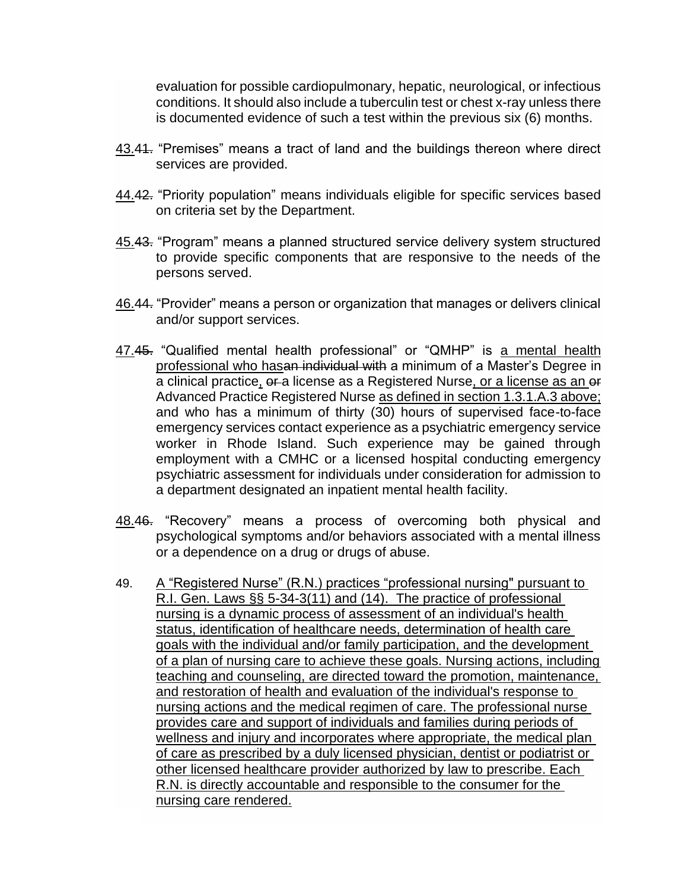evaluation for possible cardiopulmonary, hepatic, neurological, or infectious conditions. It should also include a tuberculin test or chest x-ray unless there is documented evidence of such a test within the previous six (6) months.

- 43.44. "Premises" means a tract of land and the buildings thereon where direct services are provided.
- 44.42. "Priority population" means individuals eligible for specific services based on criteria set by the Department.
- 45.43. "Program" means a planned structured service delivery system structured to provide specific components that are responsive to the needs of the persons served.
- 46.44. "Provider" means a person or organization that manages or delivers clinical and/or support services.
- 47.45. "Qualified mental health professional" or "QMHP" is a mental health professional who hasan individual with a minimum of a Master's Degree in a clinical practice, or a license as a Registered Nurse, or a license as an or Advanced Practice Registered Nurse as defined in section 1.3.1.A.3 above; and who has a minimum of thirty (30) hours of supervised face-to-face emergency services contact experience as a psychiatric emergency service worker in Rhode Island. Such experience may be gained through employment with a CMHC or a licensed hospital conducting emergency psychiatric assessment for individuals under consideration for admission to a department designated an inpatient mental health facility.
- 48.46. "Recovery" means a process of overcoming both physical and psychological symptoms and/or behaviors associated with a mental illness or a dependence on a drug or drugs of abuse.
- 49. A "Registered Nurse" (R.N.) practices "professional nursing" pursuant to R.I. Gen. Laws [§§ 5-34-3\(11\)](http://webserver.rilin.state.ri.us/Statutes/TITLE5/5-34/5-34-3.HTM) and (14). The practice of professional nursing is a dynamic process of assessment of an individual's health status, identification of healthcare needs, determination of health care goals with the individual and/or family participation, and the development of a plan of nursing care to achieve these goals. Nursing actions, including teaching and counseling, are directed toward the promotion, maintenance, and restoration of health and evaluation of the individual's response to nursing actions and the medical regimen of care. The professional nurse provides care and support of individuals and families during periods of wellness and injury and incorporates where appropriate, the medical plan of care as prescribed by a duly licensed physician, dentist or podiatrist or other licensed healthcare provider authorized by law to prescribe. Each R.N. is directly accountable and responsible to the consumer for the nursing care rendered.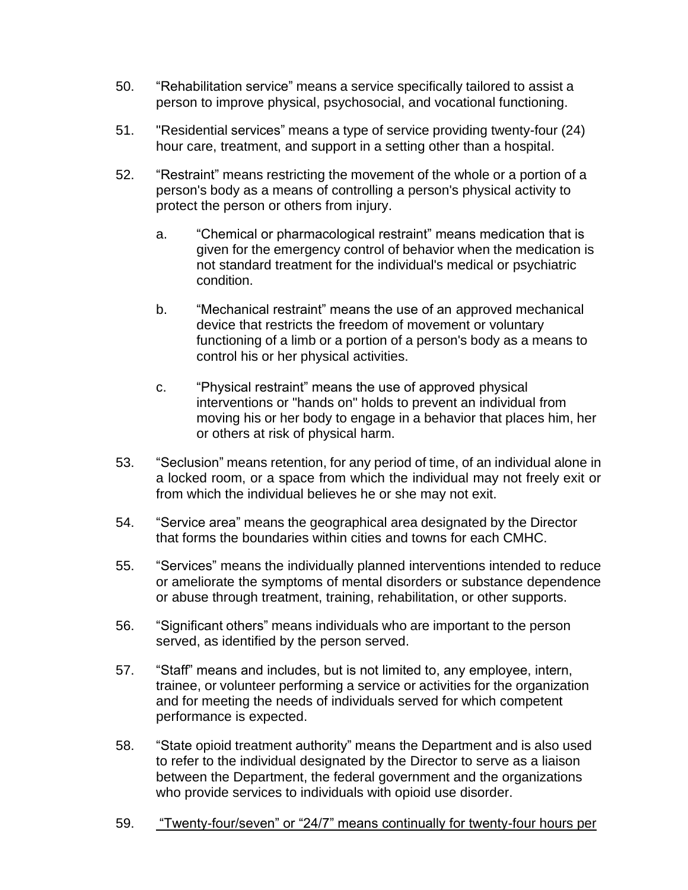- 50. "Rehabilitation service" means a service specifically tailored to assist a person to improve physical, psychosocial, and vocational functioning.
- 51. "Residential services" means a type of service providing twenty-four (24) hour care, treatment, and support in a setting other than a hospital.
- 52. "Restraint" means restricting the movement of the whole or a portion of a person's body as a means of controlling a person's physical activity to protect the person or others from injury.
	- a. "Chemical or pharmacological restraint" means medication that is given for the emergency control of behavior when the medication is not standard treatment for the individual's medical or psychiatric condition.
	- b. "Mechanical restraint" means the use of an approved mechanical device that restricts the freedom of movement or voluntary functioning of a limb or a portion of a person's body as a means to control his or her physical activities.
	- c. "Physical restraint" means the use of approved physical interventions or "hands on" holds to prevent an individual from moving his or her body to engage in a behavior that places him, her or others at risk of physical harm.
- 53. "Seclusion" means retention, for any period of time, of an individual alone in a locked room, or a space from which the individual may not freely exit or from which the individual believes he or she may not exit.
- 54. "Service area" means the geographical area designated by the Director that forms the boundaries within cities and towns for each CMHC.
- 55. "Services" means the individually planned interventions intended to reduce or ameliorate the symptoms of mental disorders or substance dependence or abuse through treatment, training, rehabilitation, or other supports.
- 56. "Significant others" means individuals who are important to the person served, as identified by the person served.
- 57. "Staff" means and includes, but is not limited to, any employee, intern, trainee, or volunteer performing a service or activities for the organization and for meeting the needs of individuals served for which competent performance is expected.
- 58. "State opioid treatment authority" means the Department and is also used to refer to the individual designated by the Director to serve as a liaison between the Department, the federal government and the organizations who provide services to individuals with opioid use disorder.
- 59. "Twenty-four/seven" or "24/7" means continually for twenty-four hours per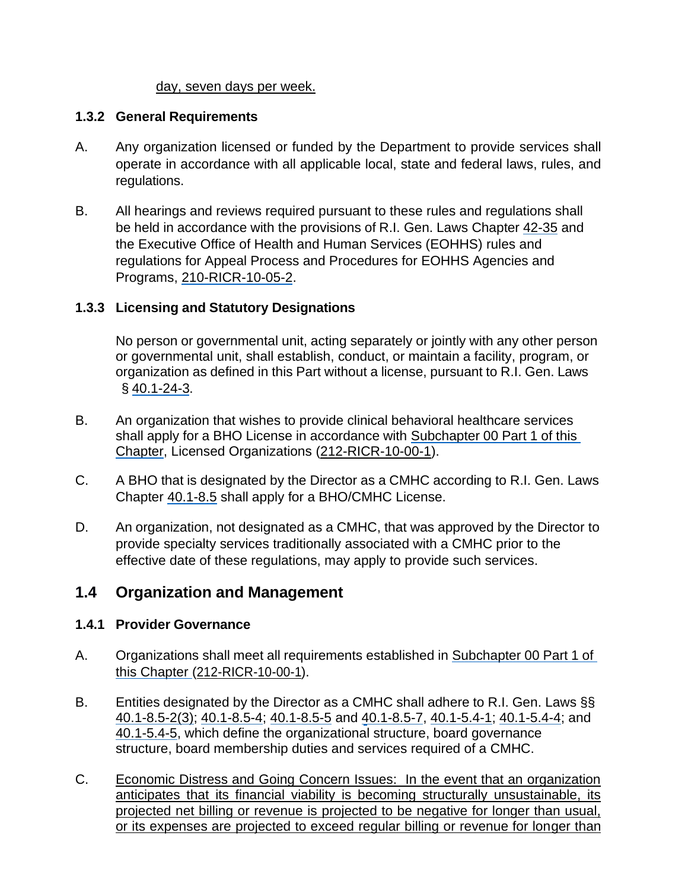#### day, seven days per week.

#### **1.3.2 General Requirements**

- A. Any organization licensed or funded by the Department to provide services shall operate in accordance with all applicable local, state and federal laws, rules, and regulations.
- B. All hearings and reviews required pursuant to these rules and regulations shall be held in accordance with the provisions of R.I. Gen. Laws Chapter 42-35 and the Executive Office of Health and Human Services (EOHHS) rules and regulations for Appeal Process and Procedures for EOHHS Agencies and Programs, 210-RICR-10-05-2.

# **1.3.3 Licensing and Statutory Designations**

No person or governmental unit, acting separately or jointly with any other person or governmental unit, shall establish, conduct, or maintain a facility, program, or organization as defined in this Part without a license, pursuant to R.I. Gen. Laws  $§$  40.1-24-3.

- B. An organization that wishes to provide clinical behavioral healthcare services shall apply for a BHO License in accordance with Subchapter 00 Part 1 of this Chapter, Licensed Organizations (212-RICR-10-00-1).
- C. A BHO that is designated by the Director as a CMHC according to R.I. Gen. Laws Chapter 40.1-8.5 shall apply for a BHO/CMHC License.
- D. An organization, not designated as a CMHC, that was approved by the Director to provide specialty services traditionally associated with a CMHC prior to the effective date of these regulations, may apply to provide such services.

# **1.4 Organization and Management**

#### **1.4.1 Provider Governance**

- A. Organizations shall meet all requirements established in Subchapter 00 Part 1 of this Chapter (212-RICR-10-00-1).
- B. Entities designated by the Director as a CMHC shall adhere to R.I. Gen. Laws §§ 40.1-8.5-2(3); 40.1-8.5-4; 40.1-8.5-5 and 40.1-8.5-7, 40.1-5.4-1; 40.1-5.4-4; and 40.1-5.4-5, which define the organizational structure, board governance structure, board membership duties and services required of a CMHC.
- C. Economic Distress and Going Concern Issues: In the event that an organization anticipates that its financial viability is becoming structurally unsustainable, its projected net billing or revenue is projected to be negative for longer than usual, or its expenses are projected to exceed regular billing or revenue for longer than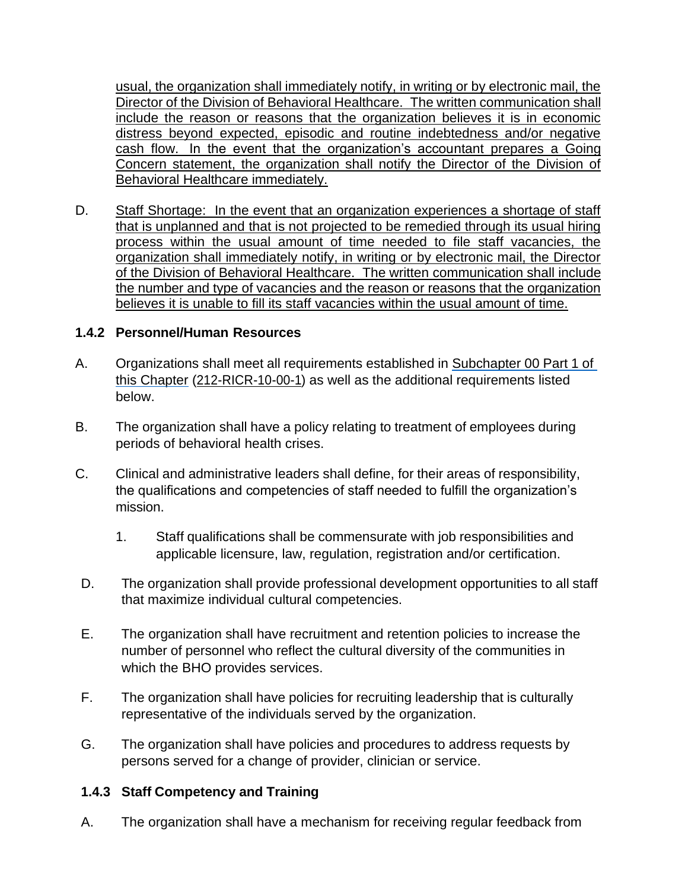usual, the organization shall immediately notify, in writing or by electronic mail, the Director of the Division of Behavioral Healthcare. The written communication shall include the reason or reasons that the organization believes it is in economic distress beyond expected, episodic and routine indebtedness and/or negative cash flow. In the event that the organization's accountant prepares a Going Concern statement, the organization shall notify the Director of the Division of Behavioral Healthcare immediately.

D. Staff Shortage: In the event that an organization experiences a shortage of staff that is unplanned and that is not projected to be remedied through its usual hiring process within the usual amount of time needed to file staff vacancies, the organization shall immediately notify, in writing or by electronic mail, the Director of the Division of Behavioral Healthcare. The written communication shall include the number and type of vacancies and the reason or reasons that the organization believes it is unable to fill its staff vacancies within the usual amount of time.

#### **1.4.2 Personnel/Human Resources**

- A. Organizations shall meet all requirements established in Subchapter 00 Part 1 of this Chapter (212-RICR-10-00-1) as well as the additional requirements listed below.
- B. The organization shall have a policy relating to treatment of employees during periods of behavioral health crises.
- C. Clinical and administrative leaders shall define, for their areas of responsibility, the qualifications and competencies of staff needed to fulfill the organization's mission.
	- 1. Staff qualifications shall be commensurate with job responsibilities and applicable licensure, law, regulation, registration and/or certification.
- D. The organization shall provide professional development opportunities to all staff that maximize individual cultural competencies.
- E. The organization shall have recruitment and retention policies to increase the number of personnel who reflect the cultural diversity of the communities in which the BHO provides services.
- F. The organization shall have policies for recruiting leadership that is culturally representative of the individuals served by the organization.
- G. The organization shall have policies and procedures to address requests by persons served for a change of provider, clinician or service.

# **1.4.3 Staff Competency and Training**

A. The organization shall have a mechanism for receiving regular feedback from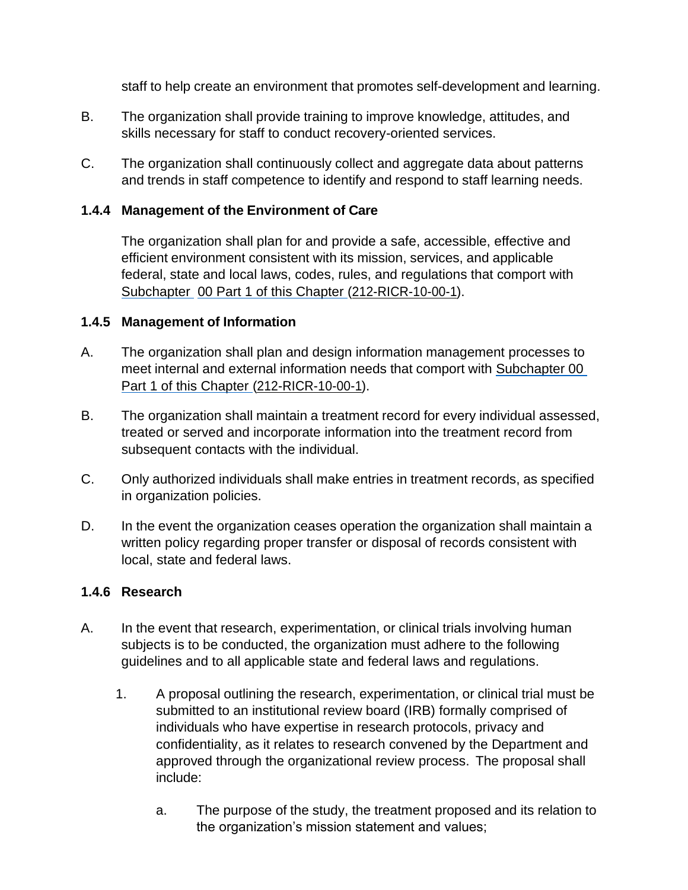staff to help create an environment that promotes self-development and learning.

- B. The organization shall provide training to improve knowledge, attitudes, and skills necessary for staff to conduct recovery-oriented services.
- C. The organization shall continuously collect and aggregate data about patterns and trends in staff competence to identify and respond to staff learning needs.

### **1.4.4 Management of the Environment of Care**

The organization shall plan for and provide a safe, accessible, effective and efficient environment consistent with its mission, services, and applicable federal, state and local laws, codes, rules, and regulations that comport with Subchapter 00 Part 1 of this Chapter (212-RICR-10-00-1).

#### **1.4.5 Management of Information**

- A. The organization shall plan and design information management processes to meet internal and external information needs that comport with Subchapter 00 Part 1 of this Chapter (212-RICR-10-00-1).
- B. The organization shall maintain a treatment record for every individual assessed, treated or served and incorporate information into the treatment record from subsequent contacts with the individual.
- C. Only authorized individuals shall make entries in treatment records, as specified in organization policies.
- D. In the event the organization ceases operation the organization shall maintain a written policy regarding proper transfer or disposal of records consistent with local, state and federal laws.

#### **1.4.6 Research**

- A. In the event that research, experimentation, or clinical trials involving human subjects is to be conducted, the organization must adhere to the following guidelines and to all applicable state and federal laws and regulations.
	- 1. A proposal outlining the research, experimentation, or clinical trial must be submitted to an institutional review board (IRB) formally comprised of individuals who have expertise in research protocols, privacy and confidentiality, as it relates to research convened by the Department and approved through the organizational review process. The proposal shall include:
		- a. The purpose of the study, the treatment proposed and its relation to the organization's mission statement and values;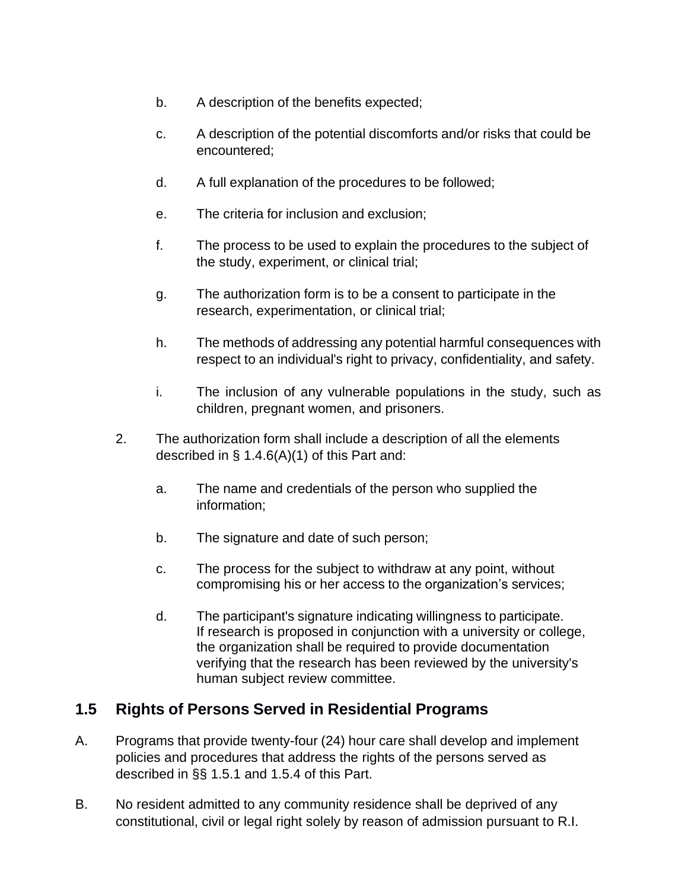- b. A description of the benefits expected;
- c. A description of the potential discomforts and/or risks that could be encountered;
- d. A full explanation of the procedures to be followed;
- e. The criteria for inclusion and exclusion;
- f. The process to be used to explain the procedures to the subject of the study, experiment, or clinical trial;
- g. The authorization form is to be a consent to participate in the research, experimentation, or clinical trial;
- h. The methods of addressing any potential harmful consequences with respect to an individual's right to privacy, confidentiality, and safety.
- i. The inclusion of any vulnerable populations in the study, such as children, pregnant women, and prisoners.
- 2. The authorization form shall include a description of all the elements described in § 1.4.6(A)(1) of this Part and:
	- a. The name and credentials of the person who supplied the information;
	- b. The signature and date of such person;
	- c. The process for the subject to withdraw at any point, without compromising his or her access to the organization's services;
	- d. The participant's signature indicating willingness to participate. If research is proposed in conjunction with a university or college, the organization shall be required to provide documentation verifying that the research has been reviewed by the university's human subject review committee.

# **1.5 Rights of Persons Served in Residential Programs**

- A. Programs that provide twenty-four (24) hour care shall develop and implement policies and procedures that address the rights of the persons served as described in §§ 1.5.1 and 1.5.4 of this Part.
- B. No resident admitted to any community residence shall be deprived of any constitutional, civil or legal right solely by reason of admission pursuant to R.I.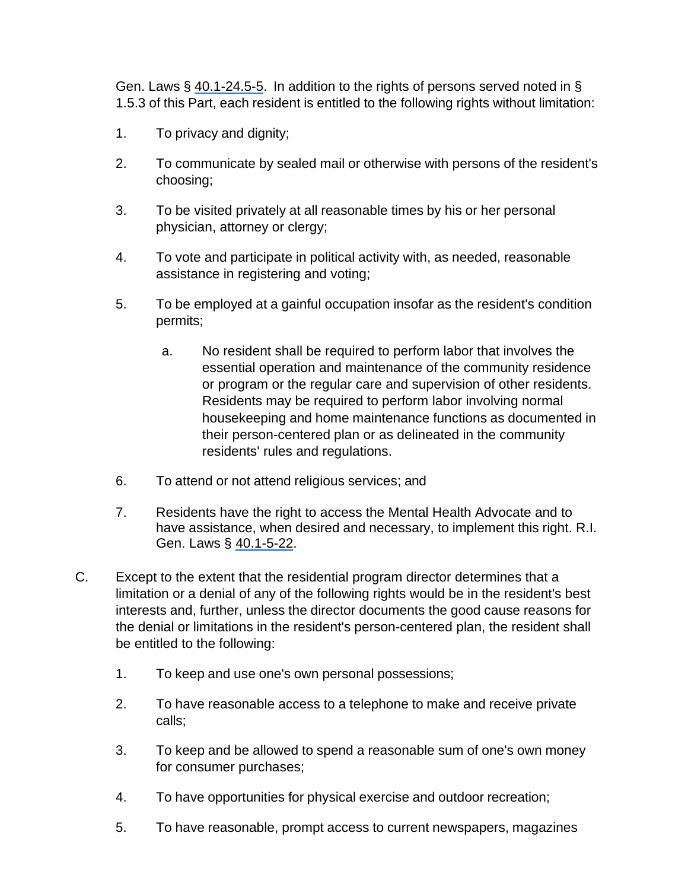Gen. Laws § 40.1-24.5-5. In addition to the rights of persons served noted in § 1.5.3 of this Part, each resident is entitled to the following rights without limitation:

- 1. To privacy and dignity;
- 2. To communicate by sealed mail or otherwise with persons of the resident's choosing;
- 3. To be visited privately at all reasonable times by his or her personal physician, attorney or clergy;
- 4. To vote and participate in political activity with, as needed, reasonable assistance in registering and voting;
- 5. To be employed at a gainful occupation insofar as the resident's condition permits;
	- a. No resident shall be required to perform labor that involves the essential operation and maintenance of the community residence or program or the regular care and supervision of other residents. Residents may be required to perform labor involving normal housekeeping and home maintenance functions as documented in their person-centered plan or as delineated in the community residents' rules and regulations.
- 6. To attend or not attend religious services; and
- 7. Residents have the right to access the Mental Health Advocate and to have assistance, when desired and necessary, to implement this right. R.I. Gen. Laws § 40.1-5-22.
- C. Except to the extent that the residential program director determines that a limitation or a denial of any of the following rights would be in the resident's best interests and, further, unless the director documents the good cause reasons for the denial or limitations in the resident's person-centered plan, the resident shall be entitled to the following:
	- 1. To keep and use one's own personal possessions;
	- 2. To have reasonable access to a telephone to make and receive private calls;
	- 3. To keep and be allowed to spend a reasonable sum of one's own money for consumer purchases;
	- 4. To have opportunities for physical exercise and outdoor recreation;
	- 5. To have reasonable, prompt access to current newspapers, magazines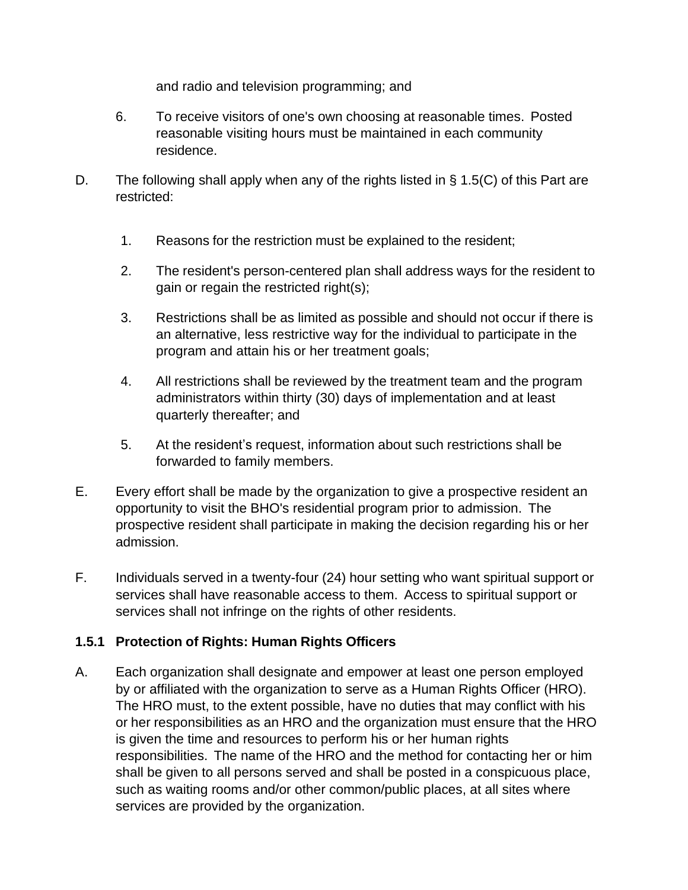and radio and television programming; and

- 6. To receive visitors of one's own choosing at reasonable times. Posted reasonable visiting hours must be maintained in each community residence.
- D. The following shall apply when any of the rights listed in § 1.5(C) of this Part are restricted:
	- 1. Reasons for the restriction must be explained to the resident;
	- 2. The resident's person-centered plan shall address ways for the resident to gain or regain the restricted right(s);
	- 3. Restrictions shall be as limited as possible and should not occur if there is an alternative, less restrictive way for the individual to participate in the program and attain his or her treatment goals;
	- 4. All restrictions shall be reviewed by the treatment team and the program administrators within thirty (30) days of implementation and at least quarterly thereafter; and
	- 5. At the resident's request, information about such restrictions shall be forwarded to family members.
- E. Every effort shall be made by the organization to give a prospective resident an opportunity to visit the BHO's residential program prior to admission. The prospective resident shall participate in making the decision regarding his or her admission.
- F. Individuals served in a twenty-four (24) hour setting who want spiritual support or services shall have reasonable access to them. Access to spiritual support or services shall not infringe on the rights of other residents.

# **1.5.1 Protection of Rights: Human Rights Officers**

A. Each organization shall designate and empower at least one person employed by or affiliated with the organization to serve as a Human Rights Officer (HRO). The HRO must, to the extent possible, have no duties that may conflict with his or her responsibilities as an HRO and the organization must ensure that the HRO is given the time and resources to perform his or her human rights responsibilities. The name of the HRO and the method for contacting her or him shall be given to all persons served and shall be posted in a conspicuous place, such as waiting rooms and/or other common/public places, at all sites where services are provided by the organization.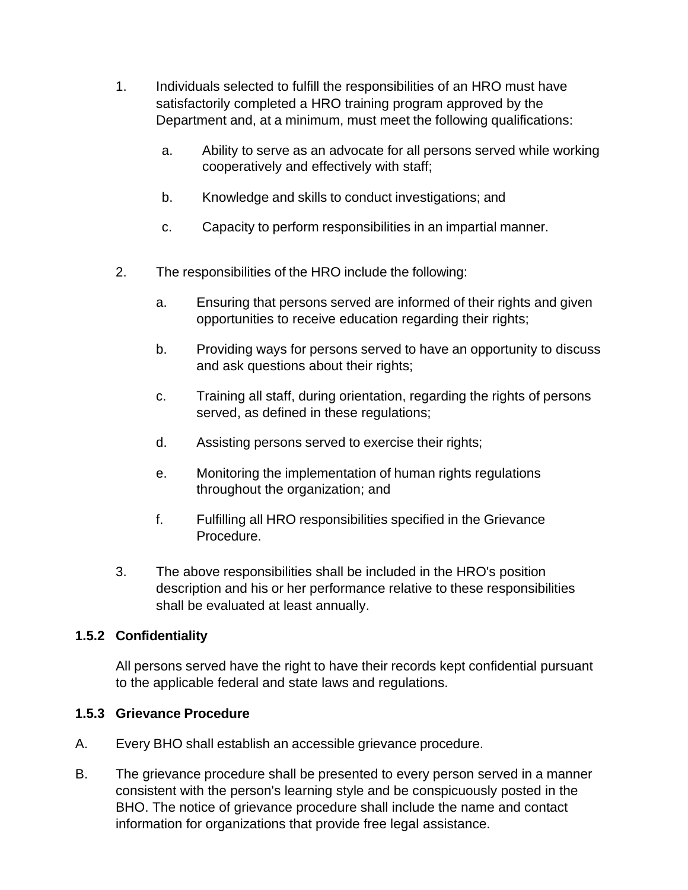- 1. Individuals selected to fulfill the responsibilities of an HRO must have satisfactorily completed a HRO training program approved by the Department and, at a minimum, must meet the following qualifications:
	- a. Ability to serve as an advocate for all persons served while working cooperatively and effectively with staff;
	- b. Knowledge and skills to conduct investigations; and
	- c. Capacity to perform responsibilities in an impartial manner.
- 2. The responsibilities of the HRO include the following:
	- a. Ensuring that persons served are informed of their rights and given opportunities to receive education regarding their rights;
	- b. Providing ways for persons served to have an opportunity to discuss and ask questions about their rights;
	- c. Training all staff, during orientation, regarding the rights of persons served, as defined in these regulations;
	- d. Assisting persons served to exercise their rights;
	- e. Monitoring the implementation of human rights regulations throughout the organization; and
	- f. Fulfilling all HRO responsibilities specified in the Grievance Procedure.
- 3. The above responsibilities shall be included in the HRO's position description and his or her performance relative to these responsibilities shall be evaluated at least annually.

# **1.5.2 Confidentiality**

All persons served have the right to have their records kept confidential pursuant to the applicable federal and state laws and regulations.

# **1.5.3 Grievance Procedure**

- A. Every BHO shall establish an accessible grievance procedure.
- B. The grievance procedure shall be presented to every person served in a manner consistent with the person's learning style and be conspicuously posted in the BHO. The notice of grievance procedure shall include the name and contact information for organizations that provide free legal assistance.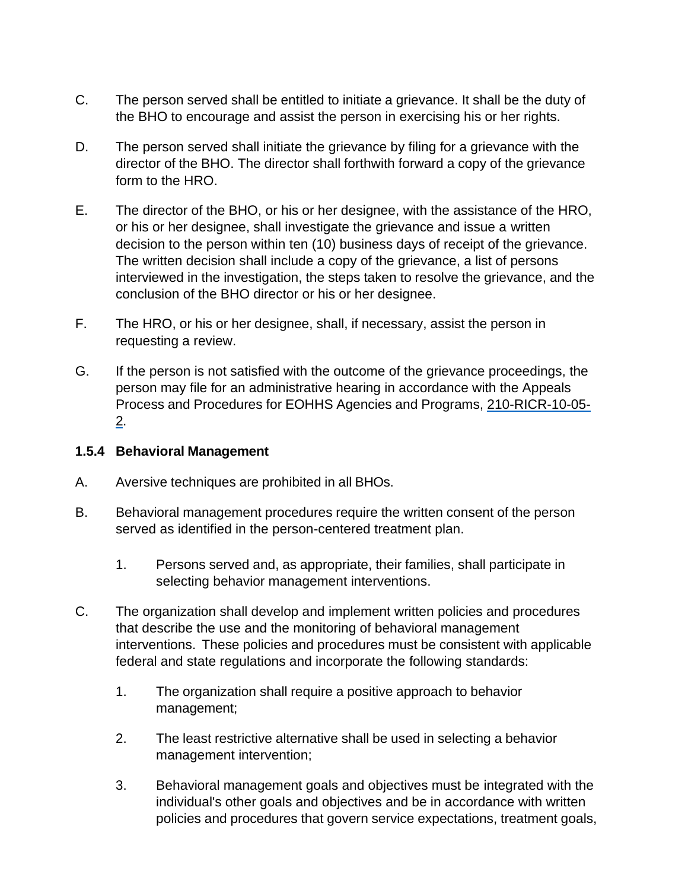- C. The person served shall be entitled to initiate a grievance. It shall be the duty of the BHO to encourage and assist the person in exercising his or her rights.
- D. The person served shall initiate the grievance by filing for a grievance with the director of the BHO. The director shall forthwith forward a copy of the grievance form to the HRO.
- E. The director of the BHO, or his or her designee, with the assistance of the HRO, or his or her designee, shall investigate the grievance and issue a written decision to the person within ten (10) business days of receipt of the grievance. The written decision shall include a copy of the grievance, a list of persons interviewed in the investigation, the steps taken to resolve the grievance, and the conclusion of the BHO director or his or her designee.
- F. The HRO, or his or her designee, shall, if necessary, assist the person in requesting a review.
- G. If the person is not satisfied with the outcome of the grievance proceedings, the person may file for an administrative hearing in accordance with the Appeals Process and Procedures for EOHHS Agencies and Programs, 210-RICR-10-05- 2.

### **1.5.4 Behavioral Management**

- A. Aversive techniques are prohibited in all BHOs.
- B. Behavioral management procedures require the written consent of the person served as identified in the person-centered treatment plan.
	- 1. Persons served and, as appropriate, their families, shall participate in selecting behavior management interventions.
- C. The organization shall develop and implement written policies and procedures that describe the use and the monitoring of behavioral management interventions. These policies and procedures must be consistent with applicable federal and state regulations and incorporate the following standards:
	- 1. The organization shall require a positive approach to behavior management;
	- 2. The least restrictive alternative shall be used in selecting a behavior management intervention;
	- 3. Behavioral management goals and objectives must be integrated with the individual's other goals and objectives and be in accordance with written policies and procedures that govern service expectations, treatment goals,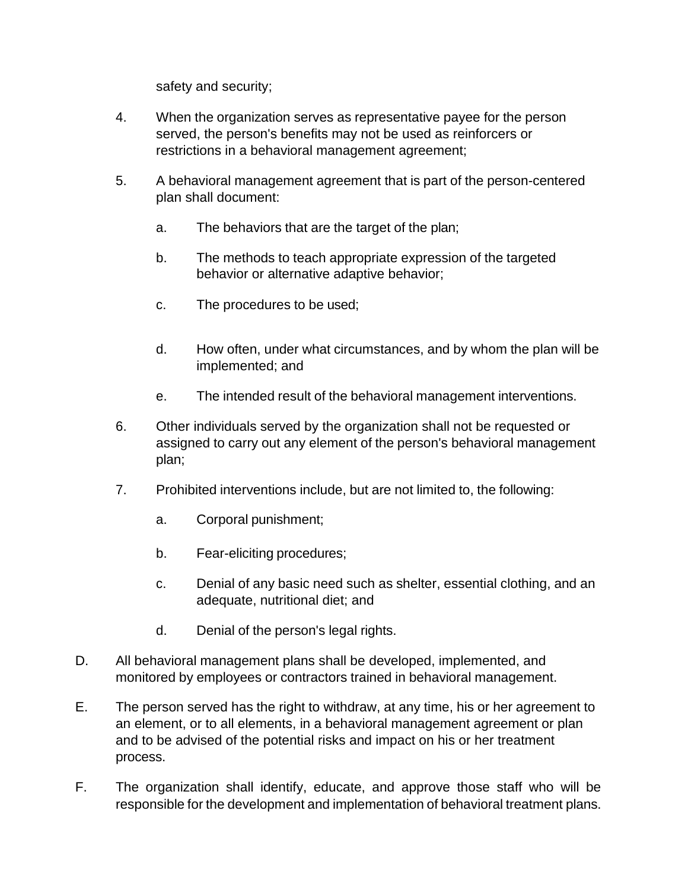safety and security;

- 4. When the organization serves as representative payee for the person served, the person's benefits may not be used as reinforcers or restrictions in a behavioral management agreement;
- 5. A behavioral management agreement that is part of the person-centered plan shall document:
	- a. The behaviors that are the target of the plan;
	- b. The methods to teach appropriate expression of the targeted behavior or alternative adaptive behavior;
	- c. The procedures to be used;
	- d. How often, under what circumstances, and by whom the plan will be implemented; and
	- e. The intended result of the behavioral management interventions.
- 6. Other individuals served by the organization shall not be requested or assigned to carry out any element of the person's behavioral management plan;
- 7. Prohibited interventions include, but are not limited to, the following:
	- a. Corporal punishment;
	- b. Fear-eliciting procedures;
	- c. Denial of any basic need such as shelter, essential clothing, and an adequate, nutritional diet; and
	- d. Denial of the person's legal rights.
- D. All behavioral management plans shall be developed, implemented, and monitored by employees or contractors trained in behavioral management.
- E. The person served has the right to withdraw, at any time, his or her agreement to an element, or to all elements, in a behavioral management agreement or plan and to be advised of the potential risks and impact on his or her treatment process.
- F. The organization shall identify, educate, and approve those staff who will be responsible for the development and implementation of behavioral treatment plans.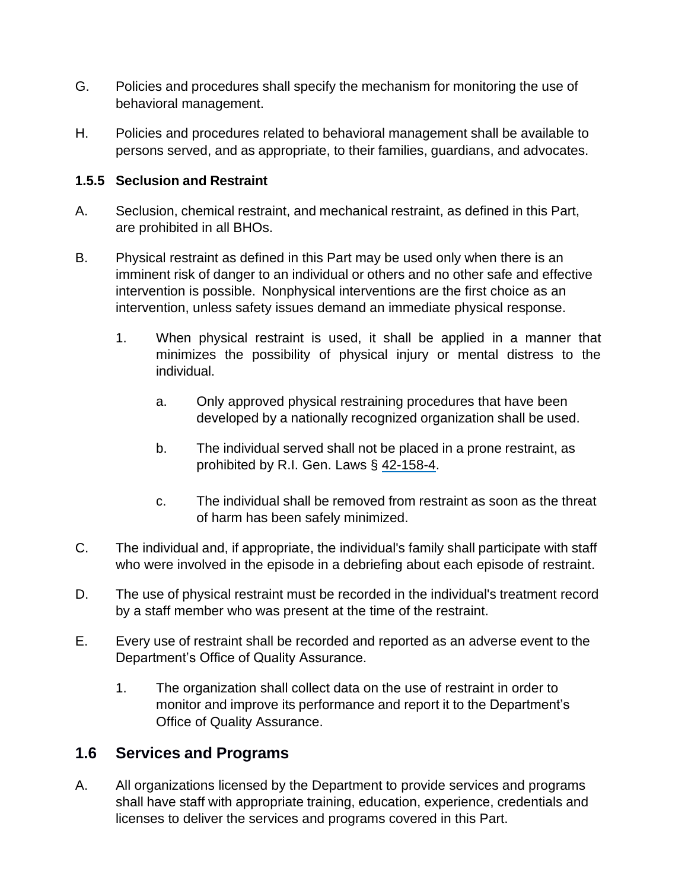- G. Policies and procedures shall specify the mechanism for monitoring the use of behavioral management.
- H. Policies and procedures related to behavioral management shall be available to persons served, and as appropriate, to their families, guardians, and advocates.

### **1.5.5 Seclusion and Restraint**

- A. Seclusion, chemical restraint, and mechanical restraint, as defined in this Part, are prohibited in all BHOs.
- B. Physical restraint as defined in this Part may be used only when there is an imminent risk of danger to an individual or others and no other safe and effective intervention is possible. Nonphysical interventions are the first choice as an intervention, unless safety issues demand an immediate physical response.
	- 1. When physical restraint is used, it shall be applied in a manner that minimizes the possibility of physical injury or mental distress to the individual.
		- a. Only approved physical restraining procedures that have been developed by a nationally recognized organization shall be used.
		- b. The individual served shall not be placed in a prone restraint, as prohibited by R.I. Gen. Laws § 42-158-4.
		- c. The individual shall be removed from restraint as soon as the threat of harm has been safely minimized.
- C. The individual and, if appropriate, the individual's family shall participate with staff who were involved in the episode in a debriefing about each episode of restraint.
- D. The use of physical restraint must be recorded in the individual's treatment record by a staff member who was present at the time of the restraint.
- E. Every use of restraint shall be recorded and reported as an adverse event to the Department's Office of Quality Assurance.
	- 1. The organization shall collect data on the use of restraint in order to monitor and improve its performance and report it to the Department's Office of Quality Assurance.

# **1.6 Services and Programs**

A. All organizations licensed by the Department to provide services and programs shall have staff with appropriate training, education, experience, credentials and licenses to deliver the services and programs covered in this Part.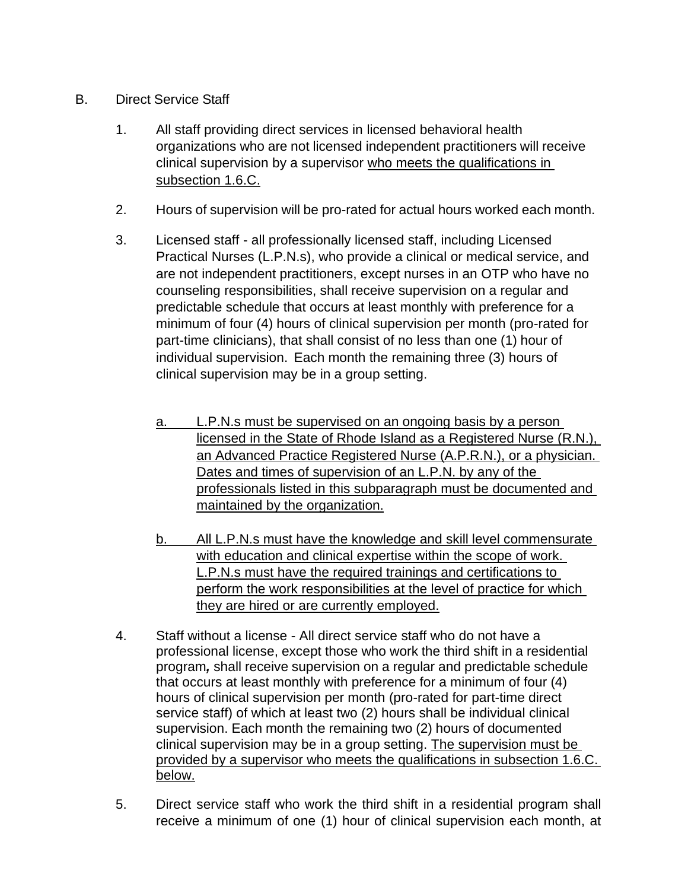- B. Direct Service Staff
	- 1. All staff providing direct services in licensed behavioral health organizations who are not licensed independent practitioners will receive clinical supervision by a supervisor who meets the qualifications in subsection 1.6.C.
	- 2. Hours of supervision will be pro-rated for actual hours worked each month.
	- 3. Licensed staff all professionally licensed staff, including Licensed Practical Nurses (L.P.N.s), who provide a clinical or medical service, and are not independent practitioners, except nurses in an OTP who have no counseling responsibilities, shall receive supervision on a regular and predictable schedule that occurs at least monthly with preference for a minimum of four (4) hours of clinical supervision per month (pro-rated for part-time clinicians), that shall consist of no less than one (1) hour of individual supervision. Each month the remaining three (3) hours of clinical supervision may be in a group setting.
		- a. L.P.N.s must be supervised on an ongoing basis by a person licensed in the State of Rhode Island as a Registered Nurse (R.N.), an Advanced Practice Registered Nurse (A.P.R.N.), or a physician. Dates and times of supervision of an L.P.N. by any of the professionals listed in this subparagraph must be documented and maintained by the organization.
		- b. All L.P.N.s must have the knowledge and skill level commensurate with education and clinical expertise within the scope of work. L.P.N.s must have the required trainings and certifications to perform the work responsibilities at the level of practice for which they are hired or are currently employed.
	- 4. Staff without a license All direct service staff who do not have a professional license, except those who work the third shift in a residential program*,* shall receive supervision on a regular and predictable schedule that occurs at least monthly with preference for a minimum of four (4) hours of clinical supervision per month (pro-rated for part-time direct service staff) of which at least two (2) hours shall be individual clinical supervision. Each month the remaining two (2) hours of documented clinical supervision may be in a group setting. The supervision must be provided by a supervisor who meets the qualifications in subsection 1.6.C. below.
	- 5. Direct service staff who work the third shift in a residential program shall receive a minimum of one (1) hour of clinical supervision each month, at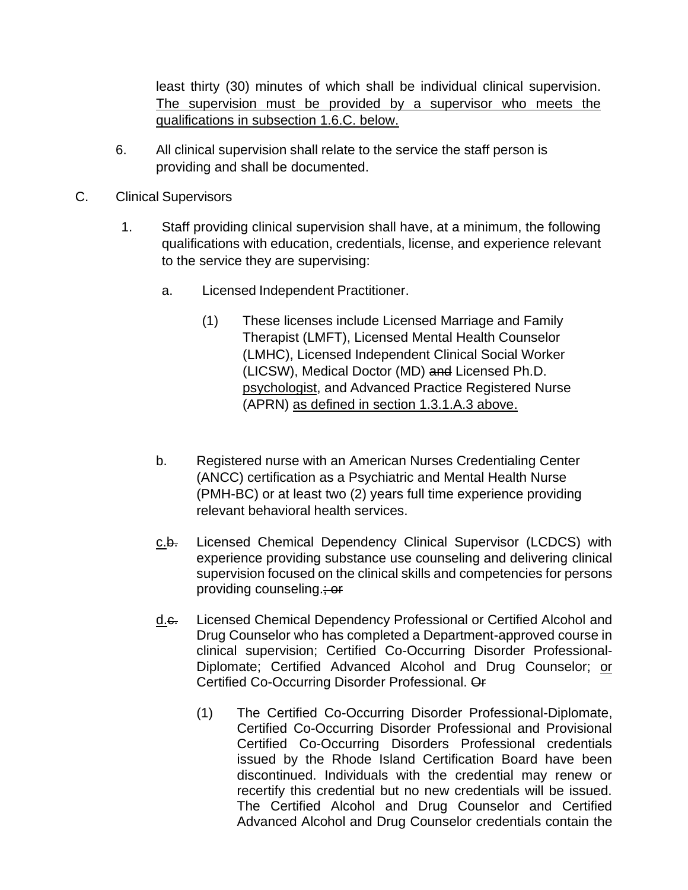least thirty (30) minutes of which shall be individual clinical supervision. The supervision must be provided by a supervisor who meets the qualifications in subsection 1.6.C. below.

- 6. All clinical supervision shall relate to the service the staff person is providing and shall be documented.
- C. Clinical Supervisors
	- 1. Staff providing clinical supervision shall have, at a minimum, the following qualifications with education, credentials, license, and experience relevant to the service they are supervising:
		- a. Licensed Independent Practitioner.
			- (1) These licenses include Licensed Marriage and Family Therapist (LMFT), Licensed Mental Health Counselor (LMHC), Licensed Independent Clinical Social Worker (LICSW), Medical Doctor (MD) and Licensed Ph.D. psychologist, and Advanced Practice Registered Nurse (APRN) as defined in section 1.3.1.A.3 above.
		- b. Registered nurse with an American Nurses Credentialing Center (ANCC) certification as a Psychiatric and Mental Health Nurse (PMH-BC) or at least two (2) years full time experience providing relevant behavioral health services.
		- c.b. Licensed Chemical Dependency Clinical Supervisor (LCDCS) with experience providing substance use counseling and delivering clinical supervision focused on the clinical skills and competencies for persons providing counseling.; or
		- d.e. Licensed Chemical Dependency Professional or Certified Alcohol and Drug Counselor who has completed a Department-approved course in clinical supervision; Certified Co-Occurring Disorder Professional-Diplomate; Certified Advanced Alcohol and Drug Counselor; or Certified Co-Occurring Disorder Professional. Or
			- (1) The Certified Co-Occurring Disorder Professional-Diplomate, Certified Co-Occurring Disorder Professional and Provisional Certified Co-Occurring Disorders Professional credentials issued by the Rhode Island Certification Board have been discontinued. Individuals with the credential may renew or recertify this credential but no new credentials will be issued. The Certified Alcohol and Drug Counselor and Certified Advanced Alcohol and Drug Counselor credentials contain the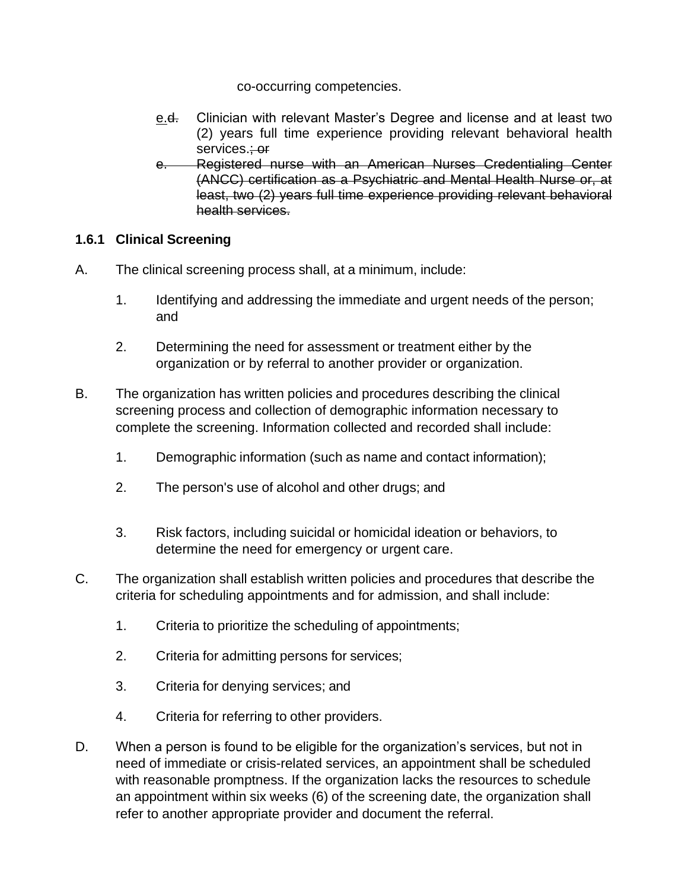co-occurring competencies.

- e.d. Clinician with relevant Master's Degree and license and at least two (2) years full time experience providing relevant behavioral health services.; or
- e. Registered nurse with an American Nurses Credentialing Center (ANCC) certification as a Psychiatric and Mental Health Nurse or, at least, two (2) years full time experience providing relevant behavioral health services.

# **1.6.1 Clinical Screening**

- A. The clinical screening process shall, at a minimum, include:
	- 1. Identifying and addressing the immediate and urgent needs of the person; and
	- 2. Determining the need for assessment or treatment either by the organization or by referral to another provider or organization.
- B. The organization has written policies and procedures describing the clinical screening process and collection of demographic information necessary to complete the screening. Information collected and recorded shall include:
	- 1. Demographic information (such as name and contact information);
	- 2. The person's use of alcohol and other drugs; and
	- 3. Risk factors, including suicidal or homicidal ideation or behaviors, to determine the need for emergency or urgent care.
- C. The organization shall establish written policies and procedures that describe the criteria for scheduling appointments and for admission, and shall include:
	- 1. Criteria to prioritize the scheduling of appointments;
	- 2. Criteria for admitting persons for services;
	- 3. Criteria for denying services; and
	- 4. Criteria for referring to other providers.
- D. When a person is found to be eligible for the organization's services, but not in need of immediate or crisis-related services, an appointment shall be scheduled with reasonable promptness. If the organization lacks the resources to schedule an appointment within six weeks (6) of the screening date, the organization shall refer to another appropriate provider and document the referral.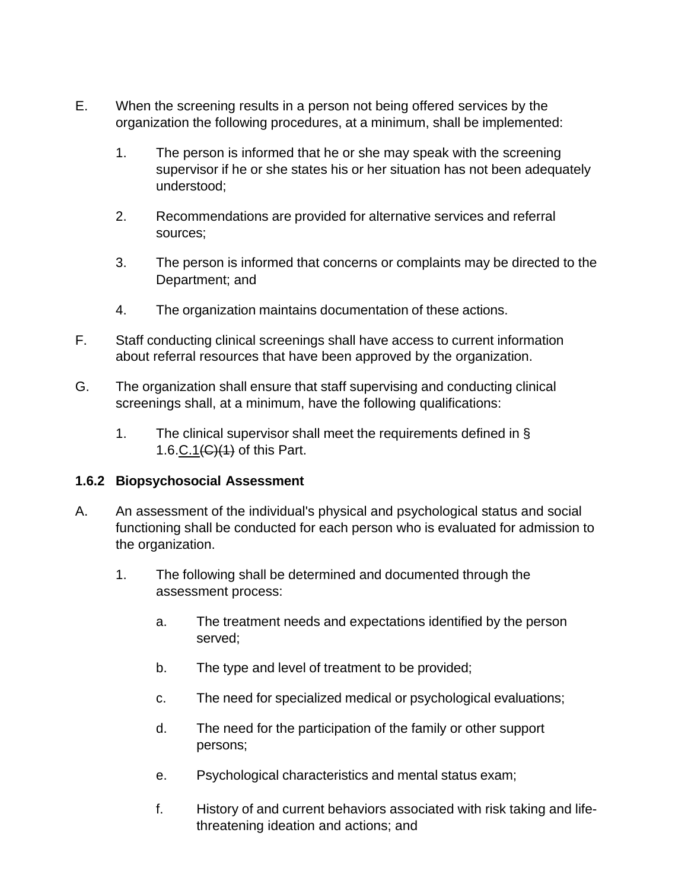- E. When the screening results in a person not being offered services by the organization the following procedures, at a minimum, shall be implemented:
	- 1. The person is informed that he or she may speak with the screening supervisor if he or she states his or her situation has not been adequately understood;
	- 2. Recommendations are provided for alternative services and referral sources;
	- 3. The person is informed that concerns or complaints may be directed to the Department; and
	- 4. The organization maintains documentation of these actions.
- F. Staff conducting clinical screenings shall have access to current information about referral resources that have been approved by the organization.
- G. The organization shall ensure that staff supervising and conducting clinical screenings shall, at a minimum, have the following qualifications:
	- 1. The clinical supervisor shall meet the requirements defined in § 1.6.C.1 $(E)(1)$  of this Part.

#### **1.6.2 Biopsychosocial Assessment**

- A. An assessment of the individual's physical and psychological status and social functioning shall be conducted for each person who is evaluated for admission to the organization.
	- 1. The following shall be determined and documented through the assessment process:
		- a. The treatment needs and expectations identified by the person served;
		- b. The type and level of treatment to be provided;
		- c. The need for specialized medical or psychological evaluations;
		- d. The need for the participation of the family or other support persons;
		- e. Psychological characteristics and mental status exam;
		- f. History of and current behaviors associated with risk taking and lifethreatening ideation and actions; and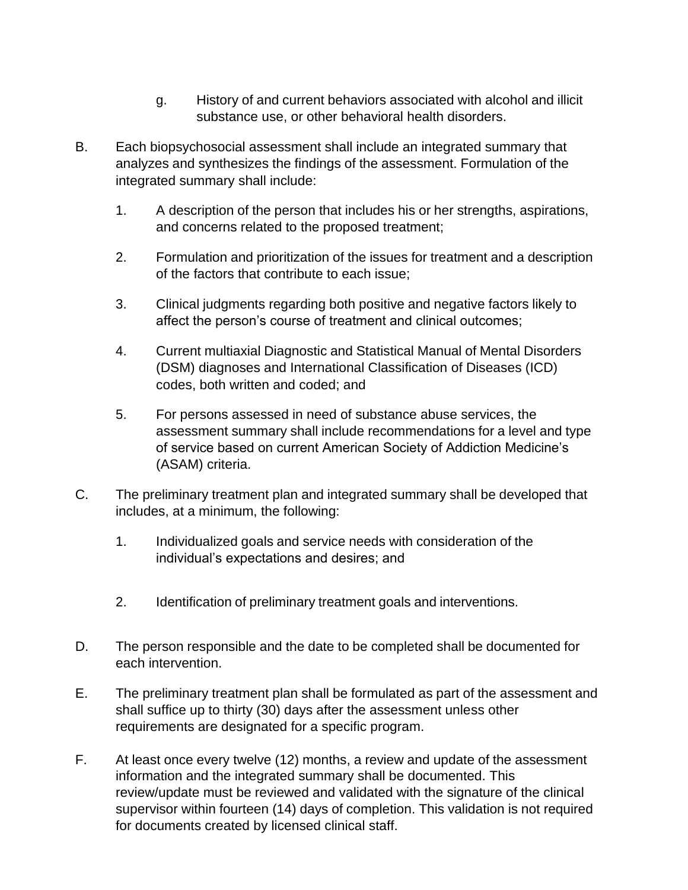- g. History of and current behaviors associated with alcohol and illicit substance use, or other behavioral health disorders.
- B. Each biopsychosocial assessment shall include an integrated summary that analyzes and synthesizes the findings of the assessment. Formulation of the integrated summary shall include:
	- 1. A description of the person that includes his or her strengths, aspirations, and concerns related to the proposed treatment;
	- 2. Formulation and prioritization of the issues for treatment and a description of the factors that contribute to each issue;
	- 3. Clinical judgments regarding both positive and negative factors likely to affect the person's course of treatment and clinical outcomes;
	- 4. Current multiaxial Diagnostic and Statistical Manual of Mental Disorders (DSM) diagnoses and International Classification of Diseases (ICD) codes, both written and coded; and
	- 5. For persons assessed in need of substance abuse services, the assessment summary shall include recommendations for a level and type of service based on current American Society of Addiction Medicine's (ASAM) criteria.
- C. The preliminary treatment plan and integrated summary shall be developed that includes, at a minimum, the following:
	- 1. Individualized goals and service needs with consideration of the individual's expectations and desires; and
	- 2. Identification of preliminary treatment goals and interventions.
- D. The person responsible and the date to be completed shall be documented for each intervention.
- E. The preliminary treatment plan shall be formulated as part of the assessment and shall suffice up to thirty (30) days after the assessment unless other requirements are designated for a specific program.
- F. At least once every twelve (12) months, a review and update of the assessment information and the integrated summary shall be documented. This review/update must be reviewed and validated with the signature of the clinical supervisor within fourteen (14) days of completion. This validation is not required for documents created by licensed clinical staff.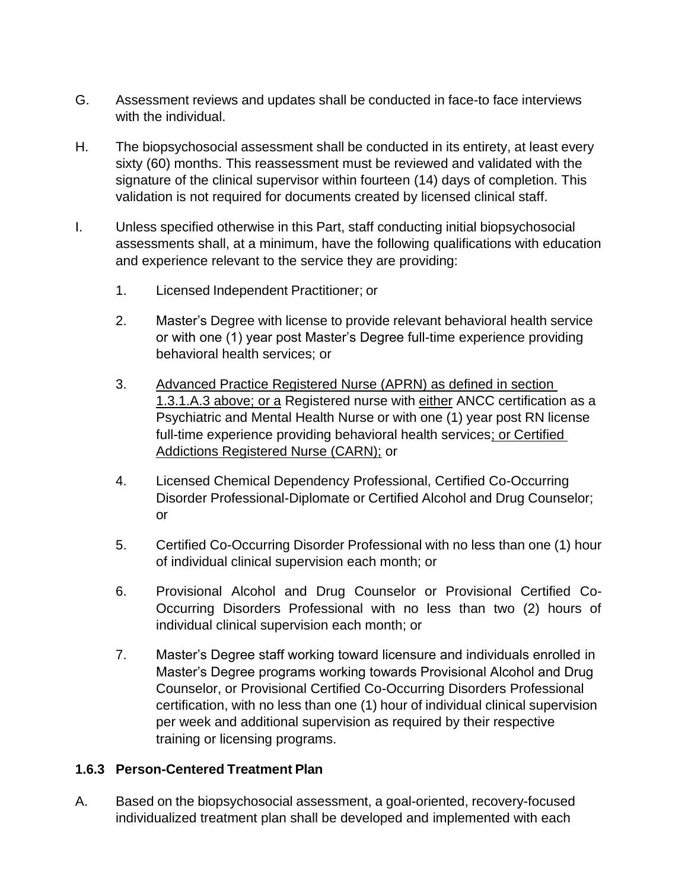- G. Assessment reviews and updates shall be conducted in face-to face interviews with the individual.
- H. The biopsychosocial assessment shall be conducted in its entirety, at least every sixty (60) months. This reassessment must be reviewed and validated with the signature of the clinical supervisor within fourteen (14) days of completion. This validation is not required for documents created by licensed clinical staff.
- I. Unless specified otherwise in this Part, staff conducting initial biopsychosocial assessments shall, at a minimum, have the following qualifications with education and experience relevant to the service they are providing:
	- 1. Licensed Independent Practitioner; or
	- 2. Master's Degree with license to provide relevant behavioral health service or with one (1) year post Master's Degree full-time experience providing behavioral health services; or
	- 3. Advanced Practice Registered Nurse (APRN) as defined in section 1.3.1.A.3 above; or a Registered nurse with either ANCC certification as a Psychiatric and Mental Health Nurse or with one (1) year post RN license full-time experience providing behavioral health services; or Certified Addictions Registered Nurse (CARN); or
	- 4. Licensed Chemical Dependency Professional, Certified Co-Occurring Disorder Professional-Diplomate or Certified Alcohol and Drug Counselor; or
	- 5. Certified Co-Occurring Disorder Professional with no less than one (1) hour of individual clinical supervision each month; or
	- 6. Provisional Alcohol and Drug Counselor or Provisional Certified Co-Occurring Disorders Professional with no less than two (2) hours of individual clinical supervision each month; or
	- 7. Master's Degree staff working toward licensure and individuals enrolled in Master's Degree programs working towards Provisional Alcohol and Drug Counselor, or Provisional Certified Co-Occurring Disorders Professional certification, with no less than one (1) hour of individual clinical supervision per week and additional supervision as required by their respective training or licensing programs.

# **1.6.3 Person-Centered Treatment Plan**

A. Based on the biopsychosocial assessment, a goal-oriented, recovery-focused individualized treatment plan shall be developed and implemented with each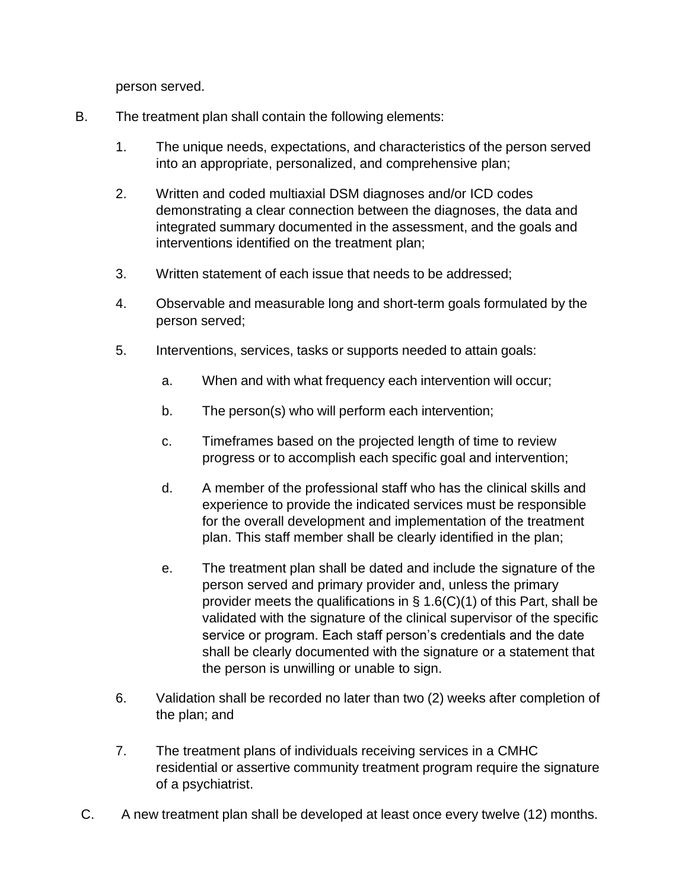person served.

- B. The treatment plan shall contain the following elements:
	- 1. The unique needs, expectations, and characteristics of the person served into an appropriate, personalized, and comprehensive plan;
	- 2. Written and coded multiaxial DSM diagnoses and/or ICD codes demonstrating a clear connection between the diagnoses, the data and integrated summary documented in the assessment, and the goals and interventions identified on the treatment plan;
	- 3. Written statement of each issue that needs to be addressed;
	- 4. Observable and measurable long and short-term goals formulated by the person served;
	- 5. Interventions, services, tasks or supports needed to attain goals:
		- a. When and with what frequency each intervention will occur;
		- b. The person(s) who will perform each intervention;
		- c. Timeframes based on the projected length of time to review progress or to accomplish each specific goal and intervention;
		- d. A member of the professional staff who has the clinical skills and experience to provide the indicated services must be responsible for the overall development and implementation of the treatment plan. This staff member shall be clearly identified in the plan;
		- e. The treatment plan shall be dated and include the signature of the person served and primary provider and, unless the primary provider meets the qualifications in § 1.6(C)(1) of this Part, shall be validated with the signature of the clinical supervisor of the specific service or program. Each staff person's credentials and the date shall be clearly documented with the signature or a statement that the person is unwilling or unable to sign.
	- 6. Validation shall be recorded no later than two (2) weeks after completion of the plan; and
	- 7. The treatment plans of individuals receiving services in a CMHC residential or assertive community treatment program require the signature of a psychiatrist.
- C. A new treatment plan shall be developed at least once every twelve (12) months.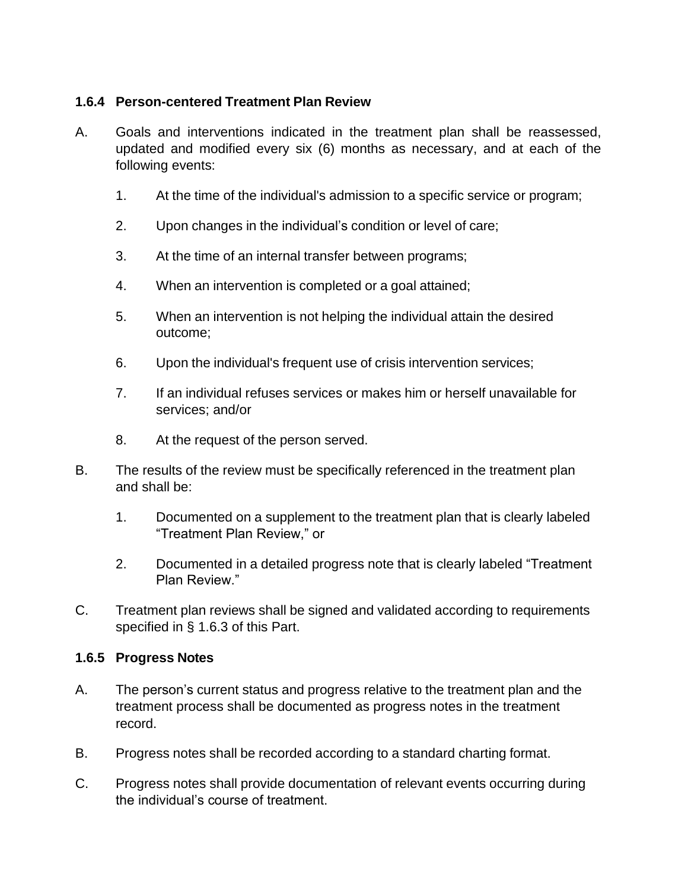### **1.6.4 Person-centered Treatment Plan Review**

- A. Goals and interventions indicated in the treatment plan shall be reassessed, updated and modified every six (6) months as necessary, and at each of the following events:
	- 1. At the time of the individual's admission to a specific service or program;
	- 2. Upon changes in the individual's condition or level of care;
	- 3. At the time of an internal transfer between programs;
	- 4. When an intervention is completed or a goal attained;
	- 5. When an intervention is not helping the individual attain the desired outcome;
	- 6. Upon the individual's frequent use of crisis intervention services;
	- 7. If an individual refuses services or makes him or herself unavailable for services; and/or
	- 8. At the request of the person served.
- B. The results of the review must be specifically referenced in the treatment plan and shall be:
	- 1. Documented on a supplement to the treatment plan that is clearly labeled "Treatment Plan Review," or
	- 2. Documented in a detailed progress note that is clearly labeled "Treatment Plan Review."
- C. Treatment plan reviews shall be signed and validated according to requirements specified in § 1.6.3 of this Part.

#### **1.6.5 Progress Notes**

- A. The person's current status and progress relative to the treatment plan and the treatment process shall be documented as progress notes in the treatment record.
- B. Progress notes shall be recorded according to a standard charting format.
- C. Progress notes shall provide documentation of relevant events occurring during the individual's course of treatment.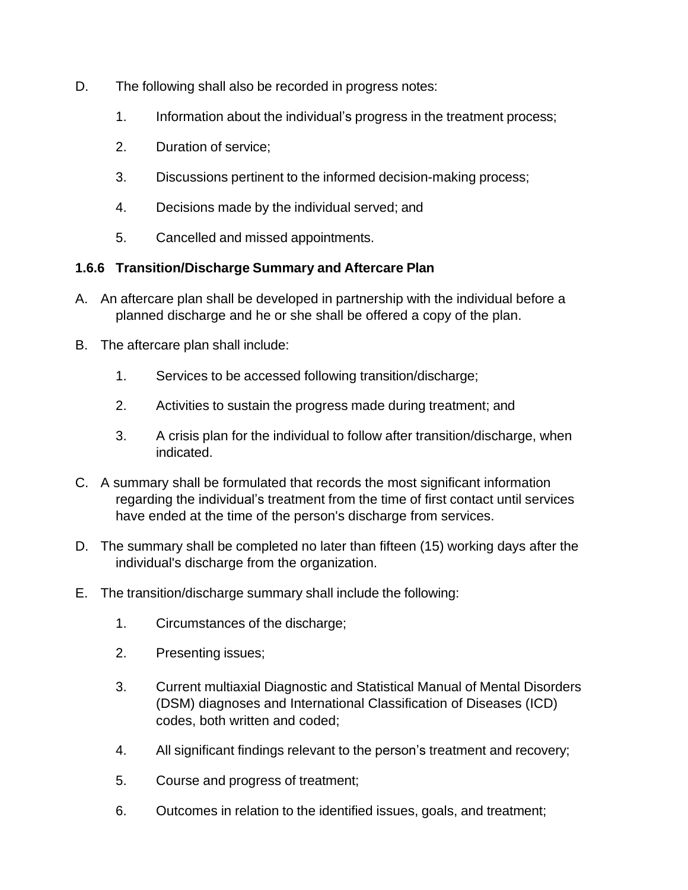- D. The following shall also be recorded in progress notes:
	- 1. Information about the individual's progress in the treatment process;
	- 2. Duration of service;
	- 3. Discussions pertinent to the informed decision-making process;
	- 4. Decisions made by the individual served; and
	- 5. Cancelled and missed appointments.

# **1.6.6 Transition/Discharge Summary and Aftercare Plan**

- A. An aftercare plan shall be developed in partnership with the individual before a planned discharge and he or she shall be offered a copy of the plan.
- B. The aftercare plan shall include:
	- 1. Services to be accessed following transition/discharge;
	- 2. Activities to sustain the progress made during treatment; and
	- 3. A crisis plan for the individual to follow after transition/discharge, when indicated.
- C. A summary shall be formulated that records the most significant information regarding the individual's treatment from the time of first contact until services have ended at the time of the person's discharge from services.
- D. The summary shall be completed no later than fifteen (15) working days after the individual's discharge from the organization.
- E. The transition/discharge summary shall include the following:
	- 1. Circumstances of the discharge;
	- 2. Presenting issues;
	- 3. Current multiaxial Diagnostic and Statistical Manual of Mental Disorders (DSM) diagnoses and International Classification of Diseases (ICD) codes, both written and coded;
	- 4. All significant findings relevant to the person's treatment and recovery;
	- 5. Course and progress of treatment;
	- 6. Outcomes in relation to the identified issues, goals, and treatment;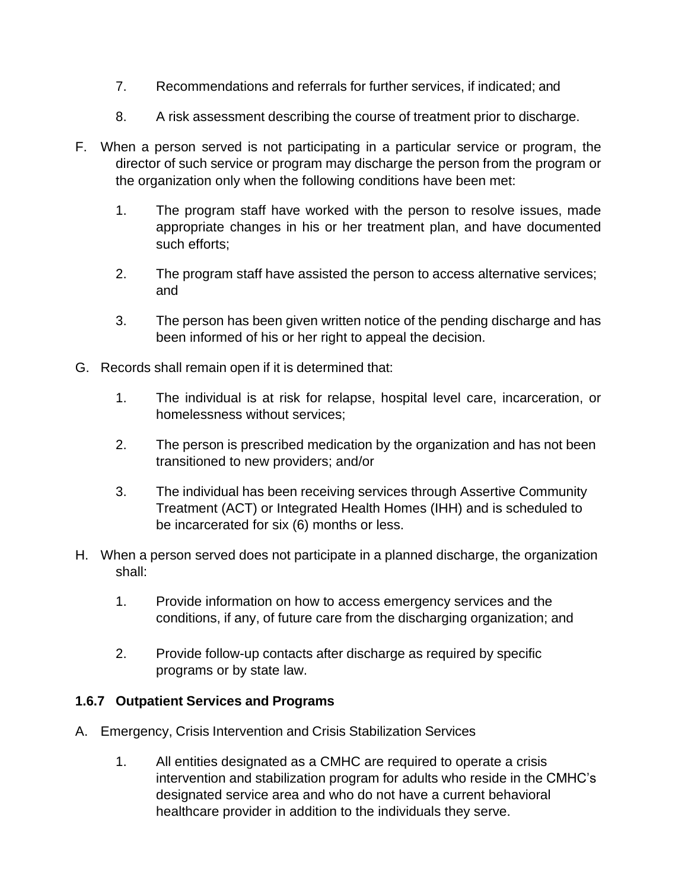- 7. Recommendations and referrals for further services, if indicated; and
- 8. A risk assessment describing the course of treatment prior to discharge.
- F. When a person served is not participating in a particular service or program, the director of such service or program may discharge the person from the program or the organization only when the following conditions have been met:
	- 1. The program staff have worked with the person to resolve issues, made appropriate changes in his or her treatment plan, and have documented such efforts;
	- 2. The program staff have assisted the person to access alternative services; and
	- 3. The person has been given written notice of the pending discharge and has been informed of his or her right to appeal the decision.
- G. Records shall remain open if it is determined that:
	- 1. The individual is at risk for relapse, hospital level care, incarceration, or homelessness without services;
	- 2. The person is prescribed medication by the organization and has not been transitioned to new providers; and/or
	- 3. The individual has been receiving services through Assertive Community Treatment (ACT) or Integrated Health Homes (IHH) and is scheduled to be incarcerated for six (6) months or less.
- H. When a person served does not participate in a planned discharge, the organization shall:
	- 1. Provide information on how to access emergency services and the conditions, if any, of future care from the discharging organization; and
	- 2. Provide follow-up contacts after discharge as required by specific programs or by state law.

# **1.6.7 Outpatient Services and Programs**

- A. Emergency, Crisis Intervention and Crisis Stabilization Services
	- 1. All entities designated as a CMHC are required to operate a crisis intervention and stabilization program for adults who reside in the CMHC's designated service area and who do not have a current behavioral healthcare provider in addition to the individuals they serve.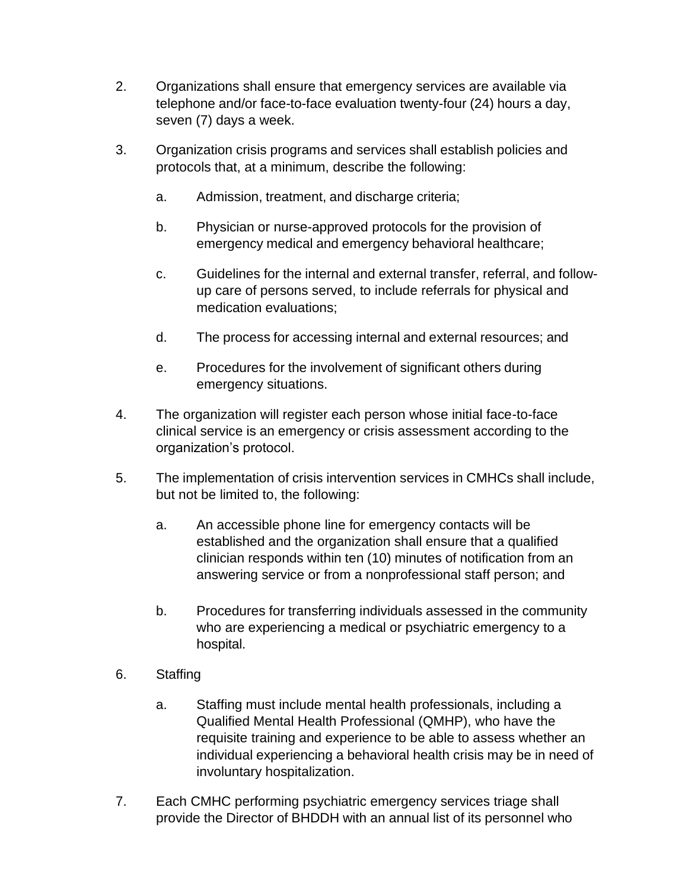- 2. Organizations shall ensure that emergency services are available via telephone and/or face-to-face evaluation twenty-four (24) hours a day, seven (7) days a week.
- 3. Organization crisis programs and services shall establish policies and protocols that, at a minimum, describe the following:
	- a. Admission, treatment, and discharge criteria;
	- b. Physician or nurse-approved protocols for the provision of emergency medical and emergency behavioral healthcare;
	- c. Guidelines for the internal and external transfer, referral, and followup care of persons served, to include referrals for physical and medication evaluations;
	- d. The process for accessing internal and external resources; and
	- e. Procedures for the involvement of significant others during emergency situations.
- 4. The organization will register each person whose initial face-to-face clinical service is an emergency or crisis assessment according to the organization's protocol.
- 5. The implementation of crisis intervention services in CMHCs shall include, but not be limited to, the following:
	- a. An accessible phone line for emergency contacts will be established and the organization shall ensure that a qualified clinician responds within ten (10) minutes of notification from an answering service or from a nonprofessional staff person; and
	- b. Procedures for transferring individuals assessed in the community who are experiencing a medical or psychiatric emergency to a hospital.
- 6. Staffing
	- a. Staffing must include mental health professionals, including a Qualified Mental Health Professional (QMHP), who have the requisite training and experience to be able to assess whether an individual experiencing a behavioral health crisis may be in need of involuntary hospitalization.
- 7. Each CMHC performing psychiatric emergency services triage shall provide the Director of BHDDH with an annual list of its personnel who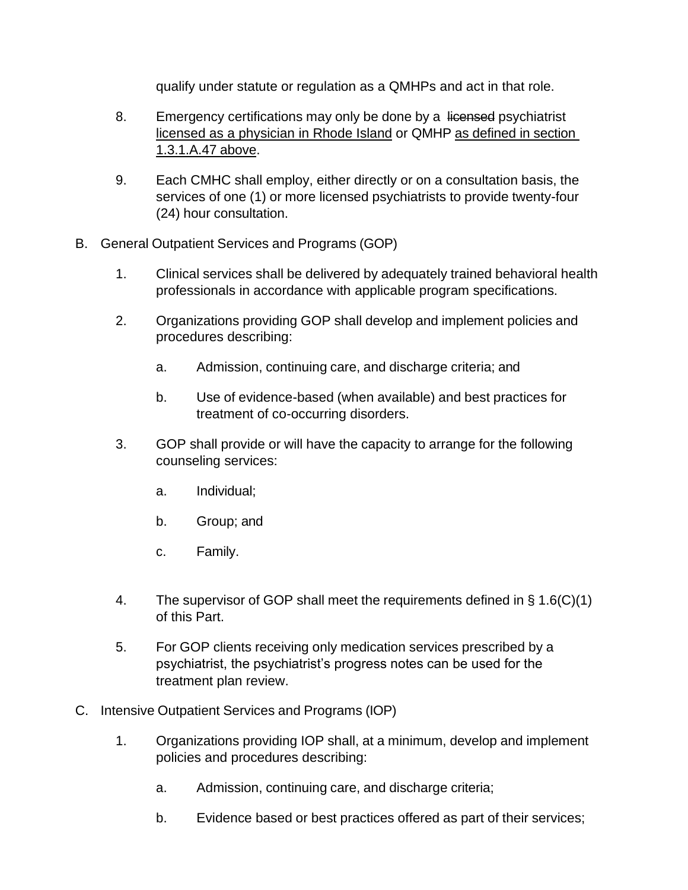qualify under statute or regulation as a QMHPs and act in that role.

- 8. Emergency certifications may only be done by a licensed psychiatrist licensed as a physician in Rhode Island or QMHP as defined in section 1.3.1.A.47 above.
- 9. Each CMHC shall employ, either directly or on a consultation basis, the services of one (1) or more licensed psychiatrists to provide twenty-four (24) hour consultation.
- B. General Outpatient Services and Programs (GOP)
	- 1. Clinical services shall be delivered by adequately trained behavioral health professionals in accordance with applicable program specifications.
	- 2. Organizations providing GOP shall develop and implement policies and procedures describing:
		- a. Admission, continuing care, and discharge criteria; and
		- b. Use of evidence-based (when available) and best practices for treatment of co-occurring disorders.
	- 3. GOP shall provide or will have the capacity to arrange for the following counseling services:
		- a. Individual;
		- b. Group; and
		- c. Family.
	- 4. The supervisor of GOP shall meet the requirements defined in § 1.6(C)(1) of this Part.
	- 5. For GOP clients receiving only medication services prescribed by a psychiatrist, the psychiatrist's progress notes can be used for the treatment plan review.
- C. Intensive Outpatient Services and Programs (IOP)
	- 1. Organizations providing IOP shall, at a minimum, develop and implement policies and procedures describing:
		- a. Admission, continuing care, and discharge criteria;
		- b. Evidence based or best practices offered as part of their services;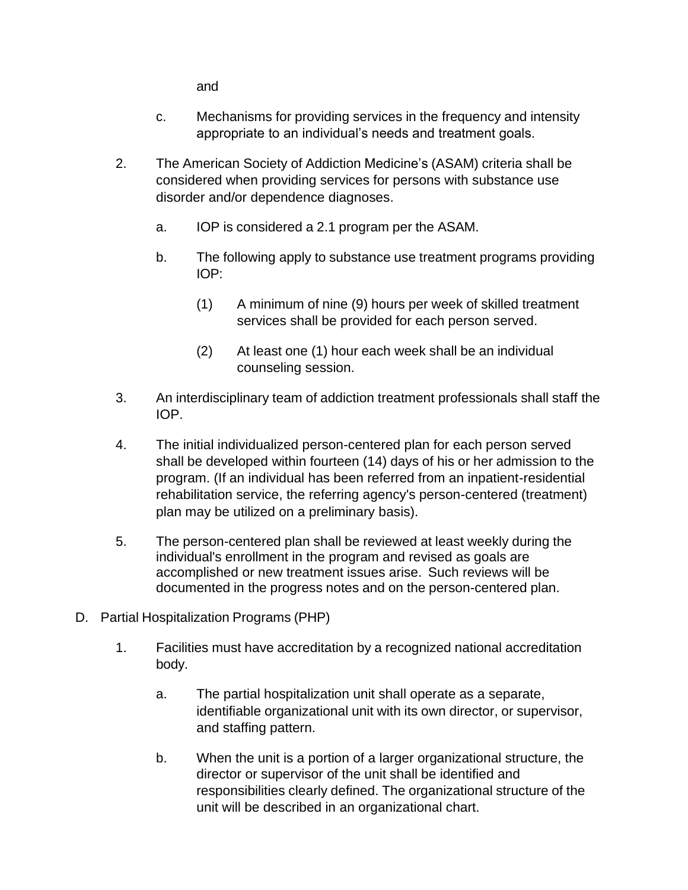and

- c. Mechanisms for providing services in the frequency and intensity appropriate to an individual's needs and treatment goals.
- 2. The American Society of Addiction Medicine's (ASAM) criteria shall be considered when providing services for persons with substance use disorder and/or dependence diagnoses.
	- a. IOP is considered a 2.1 program per the ASAM.
	- b. The following apply to substance use treatment programs providing IOP:
		- (1) A minimum of nine (9) hours per week of skilled treatment services shall be provided for each person served.
		- (2) At least one (1) hour each week shall be an individual counseling session.
- 3. An interdisciplinary team of addiction treatment professionals shall staff the IOP.
- 4. The initial individualized person-centered plan for each person served shall be developed within fourteen (14) days of his or her admission to the program. (If an individual has been referred from an inpatient-residential rehabilitation service, the referring agency's person-centered (treatment) plan may be utilized on a preliminary basis).
- 5. The person-centered plan shall be reviewed at least weekly during the individual's enrollment in the program and revised as goals are accomplished or new treatment issues arise. Such reviews will be documented in the progress notes and on the person-centered plan.
- D. Partial Hospitalization Programs (PHP)
	- 1. Facilities must have accreditation by a recognized national accreditation body.
		- a. The partial hospitalization unit shall operate as a separate, identifiable organizational unit with its own director, or supervisor, and staffing pattern.
		- b. When the unit is a portion of a larger organizational structure, the director or supervisor of the unit shall be identified and responsibilities clearly defined. The organizational structure of the unit will be described in an organizational chart.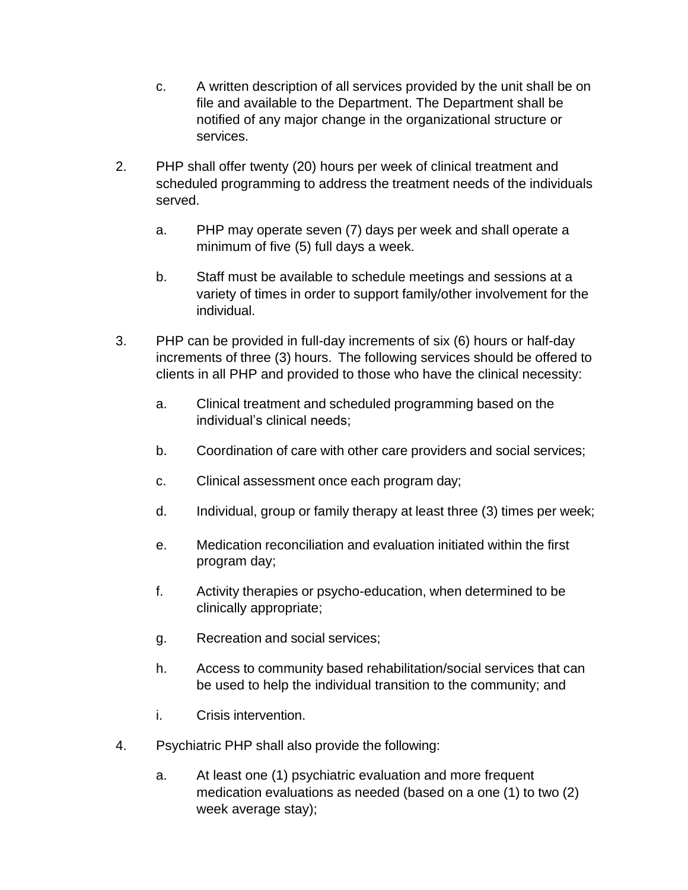- c. A written description of all services provided by the unit shall be on file and available to the Department. The Department shall be notified of any major change in the organizational structure or services.
- 2. PHP shall offer twenty (20) hours per week of clinical treatment and scheduled programming to address the treatment needs of the individuals served.
	- a. PHP may operate seven (7) days per week and shall operate a minimum of five (5) full days a week.
	- b. Staff must be available to schedule meetings and sessions at a variety of times in order to support family/other involvement for the individual.
- 3. PHP can be provided in full-day increments of six (6) hours or half-day increments of three (3) hours. The following services should be offered to clients in all PHP and provided to those who have the clinical necessity:
	- a. Clinical treatment and scheduled programming based on the individual's clinical needs;
	- b. Coordination of care with other care providers and social services;
	- c. Clinical assessment once each program day;
	- d. Individual, group or family therapy at least three (3) times per week;
	- e. Medication reconciliation and evaluation initiated within the first program day;
	- f. Activity therapies or psycho-education, when determined to be clinically appropriate;
	- g. Recreation and social services;
	- h. Access to community based rehabilitation/social services that can be used to help the individual transition to the community; and
	- i. Crisis intervention.
- 4. Psychiatric PHP shall also provide the following:
	- a. At least one (1) psychiatric evaluation and more frequent medication evaluations as needed (based on a one (1) to two (2) week average stay);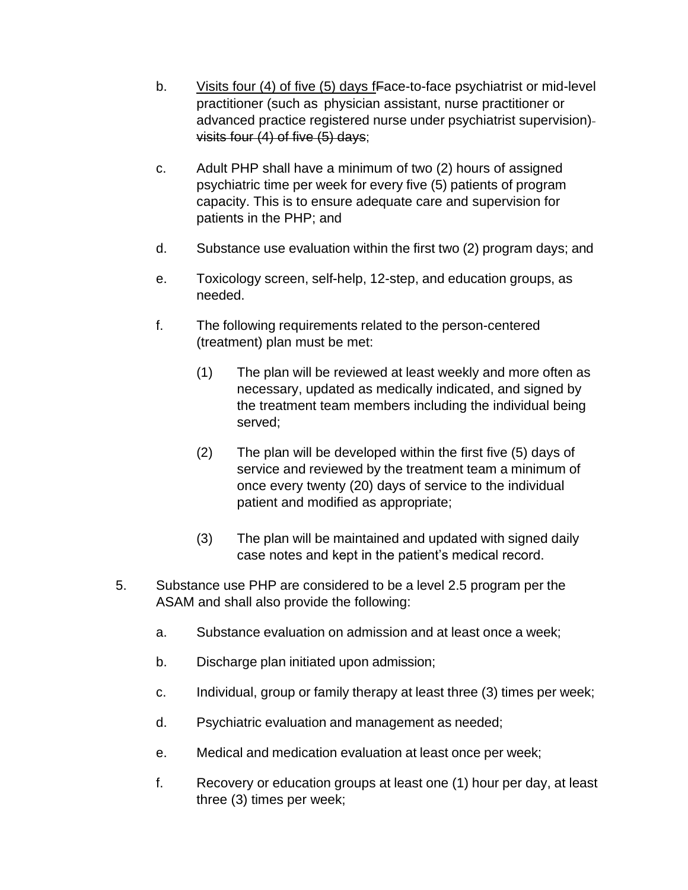- b. Visits four (4) of five (5) days fFace-to-face psychiatrist or mid-level practitioner (such as physician assistant, nurse practitioner or advanced practice registered nurse under psychiatrist supervision) visits four (4) of five (5) days;
- c. Adult PHP shall have a minimum of two (2) hours of assigned psychiatric time per week for every five (5) patients of program capacity. This is to ensure adequate care and supervision for patients in the PHP; and
- d. Substance use evaluation within the first two (2) program days; and
- e. Toxicology screen, self-help, 12-step, and education groups, as needed.
- f. The following requirements related to the person-centered (treatment) plan must be met:
	- (1) The plan will be reviewed at least weekly and more often as necessary, updated as medically indicated, and signed by the treatment team members including the individual being served;
	- (2) The plan will be developed within the first five (5) days of service and reviewed by the treatment team a minimum of once every twenty (20) days of service to the individual patient and modified as appropriate;
	- (3) The plan will be maintained and updated with signed daily case notes and kept in the patient's medical record.
- 5. Substance use PHP are considered to be a level 2.5 program per the ASAM and shall also provide the following:
	- a. Substance evaluation on admission and at least once a week;
	- b. Discharge plan initiated upon admission;
	- c. Individual, group or family therapy at least three (3) times per week;
	- d. Psychiatric evaluation and management as needed;
	- e. Medical and medication evaluation at least once per week;
	- f. Recovery or education groups at least one (1) hour per day, at least three (3) times per week;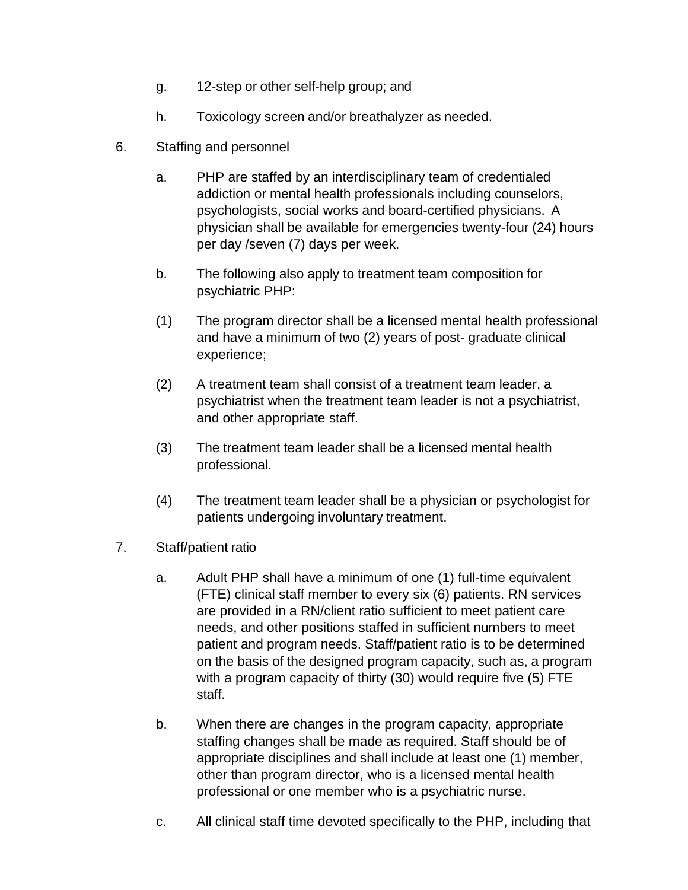- g. 12-step or other self-help group; and
- h. Toxicology screen and/or breathalyzer as needed.
- 6. Staffing and personnel
	- a. PHP are staffed by an interdisciplinary team of credentialed addiction or mental health professionals including counselors, psychologists, social works and board-certified physicians. A physician shall be available for emergencies twenty-four (24) hours per day /seven (7) days per week.
	- b. The following also apply to treatment team composition for psychiatric PHP:
	- (1) The program director shall be a licensed mental health professional and have a minimum of two (2) years of post- graduate clinical experience;
	- (2) A treatment team shall consist of a treatment team leader, a psychiatrist when the treatment team leader is not a psychiatrist, and other appropriate staff.
	- (3) The treatment team leader shall be a licensed mental health professional.
	- (4) The treatment team leader shall be a physician or psychologist for patients undergoing involuntary treatment.
- 7. Staff/patient ratio
	- a. Adult PHP shall have a minimum of one (1) full-time equivalent (FTE) clinical staff member to every six (6) patients. RN services are provided in a RN/client ratio sufficient to meet patient care needs, and other positions staffed in sufficient numbers to meet patient and program needs. Staff/patient ratio is to be determined on the basis of the designed program capacity, such as, a program with a program capacity of thirty (30) would require five (5) FTE staff.
	- b. When there are changes in the program capacity, appropriate staffing changes shall be made as required. Staff should be of appropriate disciplines and shall include at least one (1) member, other than program director, who is a licensed mental health professional or one member who is a psychiatric nurse.
	- c. All clinical staff time devoted specifically to the PHP, including that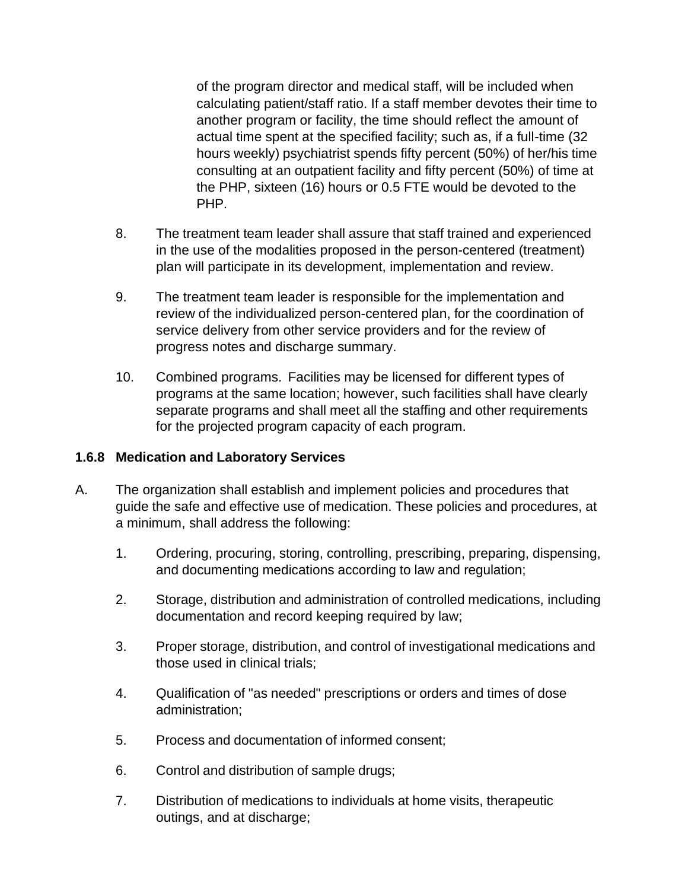of the program director and medical staff, will be included when calculating patient/staff ratio. If a staff member devotes their time to another program or facility, the time should reflect the amount of actual time spent at the specified facility; such as, if a full-time (32 hours weekly) psychiatrist spends fifty percent (50%) of her/his time consulting at an outpatient facility and fifty percent (50%) of time at the PHP, sixteen (16) hours or 0.5 FTE would be devoted to the PHP.

- 8. The treatment team leader shall assure that staff trained and experienced in the use of the modalities proposed in the person-centered (treatment) plan will participate in its development, implementation and review.
- 9. The treatment team leader is responsible for the implementation and review of the individualized person-centered plan, for the coordination of service delivery from other service providers and for the review of progress notes and discharge summary.
- 10. Combined programs. Facilities may be licensed for different types of programs at the same location; however, such facilities shall have clearly separate programs and shall meet all the staffing and other requirements for the projected program capacity of each program.

#### **1.6.8 Medication and Laboratory Services**

- A. The organization shall establish and implement policies and procedures that guide the safe and effective use of medication. These policies and procedures, at a minimum, shall address the following:
	- 1. Ordering, procuring, storing, controlling, prescribing, preparing, dispensing, and documenting medications according to law and regulation;
	- 2. Storage, distribution and administration of controlled medications, including documentation and record keeping required by law;
	- 3. Proper storage, distribution, and control of investigational medications and those used in clinical trials;
	- 4. Qualification of "as needed" prescriptions or orders and times of dose administration;
	- 5. Process and documentation of informed consent;
	- 6. Control and distribution of sample drugs;
	- 7. Distribution of medications to individuals at home visits, therapeutic outings, and at discharge;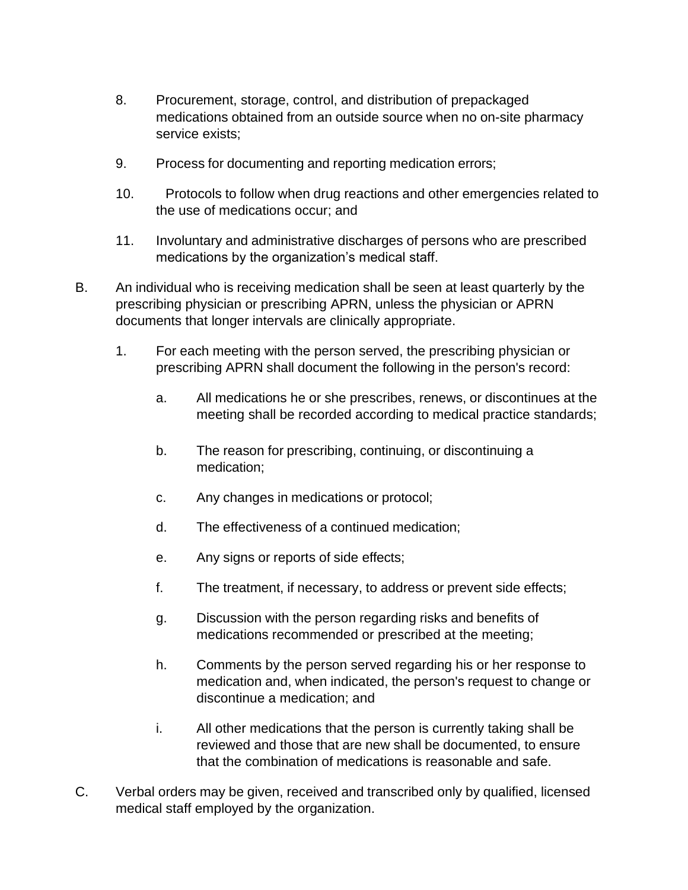- 8. Procurement, storage, control, and distribution of prepackaged medications obtained from an outside source when no on-site pharmacy service exists;
- 9. Process for documenting and reporting medication errors;
- 10. Protocols to follow when drug reactions and other emergencies related to the use of medications occur; and
- 11. Involuntary and administrative discharges of persons who are prescribed medications by the organization's medical staff.
- B. An individual who is receiving medication shall be seen at least quarterly by the prescribing physician or prescribing APRN, unless the physician or APRN documents that longer intervals are clinically appropriate.
	- 1. For each meeting with the person served, the prescribing physician or prescribing APRN shall document the following in the person's record:
		- a. All medications he or she prescribes, renews, or discontinues at the meeting shall be recorded according to medical practice standards;
		- b. The reason for prescribing, continuing, or discontinuing a medication;
		- c. Any changes in medications or protocol;
		- d. The effectiveness of a continued medication;
		- e. Any signs or reports of side effects;
		- f. The treatment, if necessary, to address or prevent side effects;
		- g. Discussion with the person regarding risks and benefits of medications recommended or prescribed at the meeting;
		- h. Comments by the person served regarding his or her response to medication and, when indicated, the person's request to change or discontinue a medication; and
		- i. All other medications that the person is currently taking shall be reviewed and those that are new shall be documented, to ensure that the combination of medications is reasonable and safe.
- C. Verbal orders may be given, received and transcribed only by qualified, licensed medical staff employed by the organization.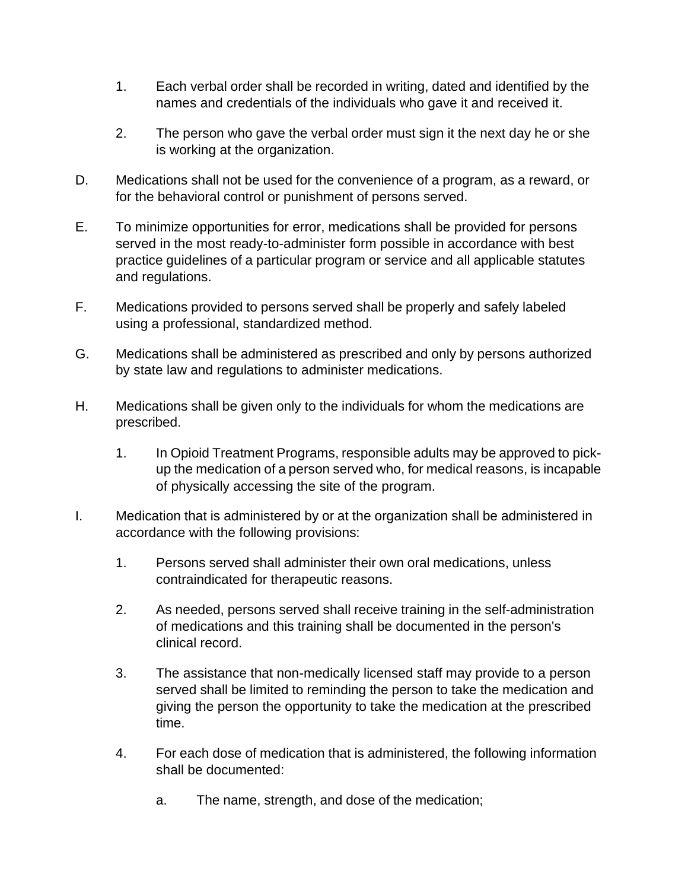- 1. Each verbal order shall be recorded in writing, dated and identified by the names and credentials of the individuals who gave it and received it.
- 2. The person who gave the verbal order must sign it the next day he or she is working at the organization.
- D. Medications shall not be used for the convenience of a program, as a reward, or for the behavioral control or punishment of persons served.
- E. To minimize opportunities for error, medications shall be provided for persons served in the most ready-to-administer form possible in accordance with best practice guidelines of a particular program or service and all applicable statutes and regulations.
- F. Medications provided to persons served shall be properly and safely labeled using a professional, standardized method.
- G. Medications shall be administered as prescribed and only by persons authorized by state law and regulations to administer medications.
- H. Medications shall be given only to the individuals for whom the medications are prescribed.
	- 1. In Opioid Treatment Programs, responsible adults may be approved to pickup the medication of a person served who, for medical reasons, is incapable of physically accessing the site of the program.
- I. Medication that is administered by or at the organization shall be administered in accordance with the following provisions:
	- 1. Persons served shall administer their own oral medications, unless contraindicated for therapeutic reasons.
	- 2. As needed, persons served shall receive training in the self-administration of medications and this training shall be documented in the person's clinical record.
	- 3. The assistance that non-medically licensed staff may provide to a person served shall be limited to reminding the person to take the medication and giving the person the opportunity to take the medication at the prescribed time.
	- 4. For each dose of medication that is administered, the following information shall be documented:
		- a. The name, strength, and dose of the medication;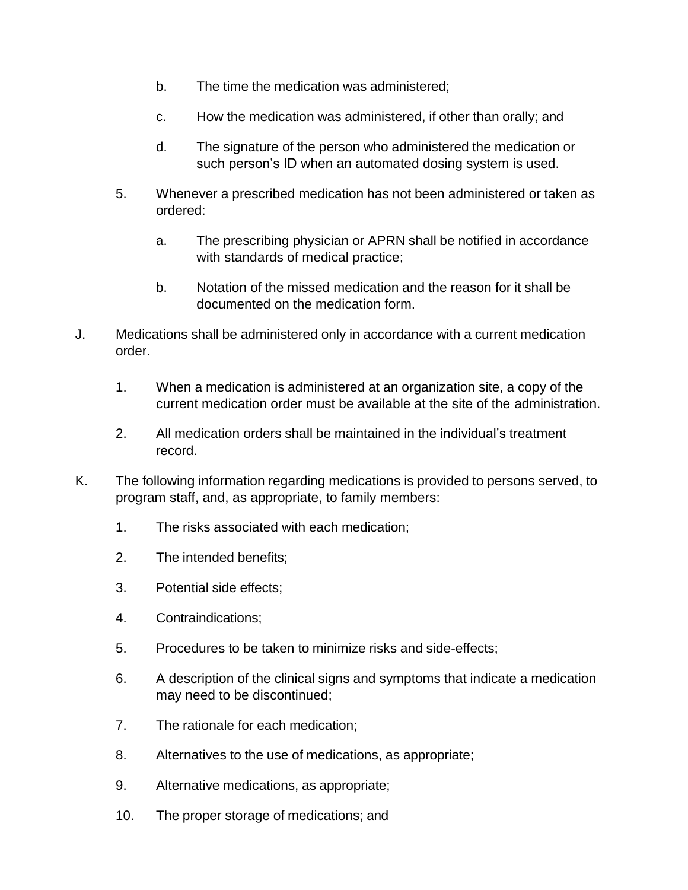- b. The time the medication was administered;
- c. How the medication was administered, if other than orally; and
- d. The signature of the person who administered the medication or such person's ID when an automated dosing system is used.
- 5. Whenever a prescribed medication has not been administered or taken as ordered:
	- a. The prescribing physician or APRN shall be notified in accordance with standards of medical practice;
	- b. Notation of the missed medication and the reason for it shall be documented on the medication form.
- J. Medications shall be administered only in accordance with a current medication order.
	- 1. When a medication is administered at an organization site, a copy of the current medication order must be available at the site of the administration.
	- 2. All medication orders shall be maintained in the individual's treatment record.
- K. The following information regarding medications is provided to persons served, to program staff, and, as appropriate, to family members:
	- 1. The risks associated with each medication;
	- 2. The intended benefits;
	- 3. Potential side effects;
	- 4. Contraindications;
	- 5. Procedures to be taken to minimize risks and side-effects;
	- 6. A description of the clinical signs and symptoms that indicate a medication may need to be discontinued;
	- 7. The rationale for each medication;
	- 8. Alternatives to the use of medications, as appropriate;
	- 9. Alternative medications, as appropriate;
	- 10. The proper storage of medications; and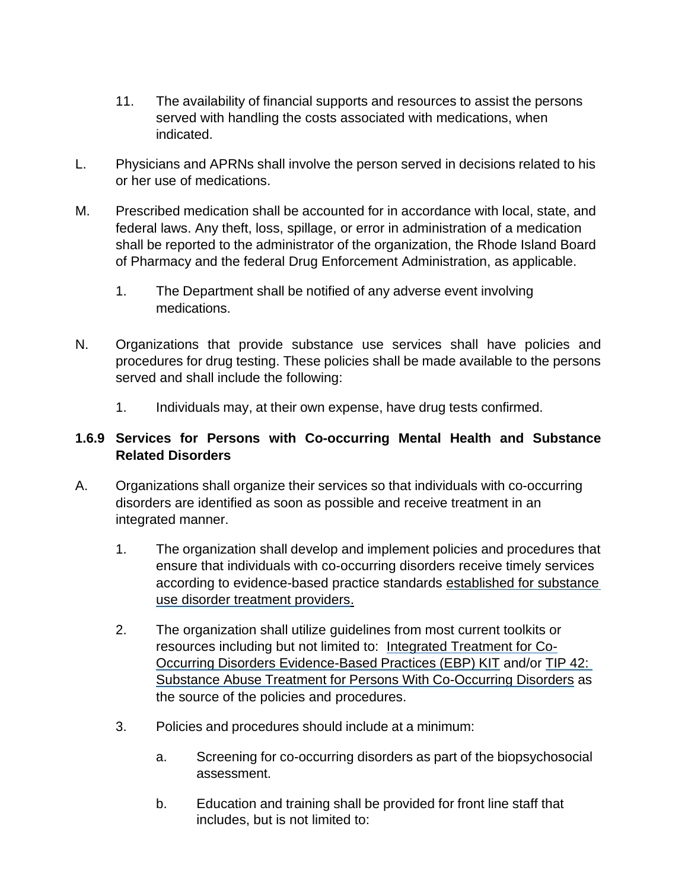- 11. The availability of financial supports and resources to assist the persons served with handling the costs associated with medications, when indicated.
- L. Physicians and APRNs shall involve the person served in decisions related to his or her use of medications.
- M. Prescribed medication shall be accounted for in accordance with local, state, and federal laws. Any theft, loss, spillage, or error in administration of a medication shall be reported to the administrator of the organization, the Rhode Island Board of Pharmacy and the federal Drug Enforcement Administration, as applicable.
	- 1. The Department shall be notified of any adverse event involving medications.
- N. Organizations that provide substance use services shall have policies and procedures for drug testing. These policies shall be made available to the persons served and shall include the following:
	- 1. Individuals may, at their own expense, have drug tests confirmed.

# **1.6.9 Services for Persons with Co-occurring Mental Health and Substance Related Disorders**

- A. Organizations shall organize their services so that individuals with co-occurring disorders are identified as soon as possible and receive treatment in an integrated manner.
	- 1. The organization shall develop and implement policies and procedures that ensure that individuals with co-occurring disorders receive timely services according to evidence-based practice standards established for substance use disorder treatment providers.
	- 2. The organization shall utilize guidelines from most current toolkits or resources including but not limited to: Integrated Treatment for Co-Occurring Disorders Evidence-Based Practices (EBP) KIT and/or TIP 42: Substance Abuse Treatment for Persons With Co-Occurring Disorders as the source of the policies and procedures.
	- 3. Policies and procedures should include at a minimum:
		- a. Screening for co-occurring disorders as part of the biopsychosocial assessment.
		- b. Education and training shall be provided for front line staff that includes, but is not limited to: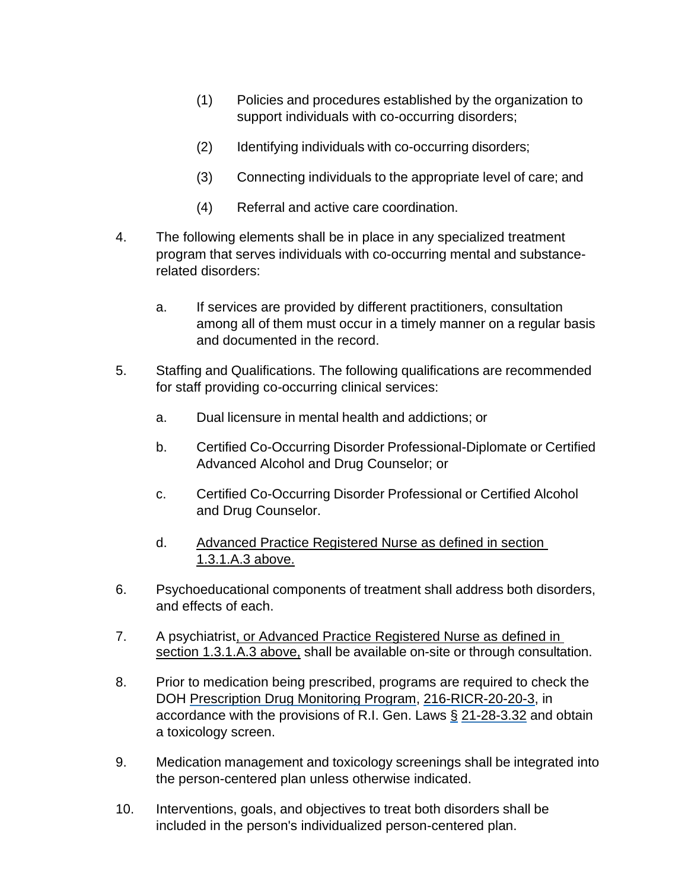- (1) Policies and procedures established by the organization to support individuals with co-occurring disorders;
- (2) Identifying individuals with co-occurring disorders;
- (3) Connecting individuals to the appropriate level of care; and
- (4) Referral and active care coordination.
- 4. The following elements shall be in place in any specialized treatment program that serves individuals with co-occurring mental and substancerelated disorders:
	- a. If services are provided by different practitioners, consultation among all of them must occur in a timely manner on a regular basis and documented in the record.
- 5. Staffing and Qualifications. The following qualifications are recommended for staff providing co-occurring clinical services:
	- a. Dual licensure in mental health and addictions; or
	- b. Certified Co-Occurring Disorder Professional-Diplomate or Certified Advanced Alcohol and Drug Counselor; or
	- c. Certified Co-Occurring Disorder Professional or Certified Alcohol and Drug Counselor.
	- d. Advanced Practice Registered Nurse as defined in section 1.3.1.A.3 above.
- 6. Psychoeducational components of treatment shall address both disorders, and effects of each.
- 7. A psychiatrist, or Advanced Practice Registered Nurse as defined in section 1.3.1.A.3 above, shall be available on-site or through consultation.
- 8. Prior to medication being prescribed, programs are required to check the DOH Prescription Drug Monitoring Program, 216-RICR-20-20-3, in accordance with the provisions of R.I. Gen. Laws § 21-28-3.32 and obtain a toxicology screen.
- 9. Medication management and toxicology screenings shall be integrated into the person-centered plan unless otherwise indicated.
- 10. Interventions, goals, and objectives to treat both disorders shall be included in the person's individualized person-centered plan.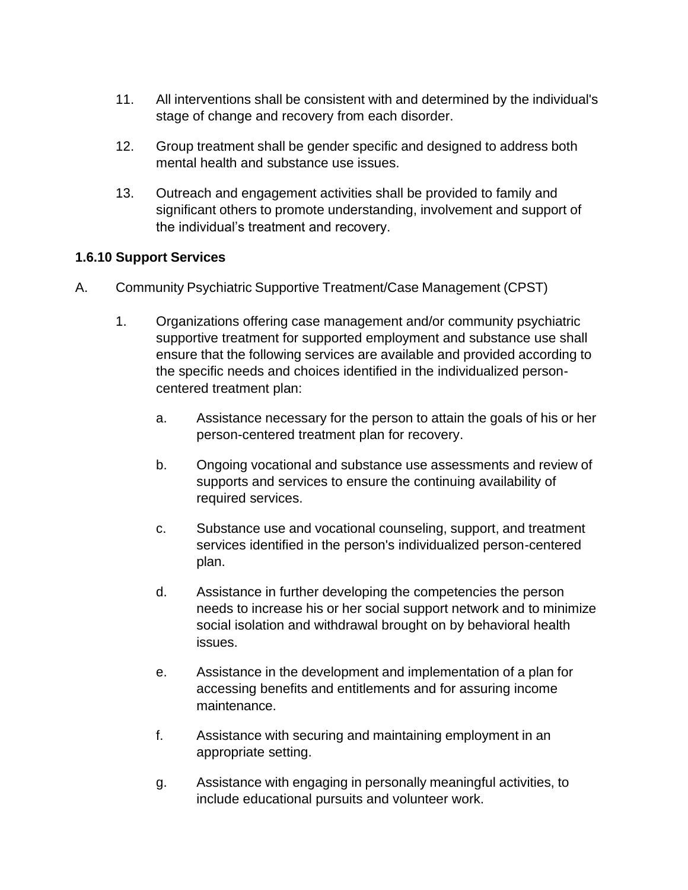- 11. All interventions shall be consistent with and determined by the individual's stage of change and recovery from each disorder.
- 12. Group treatment shall be gender specific and designed to address both mental health and substance use issues.
- 13. Outreach and engagement activities shall be provided to family and significant others to promote understanding, involvement and support of the individual's treatment and recovery.

## **1.6.10 Support Services**

- A. Community Psychiatric Supportive Treatment/Case Management (CPST)
	- 1. Organizations offering case management and/or community psychiatric supportive treatment for supported employment and substance use shall ensure that the following services are available and provided according to the specific needs and choices identified in the individualized personcentered treatment plan:
		- a. Assistance necessary for the person to attain the goals of his or her person-centered treatment plan for recovery.
		- b. Ongoing vocational and substance use assessments and review of supports and services to ensure the continuing availability of required services.
		- c. Substance use and vocational counseling, support, and treatment services identified in the person's individualized person-centered plan.
		- d. Assistance in further developing the competencies the person needs to increase his or her social support network and to minimize social isolation and withdrawal brought on by behavioral health issues.
		- e. Assistance in the development and implementation of a plan for accessing benefits and entitlements and for assuring income maintenance.
		- f. Assistance with securing and maintaining employment in an appropriate setting.
		- g. Assistance with engaging in personally meaningful activities, to include educational pursuits and volunteer work.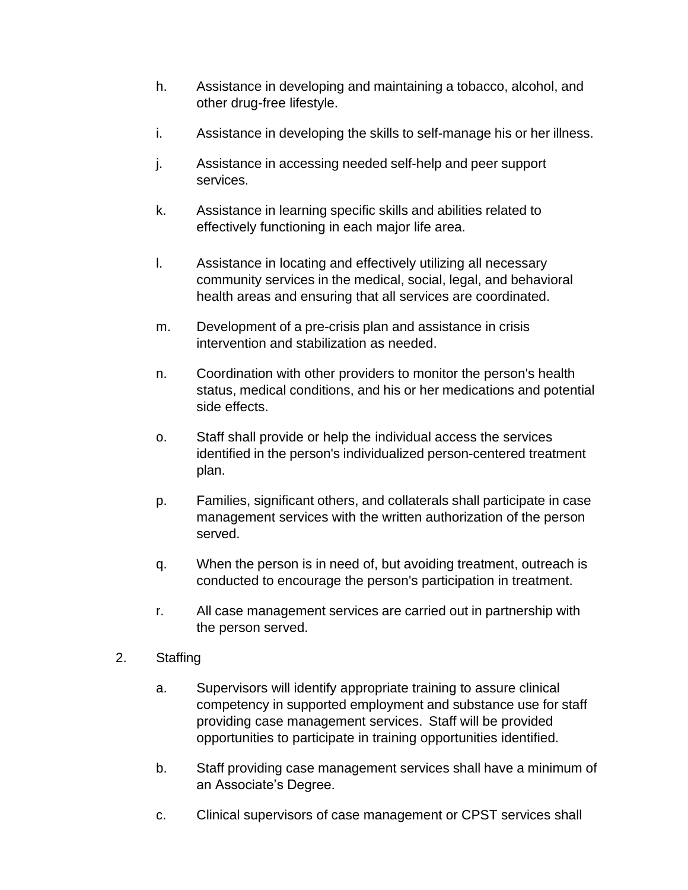- h. Assistance in developing and maintaining a tobacco, alcohol, and other drug-free lifestyle.
- i. Assistance in developing the skills to self-manage his or her illness.
- j. Assistance in accessing needed self-help and peer support services.
- k. Assistance in learning specific skills and abilities related to effectively functioning in each major life area.
- l. Assistance in locating and effectively utilizing all necessary community services in the medical, social, legal, and behavioral health areas and ensuring that all services are coordinated.
- m. Development of a pre-crisis plan and assistance in crisis intervention and stabilization as needed.
- n. Coordination with other providers to monitor the person's health status, medical conditions, and his or her medications and potential side effects.
- o. Staff shall provide or help the individual access the services identified in the person's individualized person-centered treatment plan.
- p. Families, significant others, and collaterals shall participate in case management services with the written authorization of the person served.
- q. When the person is in need of, but avoiding treatment, outreach is conducted to encourage the person's participation in treatment.
- r. All case management services are carried out in partnership with the person served.
- 2. Staffing
	- a. Supervisors will identify appropriate training to assure clinical competency in supported employment and substance use for staff providing case management services. Staff will be provided opportunities to participate in training opportunities identified.
	- b. Staff providing case management services shall have a minimum of an Associate's Degree.
	- c. Clinical supervisors of case management or CPST services shall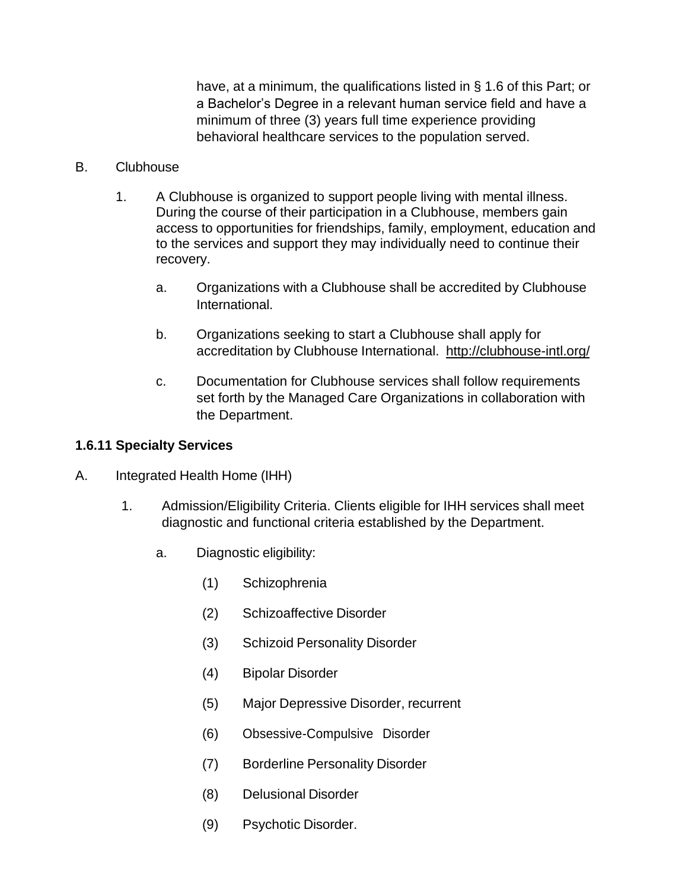have, at a minimum, the qualifications listed in § 1.6 of this Part; or a Bachelor's Degree in a relevant human service field and have a minimum of three (3) years full time experience providing behavioral healthcare services to the population served.

#### B. Clubhouse

- 1. A Clubhouse is organized to support people living with mental illness. During the course of their participation in a Clubhouse, members gain access to opportunities for friendships, family, employment, education and to the services and support they may individually need to continue their recovery.
	- a. Organizations with a Clubhouse shall be accredited by Clubhouse International.
	- b. Organizations seeking to start a Clubhouse shall apply for accreditation by Clubhouse International. <http://clubhouse-intl.org/>
	- c. Documentation for Clubhouse services shall follow requirements set forth by the Managed Care Organizations in collaboration with the Department.

### **1.6.11 Specialty Services**

- A. Integrated Health Home (IHH)
	- 1. Admission/Eligibility Criteria. Clients eligible for IHH services shall meet diagnostic and functional criteria established by the Department.
		- a. Diagnostic eligibility:
			- (1) Schizophrenia
			- (2) Schizoaffective Disorder
			- (3) Schizoid Personality Disorder
			- (4) Bipolar Disorder
			- (5) Major Depressive Disorder, recurrent
			- (6) Obsessive-Compulsive Disorder
			- (7) Borderline Personality Disorder
			- (8) Delusional Disorder
			- (9) Psychotic Disorder.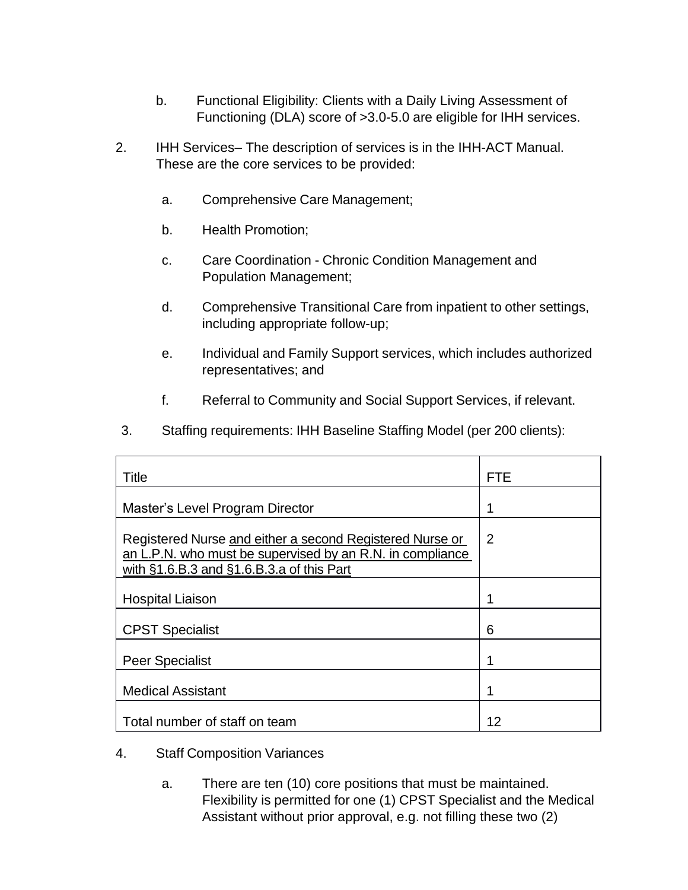- b. Functional Eligibility: Clients with a Daily Living Assessment of Functioning (DLA) score of >3.0-5.0 are eligible for IHH services.
- 2. IHH Services– The description of services is in the IHH-ACT Manual. These are the core services to be provided:
	- a. Comprehensive Care Management;
	- b. Health Promotion;
	- c. Care Coordination Chronic Condition Management and Population Management;
	- d. Comprehensive Transitional Care from inpatient to other settings, including appropriate follow-up;
	- e. Individual and Family Support services, which includes authorized representatives; and
	- f. Referral to Community and Social Support Services, if relevant.
- 3. Staffing requirements: IHH Baseline Staffing Model (per 200 clients):

| Title                                                                                                                                                                  | FTE            |
|------------------------------------------------------------------------------------------------------------------------------------------------------------------------|----------------|
| Master's Level Program Director                                                                                                                                        | 1              |
| Registered Nurse and either a second Registered Nurse or<br>an L.P.N. who must be supervised by an R.N. in compliance<br>with $§1.6.B.3$ and $§1.6.B.3.a$ of this Part | $\overline{2}$ |
| <b>Hospital Liaison</b>                                                                                                                                                |                |
| <b>CPST Specialist</b>                                                                                                                                                 | 6              |
| <b>Peer Specialist</b>                                                                                                                                                 | 1              |
| <b>Medical Assistant</b>                                                                                                                                               | 1              |
| Total number of staff on team                                                                                                                                          | 12             |

- 4. Staff Composition Variances
	- a. There are ten (10) core positions that must be maintained. Flexibility is permitted for one (1) CPST Specialist and the Medical Assistant without prior approval, e.g. not filling these two (2)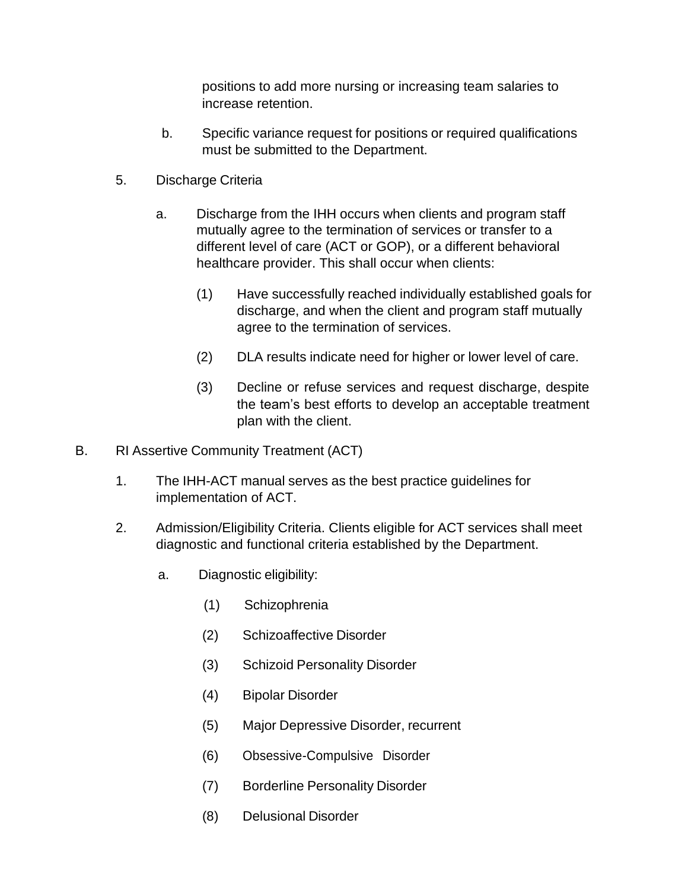positions to add more nursing or increasing team salaries to increase retention.

- b. Specific variance request for positions or required qualifications must be submitted to the Department.
- 5. Discharge Criteria
	- a. Discharge from the IHH occurs when clients and program staff mutually agree to the termination of services or transfer to a different level of care (ACT or GOP), or a different behavioral healthcare provider. This shall occur when clients:
		- (1) Have successfully reached individually established goals for discharge, and when the client and program staff mutually agree to the termination of services.
		- (2) DLA results indicate need for higher or lower level of care.
		- (3) Decline or refuse services and request discharge, despite the team's best efforts to develop an acceptable treatment plan with the client.
- B. RI Assertive Community Treatment (ACT)
	- 1. The IHH-ACT manual serves as the best practice guidelines for implementation of ACT.
	- 2. Admission/Eligibility Criteria. Clients eligible for ACT services shall meet diagnostic and functional criteria established by the Department.
		- a. Diagnostic eligibility:
			- (1) Schizophrenia
			- (2) Schizoaffective Disorder
			- (3) Schizoid Personality Disorder
			- (4) Bipolar Disorder
			- (5) Major Depressive Disorder, recurrent
			- (6) Obsessive-Compulsive Disorder
			- (7) Borderline Personality Disorder
			- (8) Delusional Disorder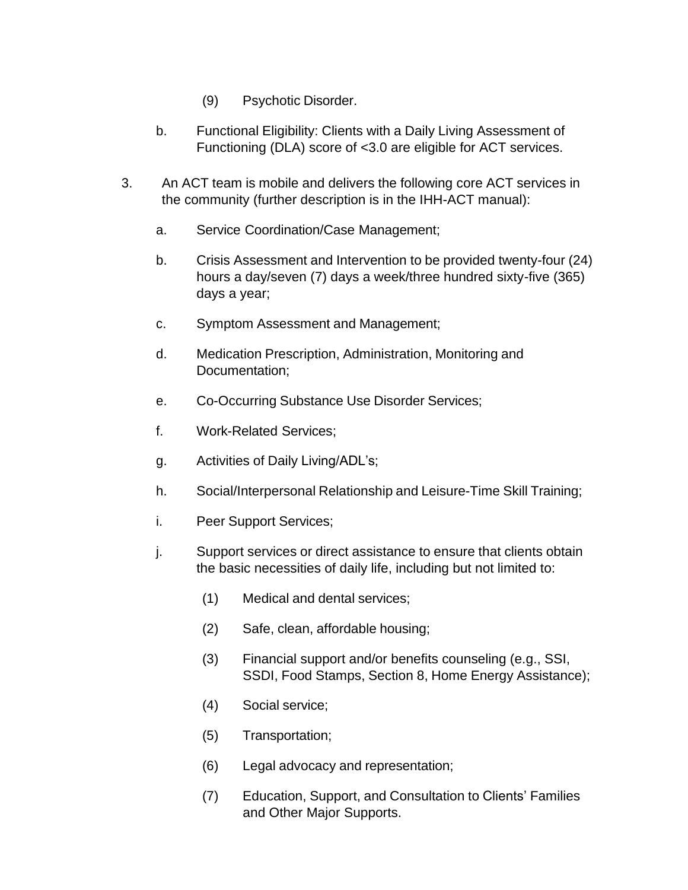- (9) Psychotic Disorder.
- b. Functional Eligibility: Clients with a Daily Living Assessment of Functioning (DLA) score of <3.0 are eligible for ACT services.
- 3. An ACT team is mobile and delivers the following core ACT services in the community (further description is in the IHH-ACT manual):
	- a. Service Coordination/Case Management;
	- b. Crisis Assessment and Intervention to be provided twenty-four (24) hours a day/seven (7) days a week/three hundred sixty-five (365) days a year;
	- c. Symptom Assessment and Management;
	- d. Medication Prescription, Administration, Monitoring and Documentation;
	- e. Co-Occurring Substance Use Disorder Services;
	- f. Work-Related Services;
	- g. Activities of Daily Living/ADL's;
	- h. Social/Interpersonal Relationship and Leisure-Time Skill Training;
	- i. Peer Support Services;
	- j. Support services or direct assistance to ensure that clients obtain the basic necessities of daily life, including but not limited to:
		- (1) Medical and dental services;
		- (2) Safe, clean, affordable housing;
		- (3) Financial support and/or benefits counseling (e.g., SSI, SSDI, Food Stamps, Section 8, Home Energy Assistance);
		- (4) Social service;
		- (5) Transportation;
		- (6) Legal advocacy and representation;
		- (7) Education, Support, and Consultation to Clients' Families and Other Major Supports.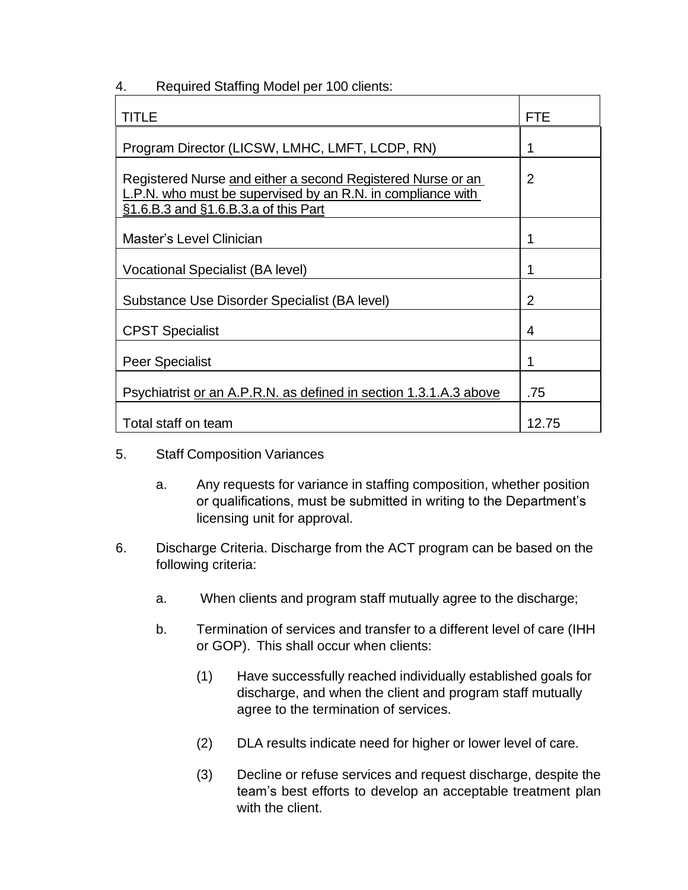| TITLE                                                                                                                                                              | <b>FTE</b>     |
|--------------------------------------------------------------------------------------------------------------------------------------------------------------------|----------------|
| Program Director (LICSW, LMHC, LMFT, LCDP, RN)                                                                                                                     | 1              |
| Registered Nurse and either a second Registered Nurse or an<br>L.P.N. who must be supervised by an R.N. in compliance with<br>§1.6.B.3 and §1.6.B.3.a of this Part | $\overline{2}$ |
| <b>Master's Level Clinician</b>                                                                                                                                    | 1              |
| <b>Vocational Specialist (BA level)</b>                                                                                                                            | 1              |
| Substance Use Disorder Specialist (BA level)                                                                                                                       | $\overline{2}$ |
| <b>CPST Specialist</b>                                                                                                                                             | 4              |
| <b>Peer Specialist</b>                                                                                                                                             | 1              |
| Psychiatrist or an A.P.R.N. as defined in section 1.3.1.A.3 above                                                                                                  | .75            |
| Total staff on team                                                                                                                                                | 12.75          |

4. Required Staffing Model per 100 clients:

- 5. Staff Composition Variances
	- a. Any requests for variance in staffing composition, whether position or qualifications, must be submitted in writing to the Department's licensing unit for approval.
- 6. Discharge Criteria. Discharge from the ACT program can be based on the following criteria:
	- a. When clients and program staff mutually agree to the discharge;
	- b. Termination of services and transfer to a different level of care (IHH or GOP). This shall occur when clients:
		- (1) Have successfully reached individually established goals for discharge, and when the client and program staff mutually agree to the termination of services.
		- (2) DLA results indicate need for higher or lower level of care.
		- (3) Decline or refuse services and request discharge, despite the team's best efforts to develop an acceptable treatment plan with the client.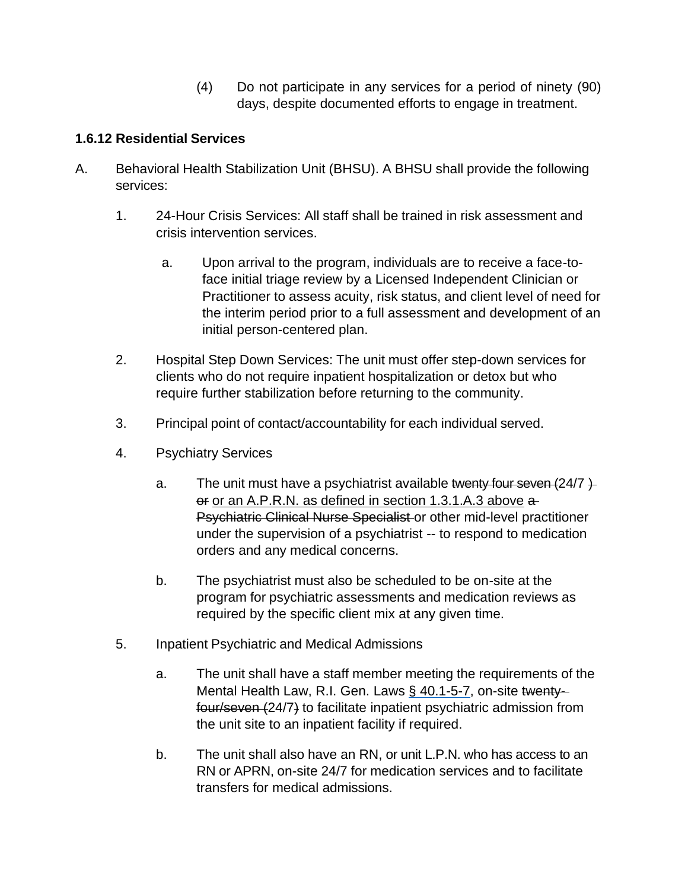(4) Do not participate in any services for a period of ninety (90) days, despite documented efforts to engage in treatment.

### **1.6.12 Residential Services**

- A. Behavioral Health Stabilization Unit (BHSU). A BHSU shall provide the following services:
	- 1. 24-Hour Crisis Services: All staff shall be trained in risk assessment and crisis intervention services.
		- a. Upon arrival to the program, individuals are to receive a face-toface initial triage review by a Licensed Independent Clinician or Practitioner to assess acuity, risk status, and client level of need for the interim period prior to a full assessment and development of an initial person-centered plan.
	- 2. Hospital Step Down Services: The unit must offer step-down services for clients who do not require inpatient hospitalization or detox but who require further stabilization before returning to the community.
	- 3. Principal point of contact/accountability for each individual served.
	- 4. Psychiatry Services
		- a. The unit must have a psychiatrist available twenty four seven  $(24/7)$ . or or an A.P.R.N. as defined in section 1.3.1.A.3 above a Psychiatric Clinical Nurse Specialist or other mid-level practitioner under the supervision of a psychiatrist -- to respond to medication orders and any medical concerns.
		- b. The psychiatrist must also be scheduled to be on-site at the program for psychiatric assessments and medication reviews as required by the specific client mix at any given time.
	- 5. Inpatient Psychiatric and Medical Admissions
		- a. The unit shall have a staff member meeting the requirements of the Mental Health Law, R.I. Gen. Laws § 40.1-5-7, on-site twentyfour/seven (24/7) to facilitate inpatient psychiatric admission from the unit site to an inpatient facility if required.
		- b. The unit shall also have an RN, or unit L.P.N. who has access to an RN or APRN, on-site 24/7 for medication services and to facilitate transfers for medical admissions.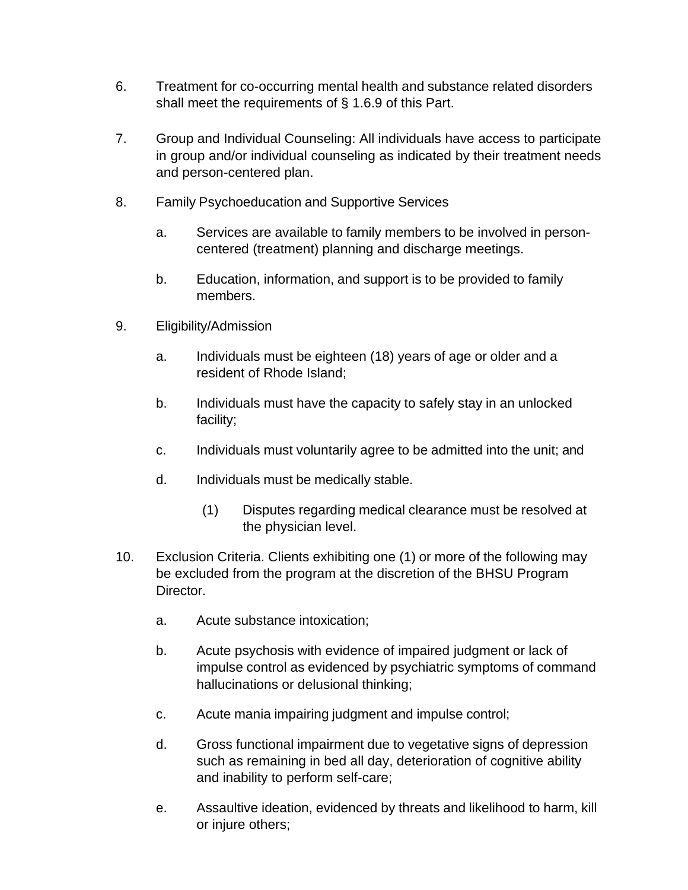- 6. Treatment for co-occurring mental health and substance related disorders shall meet the requirements of § 1.6.9 of this Part.
- 7. Group and Individual Counseling: All individuals have access to participate in group and/or individual counseling as indicated by their treatment needs and person-centered plan.
- 8. Family Psychoeducation and Supportive Services
	- a. Services are available to family members to be involved in personcentered (treatment) planning and discharge meetings.
	- b. Education, information, and support is to be provided to family members.
- 9. Eligibility/Admission
	- a. Individuals must be eighteen (18) years of age or older and a resident of Rhode Island;
	- b. Individuals must have the capacity to safely stay in an unlocked facility;
	- c. Individuals must voluntarily agree to be admitted into the unit; and
	- d. Individuals must be medically stable.
		- (1) Disputes regarding medical clearance must be resolved at the physician level.
- 10. Exclusion Criteria. Clients exhibiting one (1) or more of the following may be excluded from the program at the discretion of the BHSU Program Director.
	- a. Acute substance intoxication;
	- b. Acute psychosis with evidence of impaired judgment or lack of impulse control as evidenced by psychiatric symptoms of command hallucinations or delusional thinking;
	- c. Acute mania impairing judgment and impulse control;
	- d. Gross functional impairment due to vegetative signs of depression such as remaining in bed all day, deterioration of cognitive ability and inability to perform self-care;
	- e. Assaultive ideation, evidenced by threats and likelihood to harm, kill or injure others;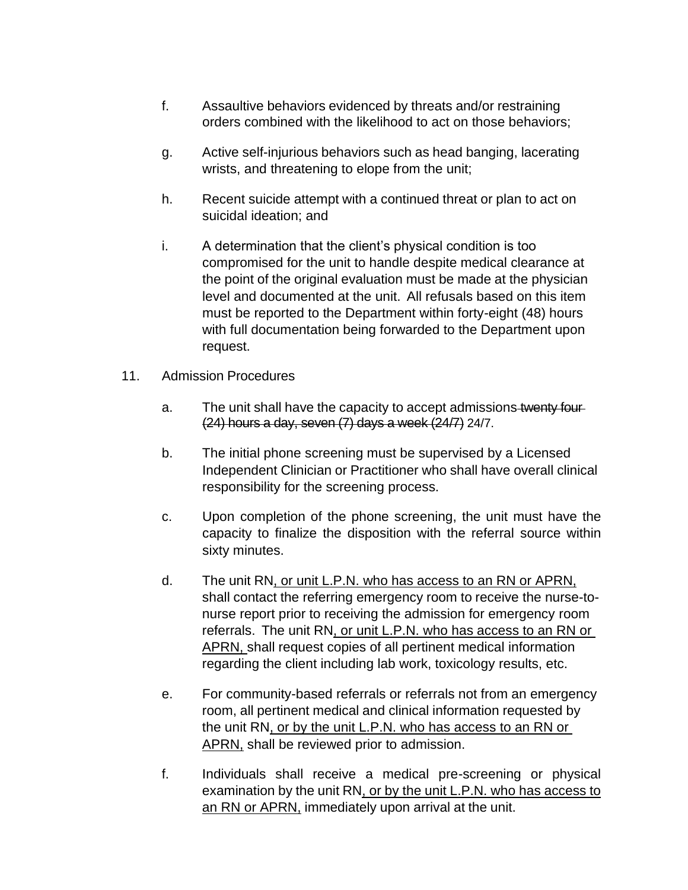- f. Assaultive behaviors evidenced by threats and/or restraining orders combined with the likelihood to act on those behaviors;
- g. Active self-injurious behaviors such as head banging, lacerating wrists, and threatening to elope from the unit;
- h. Recent suicide attempt with a continued threat or plan to act on suicidal ideation; and
- i. A determination that the client's physical condition is too compromised for the unit to handle despite medical clearance at the point of the original evaluation must be made at the physician level and documented at the unit. All refusals based on this item must be reported to the Department within forty-eight (48) hours with full documentation being forwarded to the Department upon request.
- 11. Admission Procedures
	- a. The unit shall have the capacity to accept admissions twenty four-(24) hours a day, seven (7) days a week (24/7) 24/7.
	- b. The initial phone screening must be supervised by a Licensed Independent Clinician or Practitioner who shall have overall clinical responsibility for the screening process.
	- c. Upon completion of the phone screening, the unit must have the capacity to finalize the disposition with the referral source within sixty minutes.
	- d. The unit RN, or unit L.P.N. who has access to an RN or APRN, shall contact the referring emergency room to receive the nurse-tonurse report prior to receiving the admission for emergency room referrals. The unit RN, or unit L.P.N. who has access to an RN or APRN, shall request copies of all pertinent medical information regarding the client including lab work, toxicology results, etc.
	- e. For community-based referrals or referrals not from an emergency room, all pertinent medical and clinical information requested by the unit RN, or by the unit L.P.N. who has access to an RN or APRN, shall be reviewed prior to admission.
	- f. Individuals shall receive a medical pre-screening or physical examination by the unit RN, or by the unit L.P.N. who has access to an RN or APRN, immediately upon arrival at the unit.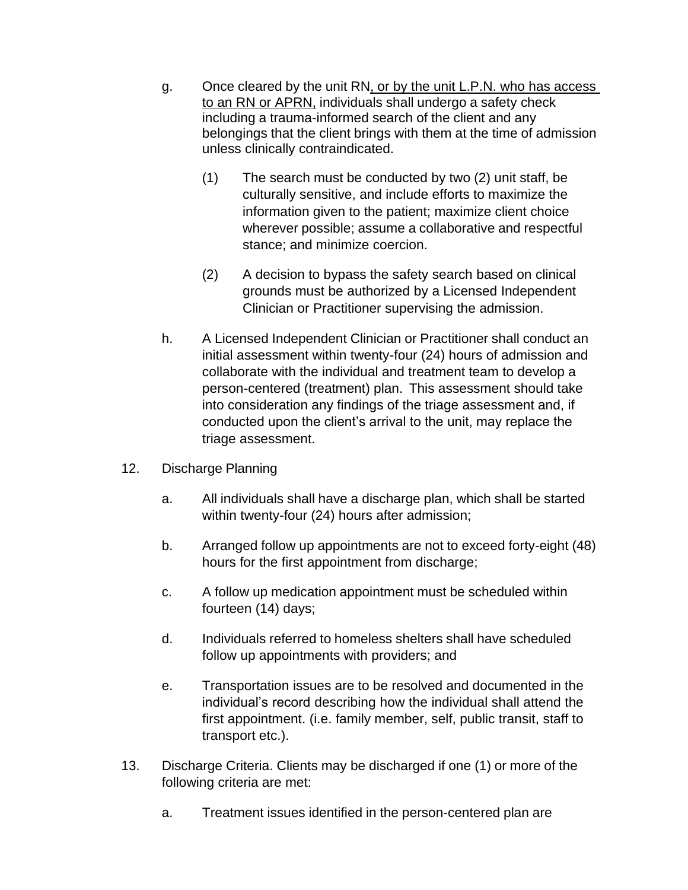- g. Once cleared by the unit RN, or by the unit L.P.N. who has access to an RN or APRN, individuals shall undergo a safety check including a trauma-informed search of the client and any belongings that the client brings with them at the time of admission unless clinically contraindicated.
	- (1) The search must be conducted by two (2) unit staff, be culturally sensitive, and include efforts to maximize the information given to the patient; maximize client choice wherever possible; assume a collaborative and respectful stance; and minimize coercion.
	- (2) A decision to bypass the safety search based on clinical grounds must be authorized by a Licensed Independent Clinician or Practitioner supervising the admission.
- h. A Licensed Independent Clinician or Practitioner shall conduct an initial assessment within twenty-four (24) hours of admission and collaborate with the individual and treatment team to develop a person-centered (treatment) plan. This assessment should take into consideration any findings of the triage assessment and, if conducted upon the client's arrival to the unit, may replace the triage assessment.
- 12. Discharge Planning
	- a. All individuals shall have a discharge plan, which shall be started within twenty-four (24) hours after admission;
	- b. Arranged follow up appointments are not to exceed forty-eight (48) hours for the first appointment from discharge;
	- c. A follow up medication appointment must be scheduled within fourteen (14) days;
	- d. Individuals referred to homeless shelters shall have scheduled follow up appointments with providers; and
	- e. Transportation issues are to be resolved and documented in the individual's record describing how the individual shall attend the first appointment. (i.e. family member, self, public transit, staff to transport etc.).
- 13. Discharge Criteria. Clients may be discharged if one (1) or more of the following criteria are met:
	- a. Treatment issues identified in the person-centered plan are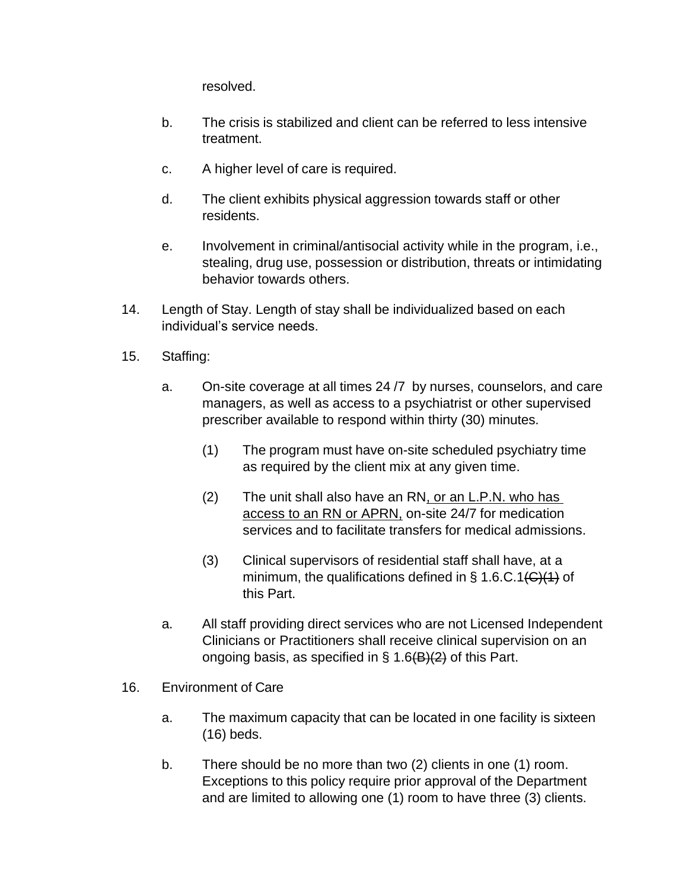resolved.

- b. The crisis is stabilized and client can be referred to less intensive treatment.
- c. A higher level of care is required.
- d. The client exhibits physical aggression towards staff or other residents.
- e. Involvement in criminal/antisocial activity while in the program, i.e., stealing, drug use, possession or distribution, threats or intimidating behavior towards others.
- 14. Length of Stay. Length of stay shall be individualized based on each individual's service needs.
- 15. Staffing:
	- a. On-site coverage at all times 24 /7 by nurses, counselors, and care managers, as well as access to a psychiatrist or other supervised prescriber available to respond within thirty (30) minutes.
		- (1) The program must have on-site scheduled psychiatry time as required by the client mix at any given time.
		- (2) The unit shall also have an RN, or an L.P.N. who has access to an RN or APRN, on-site 24/7 for medication services and to facilitate transfers for medical admissions.
		- (3) Clinical supervisors of residential staff shall have, at a minimum, the qualifications defined in  $\S$  1.6.C.1( $C$ )(1) of this Part.
	- a. All staff providing direct services who are not Licensed Independent Clinicians or Practitioners shall receive clinical supervision on an ongoing basis, as specified in § 1.6(B)(2) of this Part.
- 16. Environment of Care
	- a. The maximum capacity that can be located in one facility is sixteen (16) beds.
	- b. There should be no more than two (2) clients in one (1) room. Exceptions to this policy require prior approval of the Department and are limited to allowing one (1) room to have three (3) clients.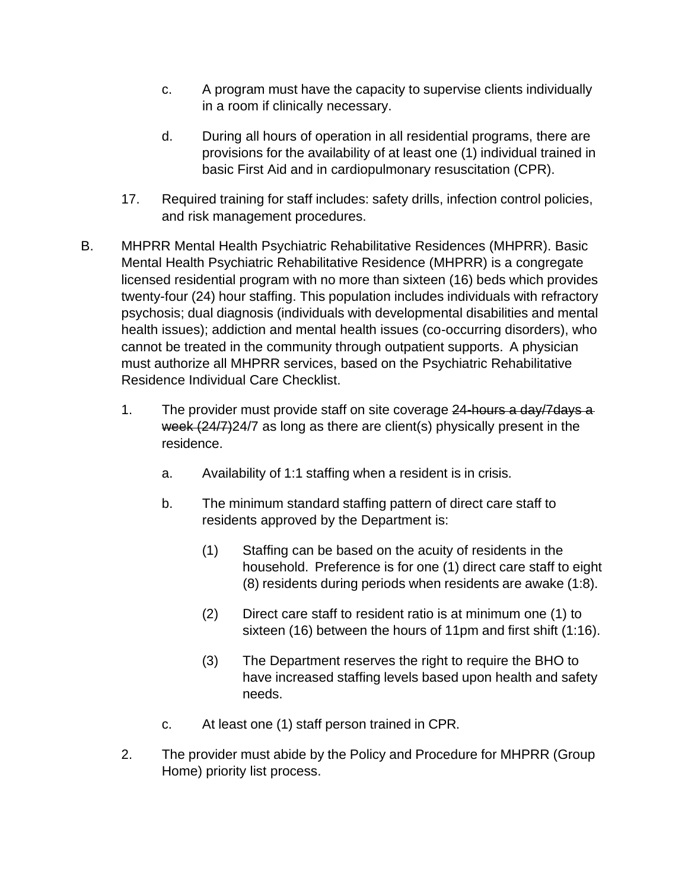- c. A program must have the capacity to supervise clients individually in a room if clinically necessary.
- d. During all hours of operation in all residential programs, there are provisions for the availability of at least one (1) individual trained in basic First Aid and in cardiopulmonary resuscitation (CPR).
- 17. Required training for staff includes: safety drills, infection control policies, and risk management procedures.
- B. MHPRR Mental Health Psychiatric Rehabilitative Residences (MHPRR). Basic Mental Health Psychiatric Rehabilitative Residence (MHPRR) is a congregate licensed residential program with no more than sixteen (16) beds which provides twenty-four (24) hour staffing. This population includes individuals with refractory psychosis; dual diagnosis (individuals with developmental disabilities and mental health issues); addiction and mental health issues (co-occurring disorders), who cannot be treated in the community through outpatient supports. A physician must authorize all MHPRR services, based on the Psychiatric Rehabilitative Residence Individual Care Checklist.
	- 1. The provider must provide staff on site coverage 24-hours a day/7 days a week  $(24/7)24/7$  as long as there are client(s) physically present in the residence.
		- a. Availability of 1:1 staffing when a resident is in crisis.
		- b. The minimum standard staffing pattern of direct care staff to residents approved by the Department is:
			- (1) Staffing can be based on the acuity of residents in the household. Preference is for one (1) direct care staff to eight (8) residents during periods when residents are awake (1:8).
			- (2) Direct care staff to resident ratio is at minimum one (1) to sixteen (16) between the hours of 11pm and first shift (1:16).
			- (3) The Department reserves the right to require the BHO to have increased staffing levels based upon health and safety needs.
		- c. At least one (1) staff person trained in CPR.
	- 2. The provider must abide by the Policy and Procedure for MHPRR (Group Home) priority list process.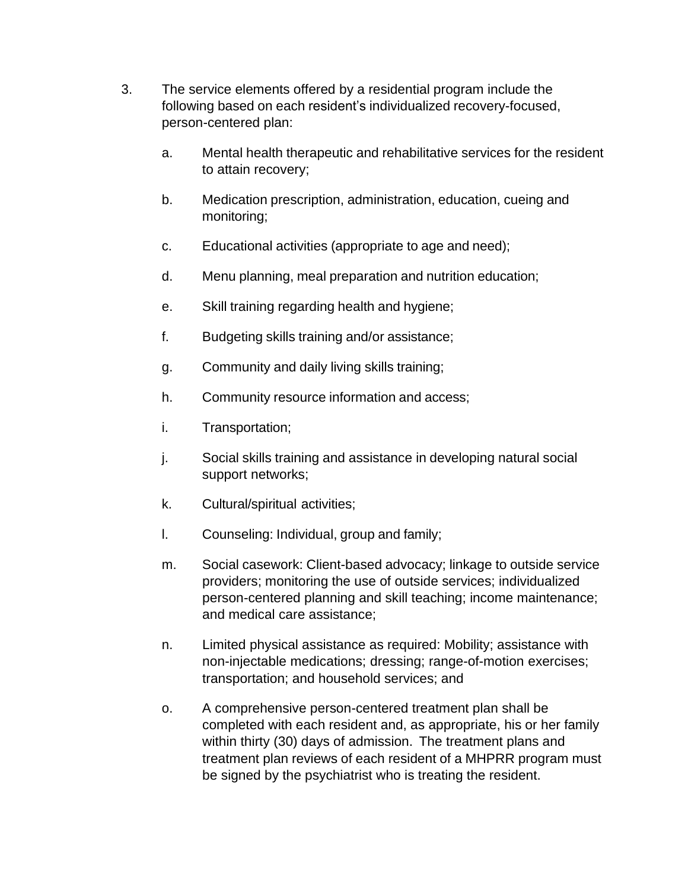- 3. The service elements offered by a residential program include the following based on each resident's individualized recovery-focused, person-centered plan:
	- a. Mental health therapeutic and rehabilitative services for the resident to attain recovery;
	- b. Medication prescription, administration, education, cueing and monitoring;
	- c. Educational activities (appropriate to age and need);
	- d. Menu planning, meal preparation and nutrition education;
	- e. Skill training regarding health and hygiene;
	- f. Budgeting skills training and/or assistance;
	- g. Community and daily living skills training;
	- h. Community resource information and access;
	- i. Transportation;
	- j. Social skills training and assistance in developing natural social support networks;
	- k. Cultural/spiritual activities;
	- l. Counseling: Individual, group and family;
	- m. Social casework: Client-based advocacy; linkage to outside service providers; monitoring the use of outside services; individualized person-centered planning and skill teaching; income maintenance; and medical care assistance;
	- n. Limited physical assistance as required: Mobility; assistance with non-injectable medications; dressing; range-of-motion exercises; transportation; and household services; and
	- o. A comprehensive person-centered treatment plan shall be completed with each resident and, as appropriate, his or her family within thirty (30) days of admission. The treatment plans and treatment plan reviews of each resident of a MHPRR program must be signed by the psychiatrist who is treating the resident.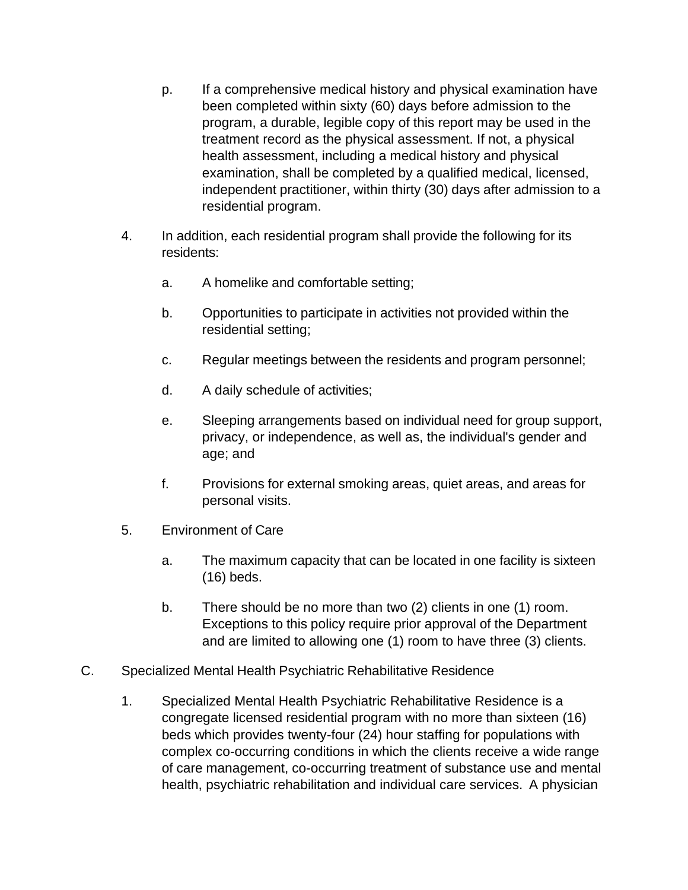- p. If a comprehensive medical history and physical examination have been completed within sixty (60) days before admission to the program, a durable, legible copy of this report may be used in the treatment record as the physical assessment. If not, a physical health assessment, including a medical history and physical examination, shall be completed by a qualified medical, licensed, independent practitioner, within thirty (30) days after admission to a residential program.
- 4. In addition, each residential program shall provide the following for its residents:
	- a. A homelike and comfortable setting;
	- b. Opportunities to participate in activities not provided within the residential setting;
	- c. Regular meetings between the residents and program personnel;
	- d. A daily schedule of activities;
	- e. Sleeping arrangements based on individual need for group support, privacy, or independence, as well as, the individual's gender and age; and
	- f. Provisions for external smoking areas, quiet areas, and areas for personal visits.
- 5. Environment of Care
	- a. The maximum capacity that can be located in one facility is sixteen (16) beds.
	- b. There should be no more than two (2) clients in one (1) room. Exceptions to this policy require prior approval of the Department and are limited to allowing one (1) room to have three (3) clients.
- C. Specialized Mental Health Psychiatric Rehabilitative Residence
	- 1. Specialized Mental Health Psychiatric Rehabilitative Residence is a congregate licensed residential program with no more than sixteen (16) beds which provides twenty-four (24) hour staffing for populations with complex co-occurring conditions in which the clients receive a wide range of care management, co-occurring treatment of substance use and mental health, psychiatric rehabilitation and individual care services. A physician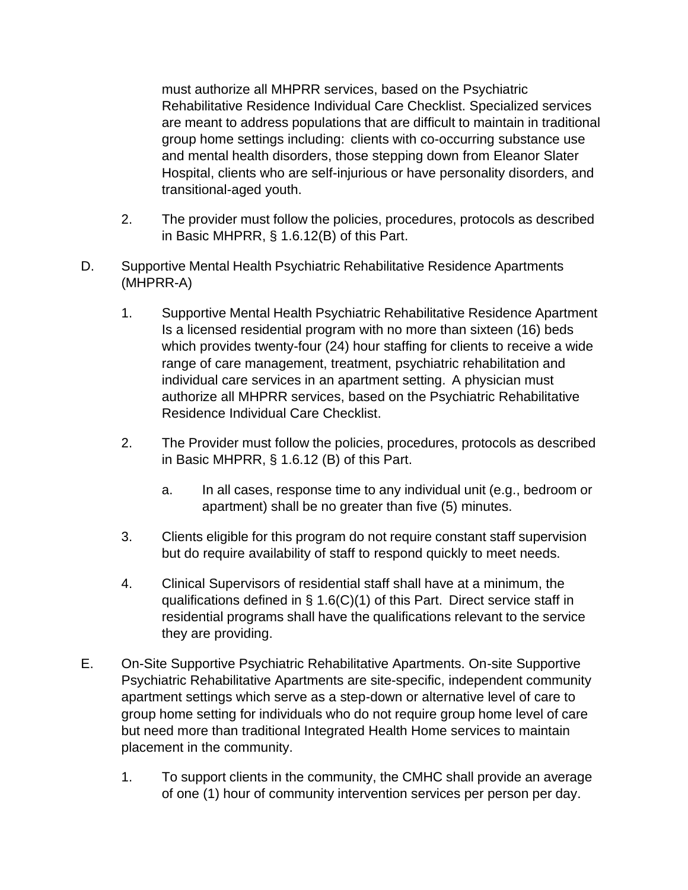must authorize all MHPRR services, based on the Psychiatric Rehabilitative Residence Individual Care Checklist. Specialized services are meant to address populations that are difficult to maintain in traditional group home settings including: clients with co-occurring substance use and mental health disorders, those stepping down from Eleanor Slater Hospital, clients who are self-injurious or have personality disorders, and transitional-aged youth.

- 2. The provider must follow the policies, procedures, protocols as described in Basic MHPRR, § 1.6.12(B) of this Part.
- D. Supportive Mental Health Psychiatric Rehabilitative Residence Apartments (MHPRR-A)
	- 1. Supportive Mental Health Psychiatric Rehabilitative Residence Apartment Is a licensed residential program with no more than sixteen (16) beds which provides twenty-four (24) hour staffing for clients to receive a wide range of care management, treatment, psychiatric rehabilitation and individual care services in an apartment setting. A physician must authorize all MHPRR services, based on the Psychiatric Rehabilitative Residence Individual Care Checklist.
	- 2. The Provider must follow the policies, procedures, protocols as described in Basic MHPRR, § 1.6.12 (B) of this Part.
		- a. In all cases, response time to any individual unit (e.g., bedroom or apartment) shall be no greater than five (5) minutes.
	- 3. Clients eligible for this program do not require constant staff supervision but do require availability of staff to respond quickly to meet needs.
	- 4. Clinical Supervisors of residential staff shall have at a minimum, the qualifications defined in § 1.6(C)(1) of this Part. Direct service staff in residential programs shall have the qualifications relevant to the service they are providing.
- E. On-Site Supportive Psychiatric Rehabilitative Apartments. On-site Supportive Psychiatric Rehabilitative Apartments are site-specific, independent community apartment settings which serve as a step-down or alternative level of care to group home setting for individuals who do not require group home level of care but need more than traditional Integrated Health Home services to maintain placement in the community.
	- 1. To support clients in the community, the CMHC shall provide an average of one (1) hour of community intervention services per person per day.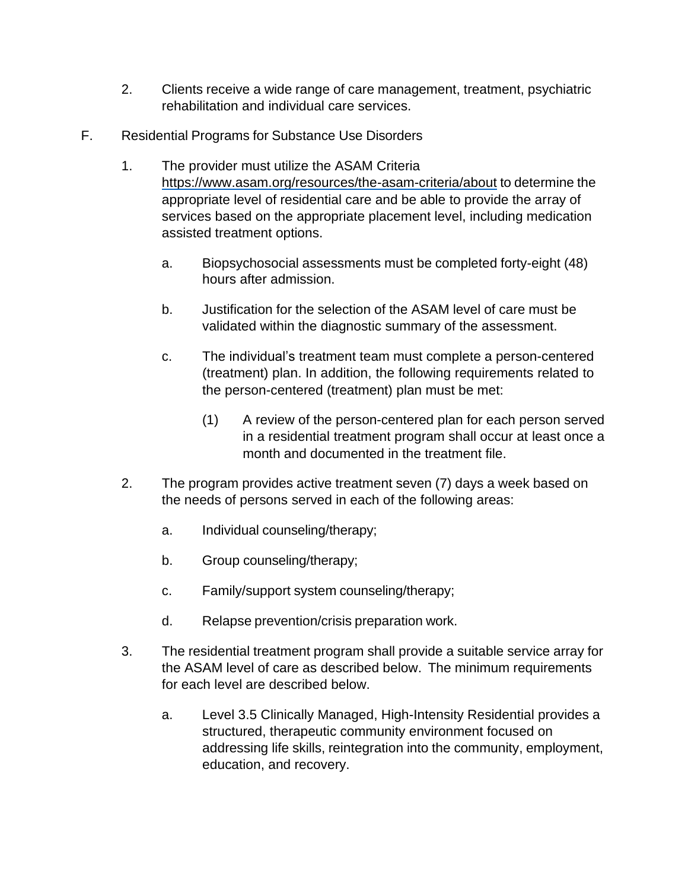- 2. Clients receive a wide range of care management, treatment, psychiatric rehabilitation and individual care services.
- F. Residential Programs for Substance Use Disorders
	- 1. The provider must utilize the ASAM Criteria https:/[/www.asam.org/resources/the-asam-criteria/about](http://www.asam.org/resources/the-asam-criteria/about) to determine the appropriate level of residential care and be able to provide the array of services based on the appropriate placement level, including medication assisted treatment options.
		- a. Biopsychosocial assessments must be completed forty-eight (48) hours after admission.
		- b. Justification for the selection of the ASAM level of care must be validated within the diagnostic summary of the assessment.
		- c. The individual's treatment team must complete a person-centered (treatment) plan. In addition, the following requirements related to the person-centered (treatment) plan must be met:
			- (1) A review of the person-centered plan for each person served in a residential treatment program shall occur at least once a month and documented in the treatment file.
	- 2. The program provides active treatment seven (7) days a week based on the needs of persons served in each of the following areas:
		- a. Individual counseling/therapy;
		- b. Group counseling/therapy;
		- c. Family/support system counseling/therapy;
		- d. Relapse prevention/crisis preparation work.
	- 3. The residential treatment program shall provide a suitable service array for the ASAM level of care as described below. The minimum requirements for each level are described below.
		- a. Level 3.5 Clinically Managed, High-Intensity Residential provides a structured, therapeutic community environment focused on addressing life skills, reintegration into the community, employment, education, and recovery.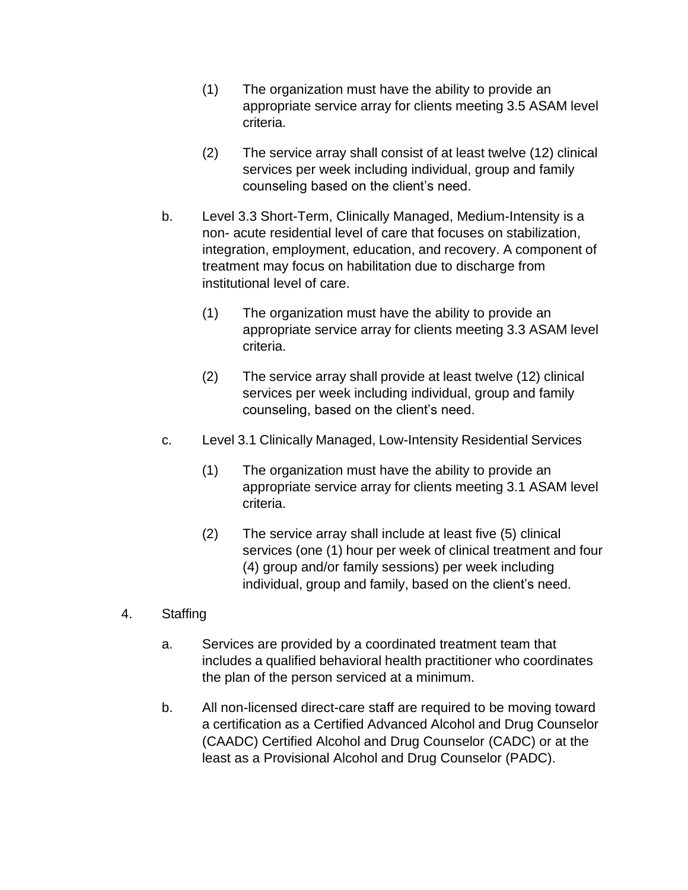- (1) The organization must have the ability to provide an appropriate service array for clients meeting 3.5 ASAM level criteria.
- (2) The service array shall consist of at least twelve (12) clinical services per week including individual, group and family counseling based on the client's need.
- b. Level 3.3 Short-Term, Clinically Managed, Medium-Intensity is a non- acute residential level of care that focuses on stabilization, integration, employment, education, and recovery. A component of treatment may focus on habilitation due to discharge from institutional level of care.
	- (1) The organization must have the ability to provide an appropriate service array for clients meeting 3.3 ASAM level criteria.
	- (2) The service array shall provide at least twelve (12) clinical services per week including individual, group and family counseling, based on the client's need.
- c. Level 3.1 Clinically Managed, Low-Intensity Residential Services
	- (1) The organization must have the ability to provide an appropriate service array for clients meeting 3.1 ASAM level criteria.
	- (2) The service array shall include at least five (5) clinical services (one (1) hour per week of clinical treatment and four (4) group and/or family sessions) per week including individual, group and family, based on the client's need.
- 4. Staffing
	- a. Services are provided by a coordinated treatment team that includes a qualified behavioral health practitioner who coordinates the plan of the person serviced at a minimum.
	- b. All non-licensed direct-care staff are required to be moving toward a certification as a Certified Advanced Alcohol and Drug Counselor (CAADC) Certified Alcohol and Drug Counselor (CADC) or at the least as a Provisional Alcohol and Drug Counselor (PADC).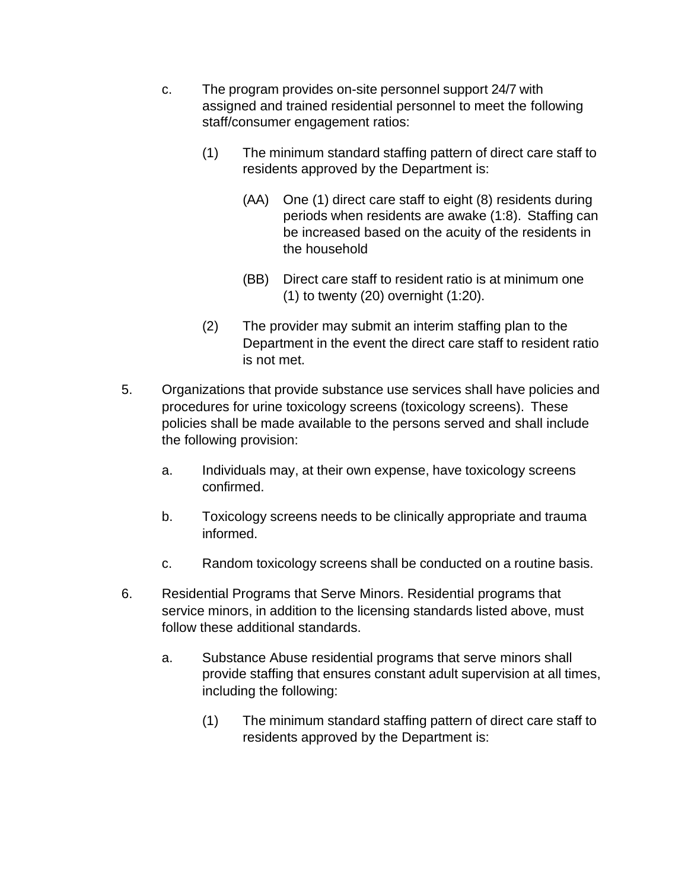- c. The program provides on-site personnel support 24/7 with assigned and trained residential personnel to meet the following staff/consumer engagement ratios:
	- (1) The minimum standard staffing pattern of direct care staff to residents approved by the Department is:
		- (AA) One (1) direct care staff to eight (8) residents during periods when residents are awake (1:8). Staffing can be increased based on the acuity of the residents in the household
		- (BB) Direct care staff to resident ratio is at minimum one (1) to twenty (20) overnight (1:20).
	- (2) The provider may submit an interim staffing plan to the Department in the event the direct care staff to resident ratio is not met.
- 5. Organizations that provide substance use services shall have policies and procedures for urine toxicology screens (toxicology screens). These policies shall be made available to the persons served and shall include the following provision:
	- a. Individuals may, at their own expense, have toxicology screens confirmed.
	- b. Toxicology screens needs to be clinically appropriate and trauma informed.
	- c. Random toxicology screens shall be conducted on a routine basis.
- 6. Residential Programs that Serve Minors. Residential programs that service minors, in addition to the licensing standards listed above, must follow these additional standards.
	- a. Substance Abuse residential programs that serve minors shall provide staffing that ensures constant adult supervision at all times, including the following:
		- (1) The minimum standard staffing pattern of direct care staff to residents approved by the Department is: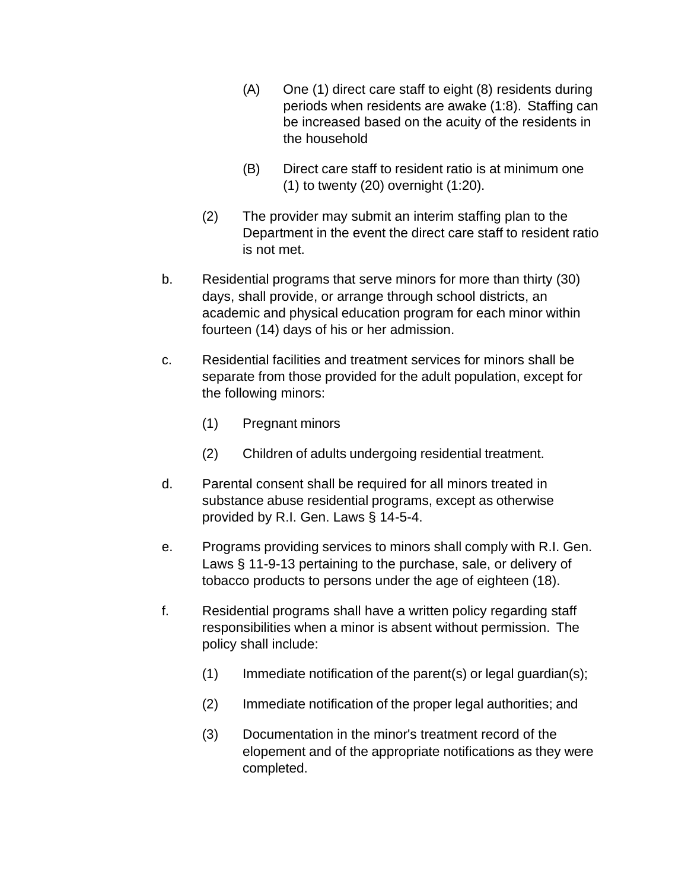- (A) One (1) direct care staff to eight (8) residents during periods when residents are awake (1:8). Staffing can be increased based on the acuity of the residents in the household
- (B) Direct care staff to resident ratio is at minimum one (1) to twenty (20) overnight (1:20).
- (2) The provider may submit an interim staffing plan to the Department in the event the direct care staff to resident ratio is not met.
- b. Residential programs that serve minors for more than thirty (30) days, shall provide, or arrange through school districts, an academic and physical education program for each minor within fourteen (14) days of his or her admission.
- c. Residential facilities and treatment services for minors shall be separate from those provided for the adult population, except for the following minors:
	- (1) Pregnant minors
	- (2) Children of adults undergoing residential treatment.
- d. Parental consent shall be required for all minors treated in substance abuse residential programs, except as otherwise provided by R.I. Gen. Laws § 14-5-4.
- e. Programs providing services to minors shall comply with R.I. Gen. Laws § 11-9-13 pertaining to the purchase, sale, or delivery of tobacco products to persons under the age of eighteen (18).
- f. Residential programs shall have a written policy regarding staff responsibilities when a minor is absent without permission. The policy shall include:
	- (1) Immediate notification of the parent(s) or legal guardian(s);
	- (2) Immediate notification of the proper legal authorities; and
	- (3) Documentation in the minor's treatment record of the elopement and of the appropriate notifications as they were completed.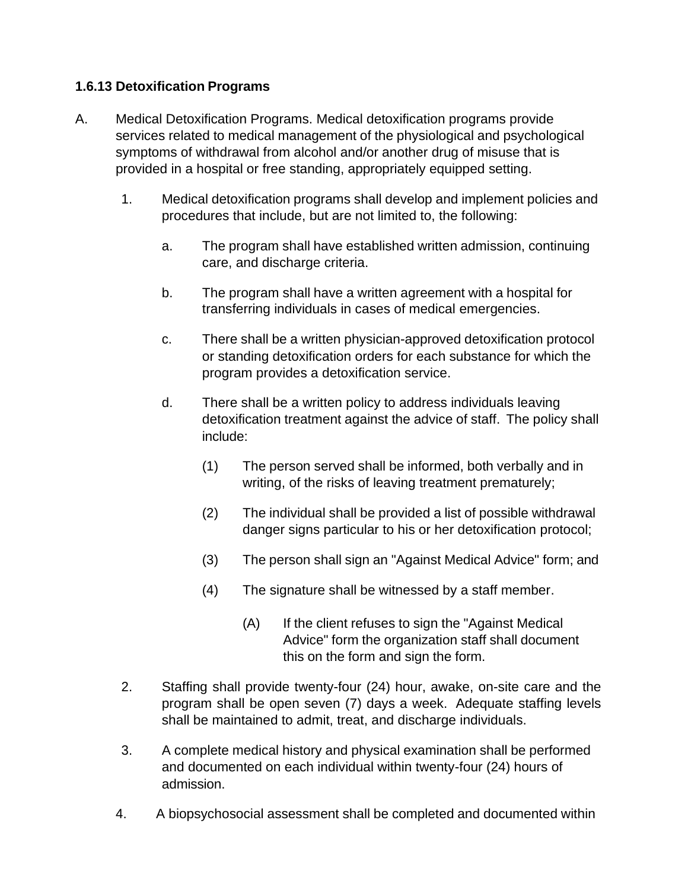# **1.6.13 Detoxification Programs**

- A. Medical Detoxification Programs. Medical detoxification programs provide services related to medical management of the physiological and psychological symptoms of withdrawal from alcohol and/or another drug of misuse that is provided in a hospital or free standing, appropriately equipped setting.
	- 1. Medical detoxification programs shall develop and implement policies and procedures that include, but are not limited to, the following:
		- a. The program shall have established written admission, continuing care, and discharge criteria.
		- b. The program shall have a written agreement with a hospital for transferring individuals in cases of medical emergencies.
		- c. There shall be a written physician-approved detoxification protocol or standing detoxification orders for each substance for which the program provides a detoxification service.
		- d. There shall be a written policy to address individuals leaving detoxification treatment against the advice of staff. The policy shall include:
			- (1) The person served shall be informed, both verbally and in writing, of the risks of leaving treatment prematurely;
			- (2) The individual shall be provided a list of possible withdrawal danger signs particular to his or her detoxification protocol;
			- (3) The person shall sign an "Against Medical Advice" form; and
			- (4) The signature shall be witnessed by a staff member.
				- (A) If the client refuses to sign the "Against Medical Advice" form the organization staff shall document this on the form and sign the form.
	- 2. Staffing shall provide twenty-four (24) hour, awake, on-site care and the program shall be open seven (7) days a week. Adequate staffing levels shall be maintained to admit, treat, and discharge individuals.
	- 3. A complete medical history and physical examination shall be performed and documented on each individual within twenty-four (24) hours of admission.
	- 4. A biopsychosocial assessment shall be completed and documented within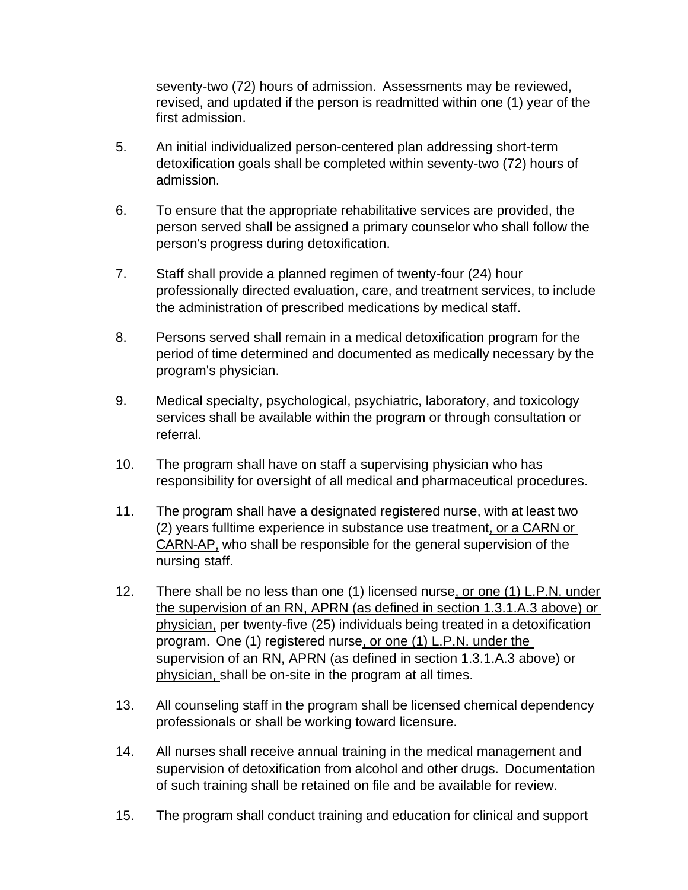seventy-two (72) hours of admission. Assessments may be reviewed, revised, and updated if the person is readmitted within one (1) year of the first admission.

- 5. An initial individualized person-centered plan addressing short-term detoxification goals shall be completed within seventy-two (72) hours of admission.
- 6. To ensure that the appropriate rehabilitative services are provided, the person served shall be assigned a primary counselor who shall follow the person's progress during detoxification.
- 7. Staff shall provide a planned regimen of twenty-four (24) hour professionally directed evaluation, care, and treatment services, to include the administration of prescribed medications by medical staff.
- 8. Persons served shall remain in a medical detoxification program for the period of time determined and documented as medically necessary by the program's physician.
- 9. Medical specialty, psychological, psychiatric, laboratory, and toxicology services shall be available within the program or through consultation or referral.
- 10. The program shall have on staff a supervising physician who has responsibility for oversight of all medical and pharmaceutical procedures.
- 11. The program shall have a designated registered nurse, with at least two (2) years fulltime experience in substance use treatment, or a CARN or CARN-AP, who shall be responsible for the general supervision of the nursing staff.
- 12. There shall be no less than one (1) licensed nurse, or one (1) L.P.N. under the supervision of an RN, APRN (as defined in section 1.3.1.A.3 above) or physician, per twenty-five (25) individuals being treated in a detoxification program. One (1) registered nurse, or one (1) L.P.N. under the supervision of an RN, APRN (as defined in section 1.3.1.A.3 above) or physician, shall be on-site in the program at all times.
- 13. All counseling staff in the program shall be licensed chemical dependency professionals or shall be working toward licensure.
- 14. All nurses shall receive annual training in the medical management and supervision of detoxification from alcohol and other drugs. Documentation of such training shall be retained on file and be available for review.
- 15. The program shall conduct training and education for clinical and support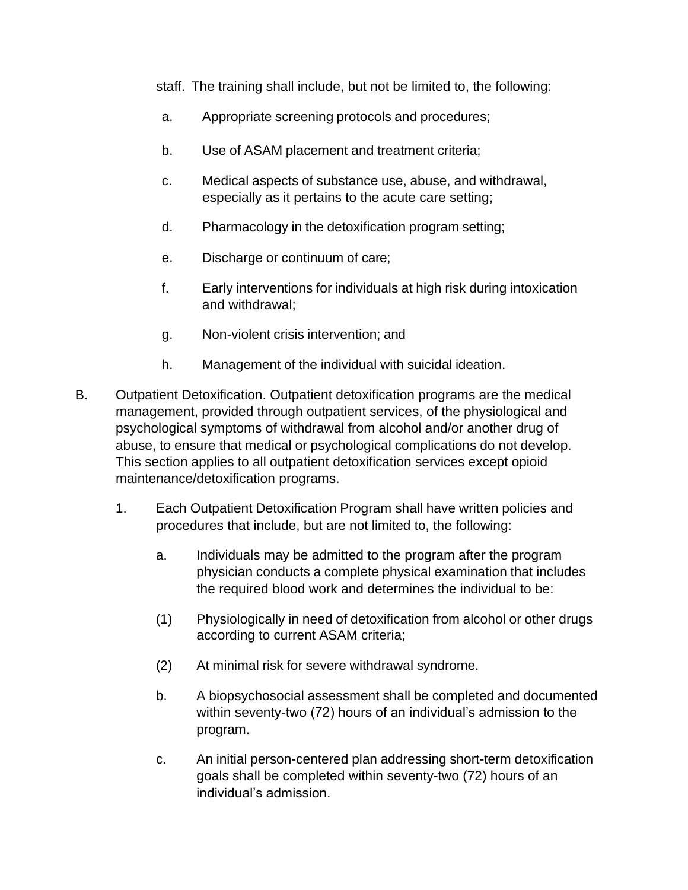staff. The training shall include, but not be limited to, the following:

- a. Appropriate screening protocols and procedures;
- b. Use of ASAM placement and treatment criteria;
- c. Medical aspects of substance use, abuse, and withdrawal, especially as it pertains to the acute care setting;
- d. Pharmacology in the detoxification program setting;
- e. Discharge or continuum of care;
- f. Early interventions for individuals at high risk during intoxication and withdrawal;
- g. Non-violent crisis intervention; and
- h. Management of the individual with suicidal ideation.
- B. Outpatient Detoxification. Outpatient detoxification programs are the medical management, provided through outpatient services, of the physiological and psychological symptoms of withdrawal from alcohol and/or another drug of abuse, to ensure that medical or psychological complications do not develop. This section applies to all outpatient detoxification services except opioid maintenance/detoxification programs.
	- 1. Each Outpatient Detoxification Program shall have written policies and procedures that include, but are not limited to, the following:
		- a. Individuals may be admitted to the program after the program physician conducts a complete physical examination that includes the required blood work and determines the individual to be:
		- (1) Physiologically in need of detoxification from alcohol or other drugs according to current ASAM criteria;
		- (2) At minimal risk for severe withdrawal syndrome.
		- b. A biopsychosocial assessment shall be completed and documented within seventy-two (72) hours of an individual's admission to the program.
		- c. An initial person-centered plan addressing short-term detoxification goals shall be completed within seventy-two (72) hours of an individual's admission.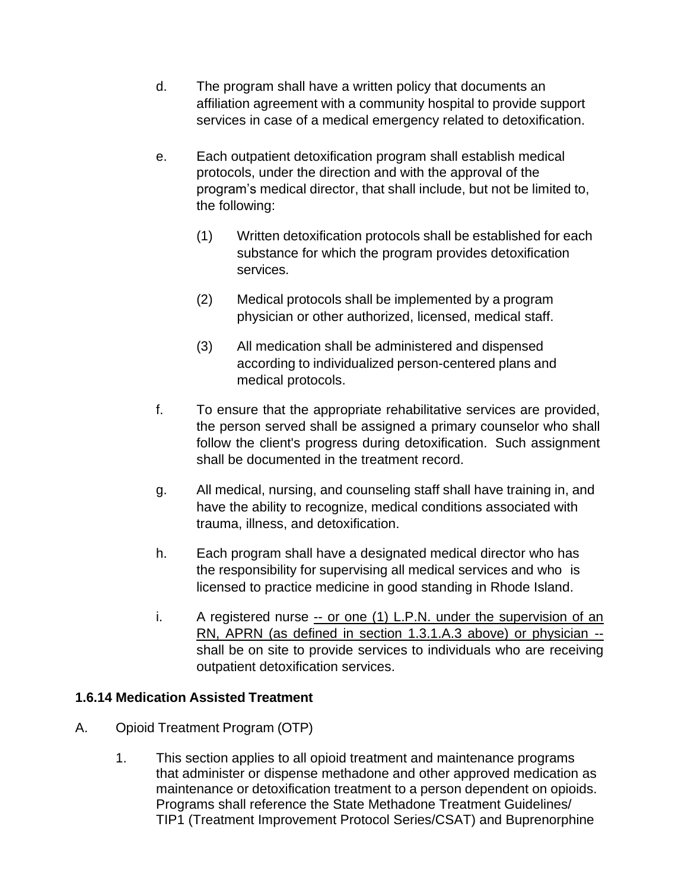- d. The program shall have a written policy that documents an affiliation agreement with a community hospital to provide support services in case of a medical emergency related to detoxification.
- e. Each outpatient detoxification program shall establish medical protocols, under the direction and with the approval of the program's medical director, that shall include, but not be limited to, the following:
	- (1) Written detoxification protocols shall be established for each substance for which the program provides detoxification services.
	- (2) Medical protocols shall be implemented by a program physician or other authorized, licensed, medical staff.
	- (3) All medication shall be administered and dispensed according to individualized person-centered plans and medical protocols.
- f. To ensure that the appropriate rehabilitative services are provided, the person served shall be assigned a primary counselor who shall follow the client's progress during detoxification. Such assignment shall be documented in the treatment record.
- g. All medical, nursing, and counseling staff shall have training in, and have the ability to recognize, medical conditions associated with trauma, illness, and detoxification.
- h. Each program shall have a designated medical director who has the responsibility for supervising all medical services and who is licensed to practice medicine in good standing in Rhode Island.
- i. A registered nurse -- or one (1) L.P.N. under the supervision of an RN, APRN (as defined in section 1.3.1.A.3 above) or physician - shall be on site to provide services to individuals who are receiving outpatient detoxification services.

## **1.6.14 Medication Assisted Treatment**

- A. Opioid Treatment Program (OTP)
	- 1. This section applies to all opioid treatment and maintenance programs that administer or dispense methadone and other approved medication as maintenance or detoxification treatment to a person dependent on opioids. Programs shall reference the State Methadone Treatment Guidelines/ TIP1 (Treatment Improvement Protocol Series/CSAT) and Buprenorphine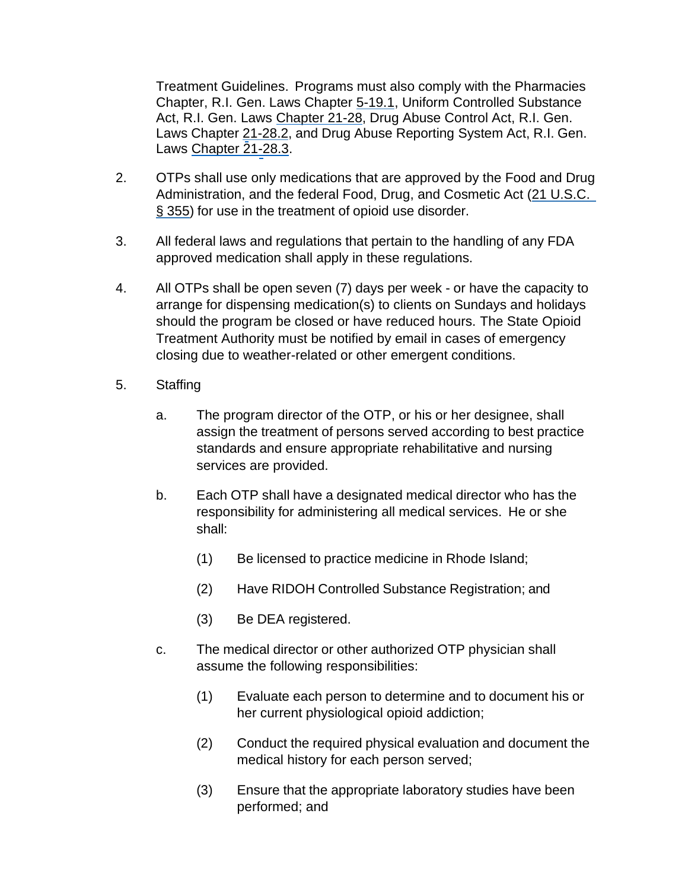Treatment Guidelines. Programs must also comply with the Pharmacies Chapter, R.I. Gen. Laws Chapter 5-19.1, Uniform Controlled Substance Act, R.I. Gen. Laws Chapter 21-28, Drug Abuse Control Act, R.I. Gen. Laws Chapter 21-28.2, and Drug Abuse Reporting System Act, R.I. Gen. Laws Chapter 21-28.3.

- 2. OTPs shall use only medications that are approved by the Food and Drug Administration, and the federal Food, Drug, and Cosmetic Act (21 U.S.C. § 355) for use in the treatment of opioid use disorder.
- 3. All federal laws and regulations that pertain to the handling of any FDA approved medication shall apply in these regulations.
- 4. All OTPs shall be open seven (7) days per week or have the capacity to arrange for dispensing medication(s) to clients on Sundays and holidays should the program be closed or have reduced hours. The State Opioid Treatment Authority must be notified by email in cases of emergency closing due to weather-related or other emergent conditions.
- 5. Staffing
	- a. The program director of the OTP, or his or her designee, shall assign the treatment of persons served according to best practice standards and ensure appropriate rehabilitative and nursing services are provided.
	- b. Each OTP shall have a designated medical director who has the responsibility for administering all medical services. He or she shall:
		- (1) Be licensed to practice medicine in Rhode Island;
		- (2) Have RIDOH Controlled Substance Registration; and
		- (3) Be DEA registered.
	- c. The medical director or other authorized OTP physician shall assume the following responsibilities:
		- (1) Evaluate each person to determine and to document his or her current physiological opioid addiction;
		- (2) Conduct the required physical evaluation and document the medical history for each person served;
		- (3) Ensure that the appropriate laboratory studies have been performed; and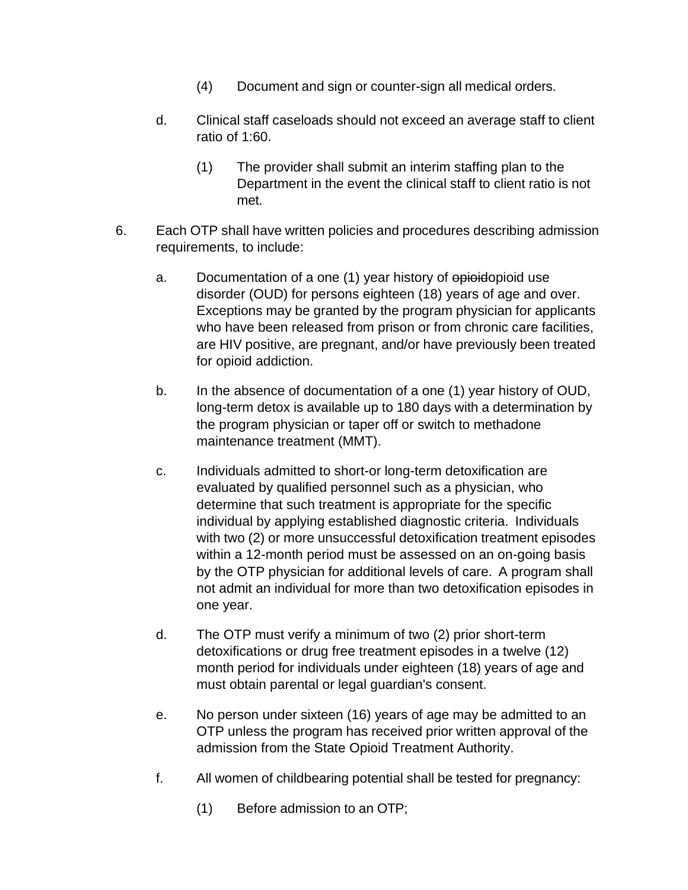- (4) Document and sign or counter-sign all medical orders.
- d. Clinical staff caseloads should not exceed an average staff to client ratio of 1:60.
	- (1) The provider shall submit an interim staffing plan to the Department in the event the clinical staff to client ratio is not met.
- 6. Each OTP shall have written policies and procedures describing admission requirements, to include:
	- a. Documentation of a one (1) year history of epioidopioid use disorder (OUD) for persons eighteen (18) years of age and over. Exceptions may be granted by the program physician for applicants who have been released from prison or from chronic care facilities, are HIV positive, are pregnant, and/or have previously been treated for opioid addiction.
	- b. In the absence of documentation of a one (1) year history of OUD, long-term detox is available up to 180 days with a determination by the program physician or taper off or switch to methadone maintenance treatment (MMT).
	- c. Individuals admitted to short-or long-term detoxification are evaluated by qualified personnel such as a physician, who determine that such treatment is appropriate for the specific individual by applying established diagnostic criteria. Individuals with two (2) or more unsuccessful detoxification treatment episodes within a 12-month period must be assessed on an on-going basis by the OTP physician for additional levels of care. A program shall not admit an individual for more than two detoxification episodes in one year.
	- d. The OTP must verify a minimum of two (2) prior short-term detoxifications or drug free treatment episodes in a twelve (12) month period for individuals under eighteen (18) years of age and must obtain parental or legal guardian's consent.
	- e. No person under sixteen (16) years of age may be admitted to an OTP unless the program has received prior written approval of the admission from the State Opioid Treatment Authority.
	- f. All women of childbearing potential shall be tested for pregnancy:
		- (1) Before admission to an OTP;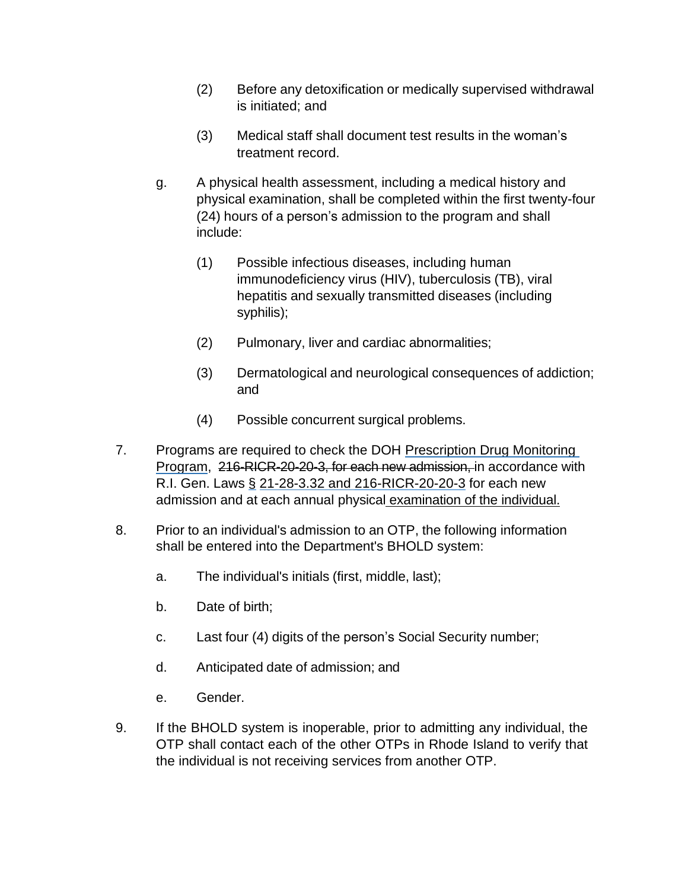- (2) Before any detoxification or medically supervised withdrawal is initiated; and
- (3) Medical staff shall document test results in the woman's treatment record.
- g. A physical health assessment, including a medical history and physical examination, shall be completed within the first twenty-four (24) hours of a person's admission to the program and shall include:
	- (1) Possible infectious diseases, including human immunodeficiency virus (HIV), tuberculosis (TB), viral hepatitis and sexually transmitted diseases (including syphilis);
	- (2) Pulmonary, liver and cardiac abnormalities;
	- (3) Dermatological and neurological consequences of addiction; and
	- (4) Possible concurrent surgical problems.
- 7. Programs are required to check the DOH Prescription Drug Monitoring Program, 216-RICR-20-20-3, for each new admission, in accordance with R.I. Gen. Laws § 21-28-3.32 and 216-RICR-20-20-3 for each new admission and at each annual physical examination of the individual.
- 8. Prior to an individual's admission to an OTP, the following information shall be entered into the Department's BHOLD system:
	- a. The individual's initials (first, middle, last);
	- b. Date of birth;
	- c. Last four (4) digits of the person's Social Security number;
	- d. Anticipated date of admission; and
	- e. Gender.
- 9. If the BHOLD system is inoperable, prior to admitting any individual, the OTP shall contact each of the other OTPs in Rhode Island to verify that the individual is not receiving services from another OTP.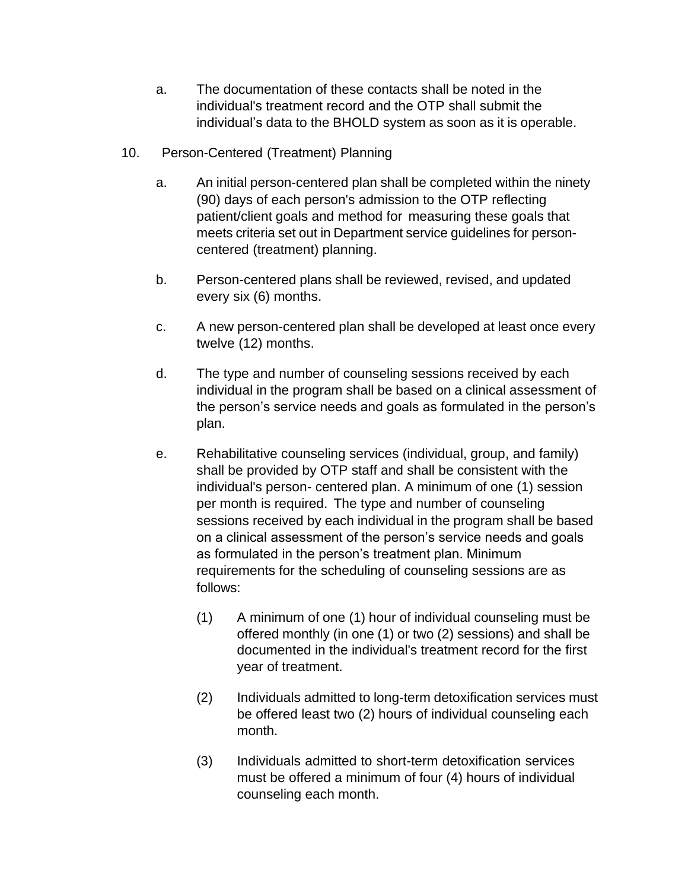- a. The documentation of these contacts shall be noted in the individual's treatment record and the OTP shall submit the individual's data to the BHOLD system as soon as it is operable.
- 10. Person-Centered (Treatment) Planning
	- a. An initial person-centered plan shall be completed within the ninety (90) days of each person's admission to the OTP reflecting patient/client goals and method for measuring these goals that meets criteria set out in Department service guidelines for personcentered (treatment) planning.
	- b. Person-centered plans shall be reviewed, revised, and updated every six (6) months.
	- c. A new person-centered plan shall be developed at least once every twelve (12) months.
	- d. The type and number of counseling sessions received by each individual in the program shall be based on a clinical assessment of the person's service needs and goals as formulated in the person's plan.
	- e. Rehabilitative counseling services (individual, group, and family) shall be provided by OTP staff and shall be consistent with the individual's person- centered plan. A minimum of one (1) session per month is required. The type and number of counseling sessions received by each individual in the program shall be based on a clinical assessment of the person's service needs and goals as formulated in the person's treatment plan. Minimum requirements for the scheduling of counseling sessions are as follows:
		- (1) A minimum of one (1) hour of individual counseling must be offered monthly (in one (1) or two (2) sessions) and shall be documented in the individual's treatment record for the first year of treatment.
		- (2) Individuals admitted to long-term detoxification services must be offered least two (2) hours of individual counseling each month.
		- (3) Individuals admitted to short-term detoxification services must be offered a minimum of four (4) hours of individual counseling each month.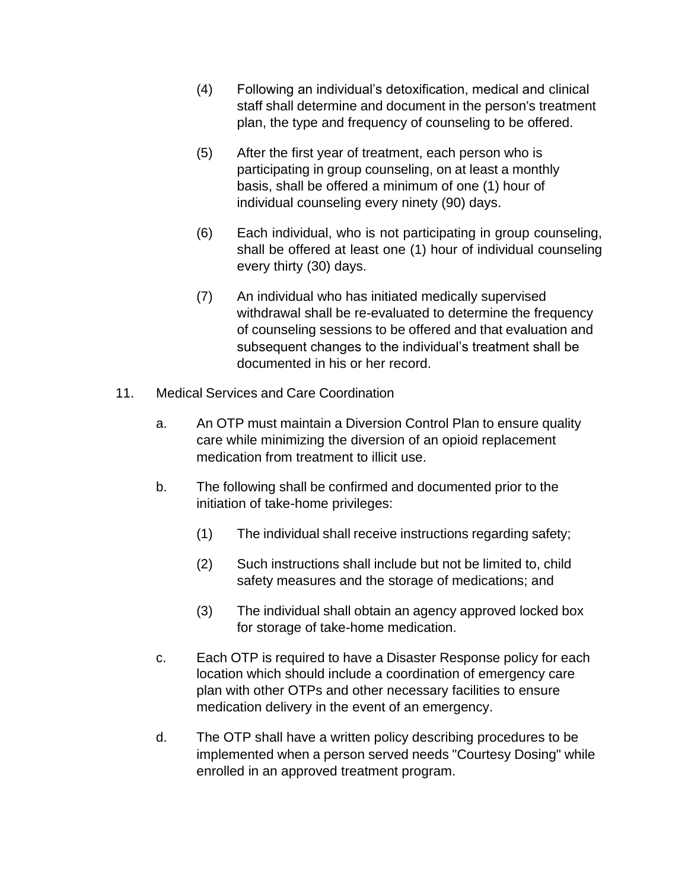- (4) Following an individual's detoxification, medical and clinical staff shall determine and document in the person's treatment plan, the type and frequency of counseling to be offered.
- (5) After the first year of treatment, each person who is participating in group counseling, on at least a monthly basis, shall be offered a minimum of one (1) hour of individual counseling every ninety (90) days.
- (6) Each individual, who is not participating in group counseling, shall be offered at least one (1) hour of individual counseling every thirty (30) days.
- (7) An individual who has initiated medically supervised withdrawal shall be re-evaluated to determine the frequency of counseling sessions to be offered and that evaluation and subsequent changes to the individual's treatment shall be documented in his or her record.
- 11. Medical Services and Care Coordination
	- a. An OTP must maintain a Diversion Control Plan to ensure quality care while minimizing the diversion of an opioid replacement medication from treatment to illicit use.
	- b. The following shall be confirmed and documented prior to the initiation of take-home privileges:
		- (1) The individual shall receive instructions regarding safety;
		- (2) Such instructions shall include but not be limited to, child safety measures and the storage of medications; and
		- (3) The individual shall obtain an agency approved locked box for storage of take-home medication.
	- c. Each OTP is required to have a Disaster Response policy for each location which should include a coordination of emergency care plan with other OTPs and other necessary facilities to ensure medication delivery in the event of an emergency.
	- d. The OTP shall have a written policy describing procedures to be implemented when a person served needs "Courtesy Dosing" while enrolled in an approved treatment program.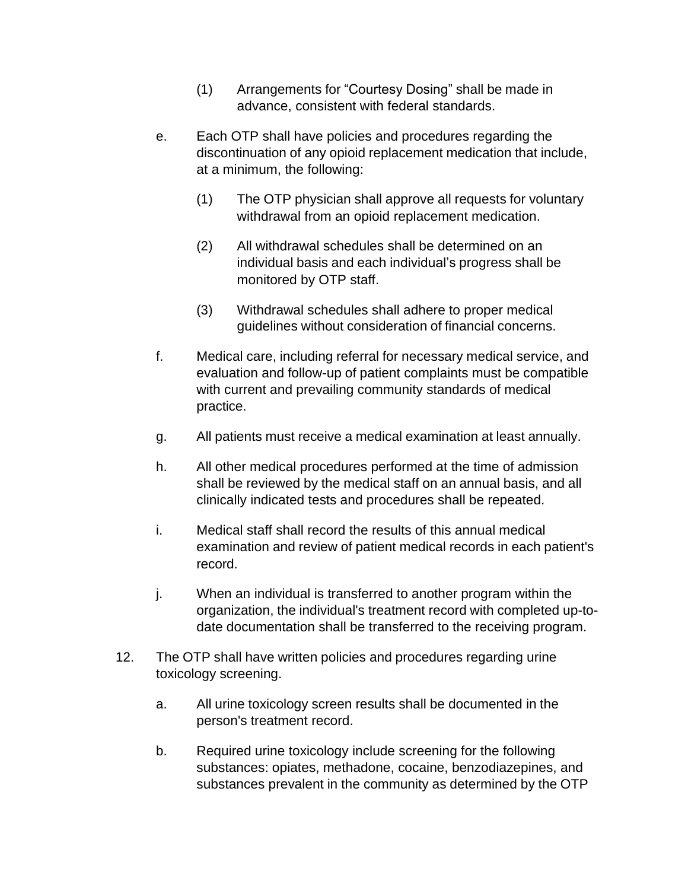- (1) Arrangements for "Courtesy Dosing" shall be made in advance, consistent with federal standards.
- e. Each OTP shall have policies and procedures regarding the discontinuation of any opioid replacement medication that include, at a minimum, the following:
	- (1) The OTP physician shall approve all requests for voluntary withdrawal from an opioid replacement medication.
	- (2) All withdrawal schedules shall be determined on an individual basis and each individual's progress shall be monitored by OTP staff.
	- (3) Withdrawal schedules shall adhere to proper medical guidelines without consideration of financial concerns.
- f. Medical care, including referral for necessary medical service, and evaluation and follow-up of patient complaints must be compatible with current and prevailing community standards of medical practice.
- g. All patients must receive a medical examination at least annually.
- h. All other medical procedures performed at the time of admission shall be reviewed by the medical staff on an annual basis, and all clinically indicated tests and procedures shall be repeated.
- i. Medical staff shall record the results of this annual medical examination and review of patient medical records in each patient's record.
- j. When an individual is transferred to another program within the organization, the individual's treatment record with completed up-todate documentation shall be transferred to the receiving program.
- 12. The OTP shall have written policies and procedures regarding urine toxicology screening.
	- a. All urine toxicology screen results shall be documented in the person's treatment record.
	- b. Required urine toxicology include screening for the following substances: opiates, methadone, cocaine, benzodiazepines, and substances prevalent in the community as determined by the OTP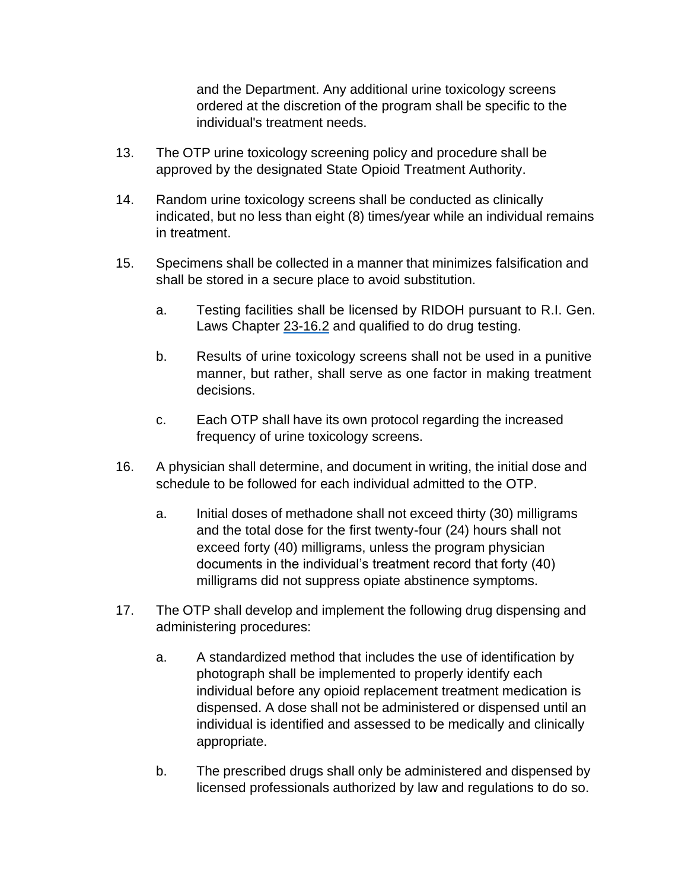and the Department. Any additional urine toxicology screens ordered at the discretion of the program shall be specific to the individual's treatment needs.

- 13. The OTP urine toxicology screening policy and procedure shall be approved by the designated State Opioid Treatment Authority.
- 14. Random urine toxicology screens shall be conducted as clinically indicated, but no less than eight (8) times/year while an individual remains in treatment.
- 15. Specimens shall be collected in a manner that minimizes falsification and shall be stored in a secure place to avoid substitution.
	- a. Testing facilities shall be licensed by RIDOH pursuant to R.I. Gen. Laws Chapter 23-16.2 and qualified to do drug testing.
	- b. Results of urine toxicology screens shall not be used in a punitive manner, but rather, shall serve as one factor in making treatment decisions.
	- c. Each OTP shall have its own protocol regarding the increased frequency of urine toxicology screens.
- 16. A physician shall determine, and document in writing, the initial dose and schedule to be followed for each individual admitted to the OTP.
	- a. Initial doses of methadone shall not exceed thirty (30) milligrams and the total dose for the first twenty-four (24) hours shall not exceed forty (40) milligrams, unless the program physician documents in the individual's treatment record that forty (40) milligrams did not suppress opiate abstinence symptoms.
- 17. The OTP shall develop and implement the following drug dispensing and administering procedures:
	- a. A standardized method that includes the use of identification by photograph shall be implemented to properly identify each individual before any opioid replacement treatment medication is dispensed. A dose shall not be administered or dispensed until an individual is identified and assessed to be medically and clinically appropriate.
	- b. The prescribed drugs shall only be administered and dispensed by licensed professionals authorized by law and regulations to do so.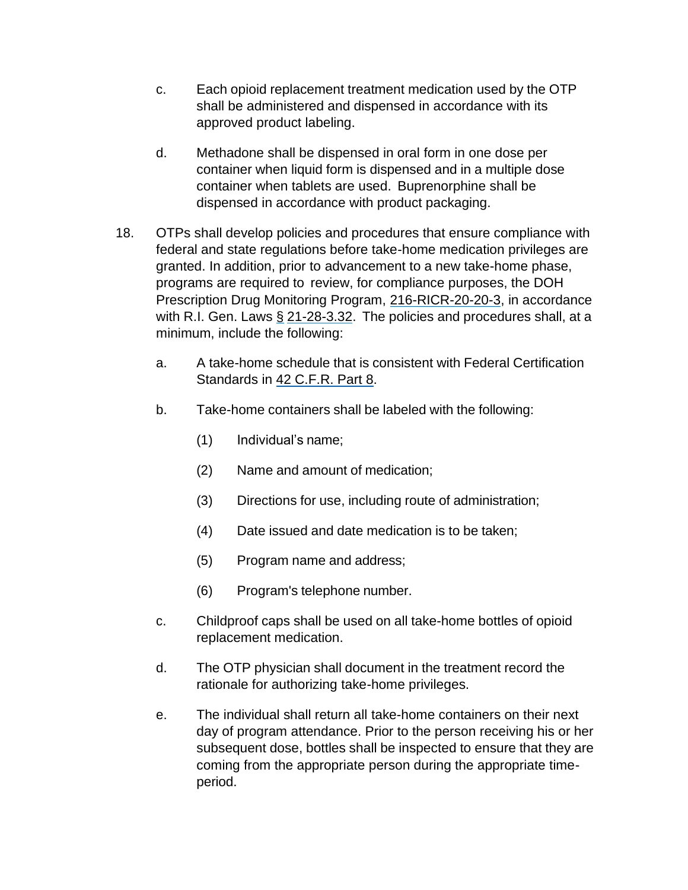- c. Each opioid replacement treatment medication used by the OTP shall be administered and dispensed in accordance with its approved product labeling.
- d. Methadone shall be dispensed in oral form in one dose per container when liquid form is dispensed and in a multiple dose container when tablets are used. Buprenorphine shall be dispensed in accordance with product packaging.
- 18. OTPs shall develop policies and procedures that ensure compliance with federal and state regulations before take-home medication privileges are granted. In addition, prior to advancement to a new take-home phase, programs are required to review, for compliance purposes, the DOH Prescription Drug Monitoring Program, 216-RICR-20-20-3, in accordance with R.I. Gen. Laws § 21-28-3.32. The policies and procedures shall, at a minimum, include the following:
	- a. A take-home schedule that is consistent with Federal Certification Standards in 42 C.F.R. Part 8.
	- b. Take-home containers shall be labeled with the following:
		- (1) Individual's name;
		- (2) Name and amount of medication;
		- (3) Directions for use, including route of administration;
		- (4) Date issued and date medication is to be taken;
		- (5) Program name and address;
		- (6) Program's telephone number.
	- c. Childproof caps shall be used on all take-home bottles of opioid replacement medication.
	- d. The OTP physician shall document in the treatment record the rationale for authorizing take-home privileges.
	- e. The individual shall return all take-home containers on their next day of program attendance. Prior to the person receiving his or her subsequent dose, bottles shall be inspected to ensure that they are coming from the appropriate person during the appropriate timeperiod.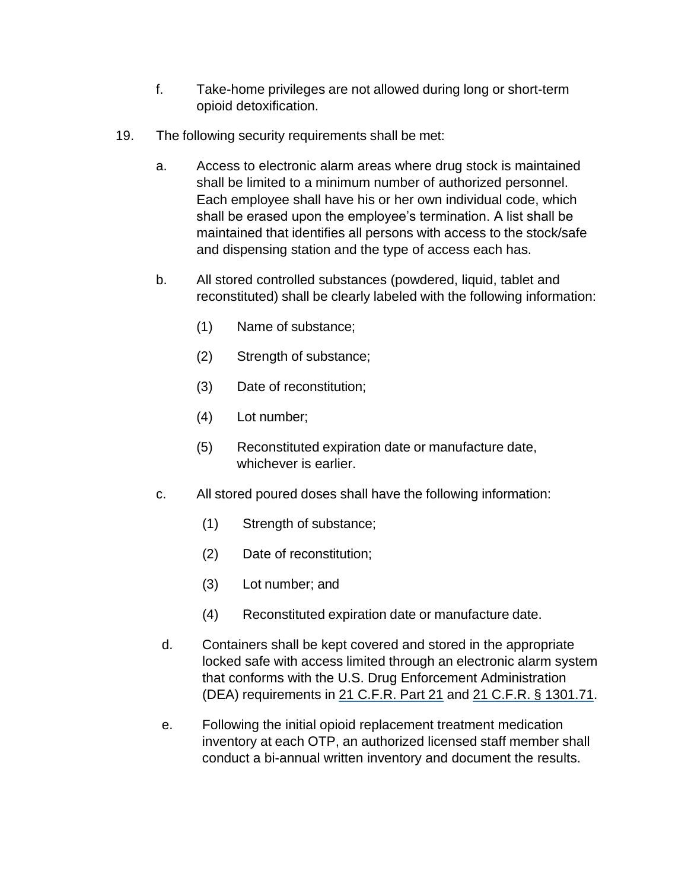- f. Take-home privileges are not allowed during long or short-term opioid detoxification.
- 19. The following security requirements shall be met:
	- a. Access to electronic alarm areas where drug stock is maintained shall be limited to a minimum number of authorized personnel. Each employee shall have his or her own individual code, which shall be erased upon the employee's termination. A list shall be maintained that identifies all persons with access to the stock/safe and dispensing station and the type of access each has.
	- b. All stored controlled substances (powdered, liquid, tablet and reconstituted) shall be clearly labeled with the following information:
		- (1) Name of substance;
		- (2) Strength of substance;
		- (3) Date of reconstitution;
		- (4) Lot number;
		- (5) Reconstituted expiration date or manufacture date, whichever is earlier.
	- c. All stored poured doses shall have the following information:
		- (1) Strength of substance;
		- (2) Date of reconstitution;
		- (3) Lot number; and
		- (4) Reconstituted expiration date or manufacture date.
	- d. Containers shall be kept covered and stored in the appropriate locked safe with access limited through an electronic alarm system that conforms with the U.S. Drug Enforcement Administration (DEA) requirements in 21 C.F.R. Part 21 and 21 C.F.R. § 1301.71.
	- e. Following the initial opioid replacement treatment medication inventory at each OTP, an authorized licensed staff member shall conduct a bi-annual written inventory and document the results.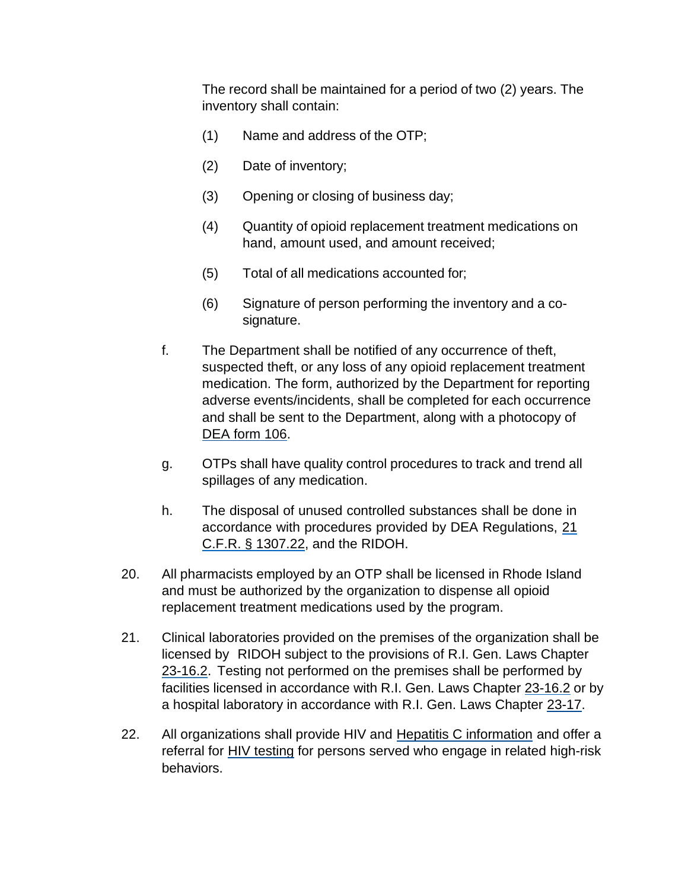The record shall be maintained for a period of two (2) years. The inventory shall contain:

- (1) Name and address of the OTP;
- (2) Date of inventory;
- (3) Opening or closing of business day;
- (4) Quantity of opioid replacement treatment medications on hand, amount used, and amount received;
- (5) Total of all medications accounted for;
- (6) Signature of person performing the inventory and a cosignature.
- f. The Department shall be notified of any occurrence of theft, suspected theft, or any loss of any opioid replacement treatment medication. The form, authorized by the Department for reporting adverse events/incidents, shall be completed for each occurrence and shall be sent to the Department, along with a photocopy of DEA form 106.
- g. OTPs shall have quality control procedures to track and trend all spillages of any medication.
- h. The disposal of unused controlled substances shall be done in accordance with procedures provided by DEA Regulations, 21 C.F.R. § 1307.22, and the RIDOH.
- 20. All pharmacists employed by an OTP shall be licensed in Rhode Island and must be authorized by the organization to dispense all opioid replacement treatment medications used by the program.
- 21. Clinical laboratories provided on the premises of the organization shall be licensed by RIDOH subject to the provisions of R.I. Gen. Laws Chapter 23-16.2. Testing not performed on the premises shall be performed by facilities licensed in accordance with R.I. Gen. Laws Chapter 23-16.2 or by a hospital laboratory in accordance with R.I. Gen. Laws Chapter 23-17.
- 22. All organizations shall provide HIV and Hepatitis C information and offer a referral for **HIV** testing for persons served who engage in related high-risk behaviors.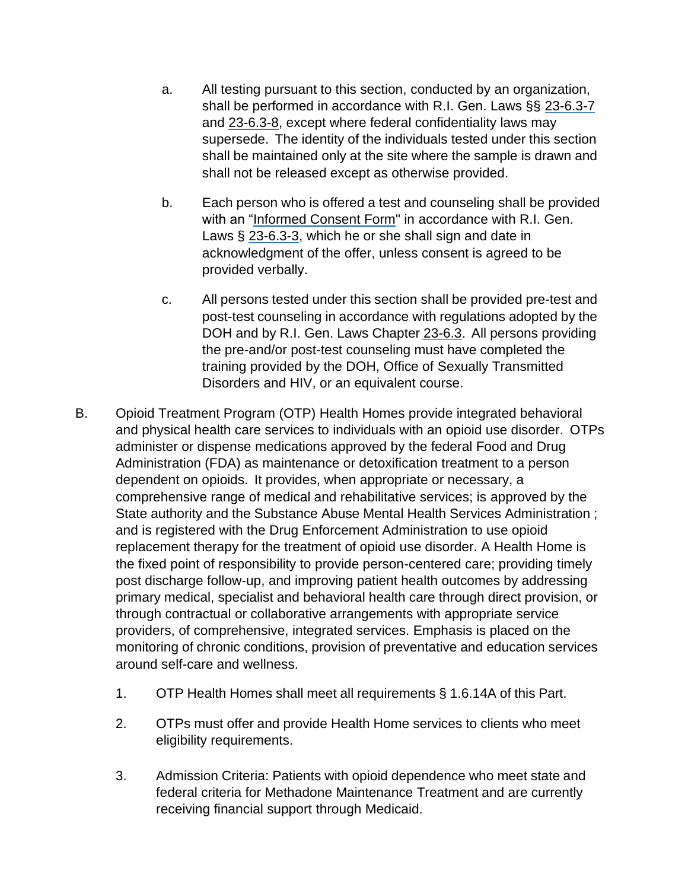- a. All testing pursuant to this section, conducted by an organization, shall be performed in accordance with R.I. Gen. Laws §§ 23-6.3-7 and 23-6.3-8, except where federal confidentiality laws may supersede. The identity of the individuals tested under this section shall be maintained only at the site where the sample is drawn and shall not be released except as otherwise provided.
- b. Each person who is offered a test and counseling shall be provided with an "Informed Consent Form" in accordance with R.I. Gen. Laws § 23-6.3-3, which he or she shall sign and date in acknowledgment of the offer, unless consent is agreed to be provided verbally.
- c. All persons tested under this section shall be provided pre-test and post-test counseling in accordance with regulations adopted by the DOH and by R.I. Gen. Laws Chapter 23-6.3. All persons providing the pre-and/or post-test counseling must have completed the training provided by the DOH, Office of Sexually Transmitted Disorders and HIV, or an equivalent course.
- B. Opioid Treatment Program (OTP) Health Homes provide integrated behavioral and physical health care services to individuals with an opioid use disorder. OTPs administer or dispense medications approved by the federal Food and Drug Administration (FDA) as maintenance or detoxification treatment to a person dependent on opioids. It provides, when appropriate or necessary, a comprehensive range of medical and rehabilitative services; is approved by the State authority and the Substance Abuse Mental Health Services Administration ; and is registered with the Drug Enforcement Administration to use opioid replacement therapy for the treatment of opioid use disorder. A Health Home is the fixed point of responsibility to provide person-centered care; providing timely post discharge follow-up, and improving patient health outcomes by addressing primary medical, specialist and behavioral health care through direct provision, or through contractual or collaborative arrangements with appropriate service providers, of comprehensive, integrated services. Emphasis is placed on the monitoring of chronic conditions, provision of preventative and education services around self-care and wellness.
	- 1. OTP Health Homes shall meet all requirements § 1.6.14A of this Part.
	- 2. OTPs must offer and provide Health Home services to clients who meet eligibility requirements.
	- 3. Admission Criteria: Patients with opioid dependence who meet state and federal criteria for Methadone Maintenance Treatment and are currently receiving financial support through Medicaid.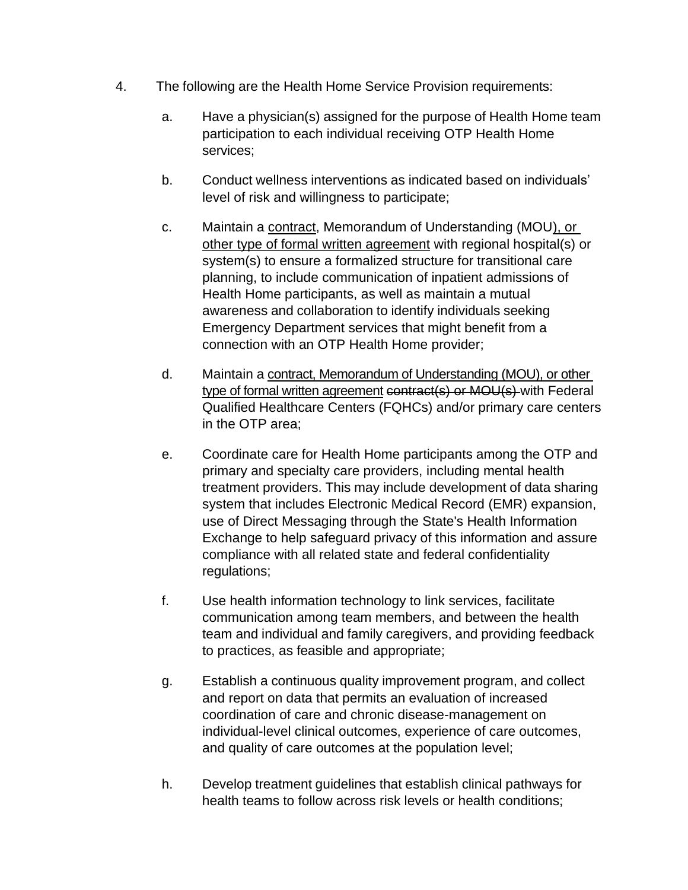- 4. The following are the Health Home Service Provision requirements:
	- a. Have a physician(s) assigned for the purpose of Health Home team participation to each individual receiving OTP Health Home services;
	- b. Conduct wellness interventions as indicated based on individuals' level of risk and willingness to participate;
	- c. Maintain a contract, Memorandum of Understanding (MOU), or other type of formal written agreement with regional hospital(s) or system(s) to ensure a formalized structure for transitional care planning, to include communication of inpatient admissions of Health Home participants, as well as maintain a mutual awareness and collaboration to identify individuals seeking Emergency Department services that might benefit from a connection with an OTP Health Home provider;
	- d. Maintain a contract, Memorandum of Understanding (MOU), or other type of formal written agreement contract(s) or MOU(s) with Federal Qualified Healthcare Centers (FQHCs) and/or primary care centers in the OTP area;
	- e. Coordinate care for Health Home participants among the OTP and primary and specialty care providers, including mental health treatment providers. This may include development of data sharing system that includes Electronic Medical Record (EMR) expansion, use of Direct Messaging through the State's Health Information Exchange to help safeguard privacy of this information and assure compliance with all related state and federal confidentiality regulations;
	- f. Use health information technology to link services, facilitate communication among team members, and between the health team and individual and family caregivers, and providing feedback to practices, as feasible and appropriate;
	- g. Establish a continuous quality improvement program, and collect and report on data that permits an evaluation of increased coordination of care and chronic disease-management on individual-level clinical outcomes, experience of care outcomes, and quality of care outcomes at the population level;
	- h. Develop treatment guidelines that establish clinical pathways for health teams to follow across risk levels or health conditions;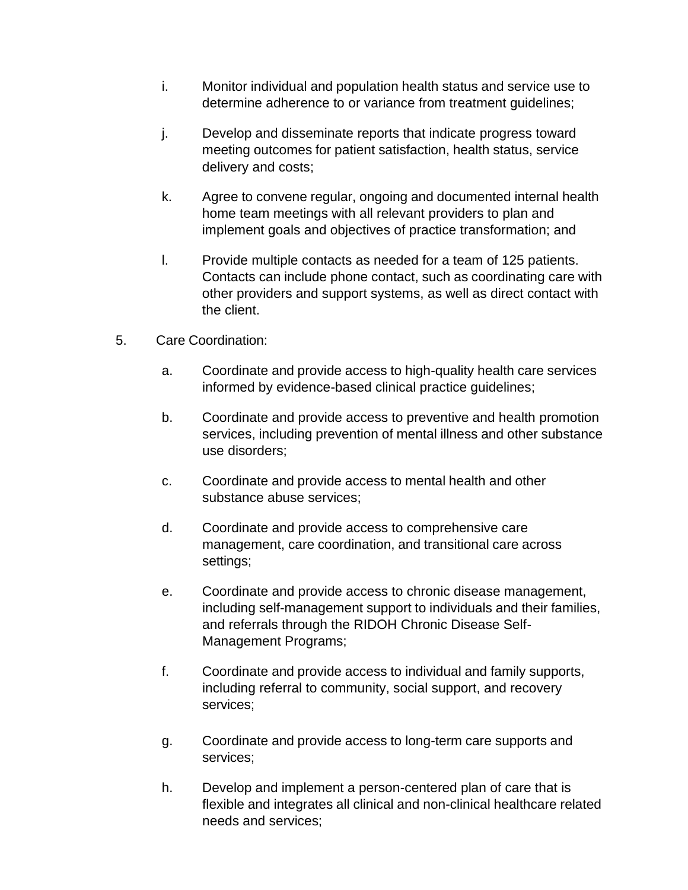- i. Monitor individual and population health status and service use to determine adherence to or variance from treatment guidelines;
- j. Develop and disseminate reports that indicate progress toward meeting outcomes for patient satisfaction, health status, service delivery and costs;
- k. Agree to convene regular, ongoing and documented internal health home team meetings with all relevant providers to plan and implement goals and objectives of practice transformation; and
- l. Provide multiple contacts as needed for a team of 125 patients. Contacts can include phone contact, such as coordinating care with other providers and support systems, as well as direct contact with the client.
- 5. Care Coordination:
	- a. Coordinate and provide access to high-quality health care services informed by evidence-based clinical practice guidelines;
	- b. Coordinate and provide access to preventive and health promotion services, including prevention of mental illness and other substance use disorders;
	- c. Coordinate and provide access to mental health and other substance abuse services;
	- d. Coordinate and provide access to comprehensive care management, care coordination, and transitional care across settings;
	- e. Coordinate and provide access to chronic disease management, including self-management support to individuals and their families, and referrals through the RIDOH Chronic Disease Self-Management Programs;
	- f. Coordinate and provide access to individual and family supports, including referral to community, social support, and recovery services;
	- g. Coordinate and provide access to long-term care supports and services;
	- h. Develop and implement a person-centered plan of care that is flexible and integrates all clinical and non-clinical healthcare related needs and services;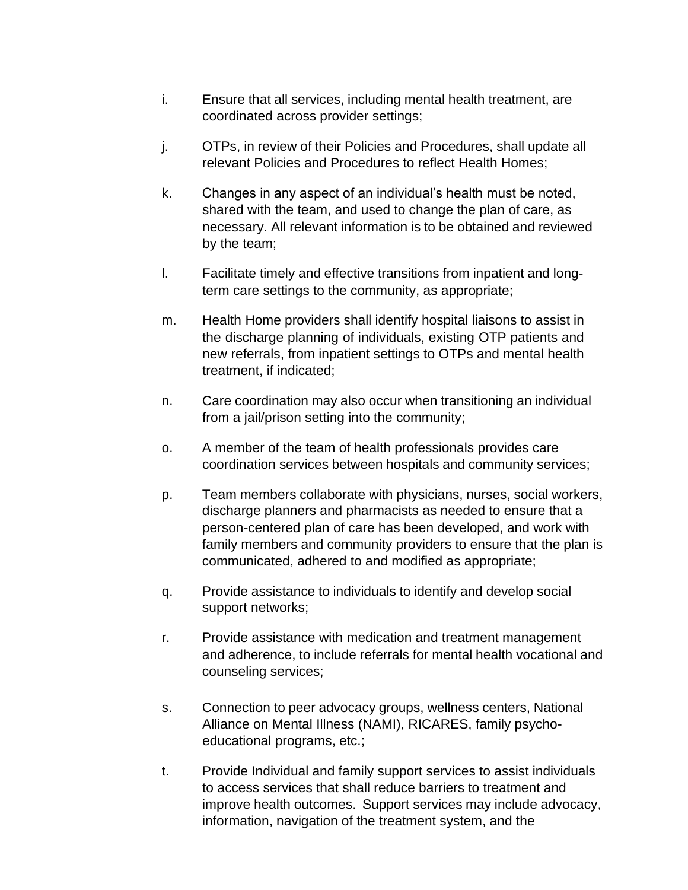- i. Ensure that all services, including mental health treatment, are coordinated across provider settings;
- j. OTPs, in review of their Policies and Procedures, shall update all relevant Policies and Procedures to reflect Health Homes;
- k. Changes in any aspect of an individual's health must be noted, shared with the team, and used to change the plan of care, as necessary. All relevant information is to be obtained and reviewed by the team;
- l. Facilitate timely and effective transitions from inpatient and longterm care settings to the community, as appropriate;
- m. Health Home providers shall identify hospital liaisons to assist in the discharge planning of individuals, existing OTP patients and new referrals, from inpatient settings to OTPs and mental health treatment, if indicated;
- n. Care coordination may also occur when transitioning an individual from a jail/prison setting into the community;
- o. A member of the team of health professionals provides care coordination services between hospitals and community services;
- p. Team members collaborate with physicians, nurses, social workers, discharge planners and pharmacists as needed to ensure that a person-centered plan of care has been developed, and work with family members and community providers to ensure that the plan is communicated, adhered to and modified as appropriate;
- q. Provide assistance to individuals to identify and develop social support networks;
- r. Provide assistance with medication and treatment management and adherence, to include referrals for mental health vocational and counseling services;
- s. Connection to peer advocacy groups, wellness centers, National Alliance on Mental Illness (NAMI), RICARES, family psychoeducational programs, etc.;
- t. Provide Individual and family support services to assist individuals to access services that shall reduce barriers to treatment and improve health outcomes. Support services may include advocacy, information, navigation of the treatment system, and the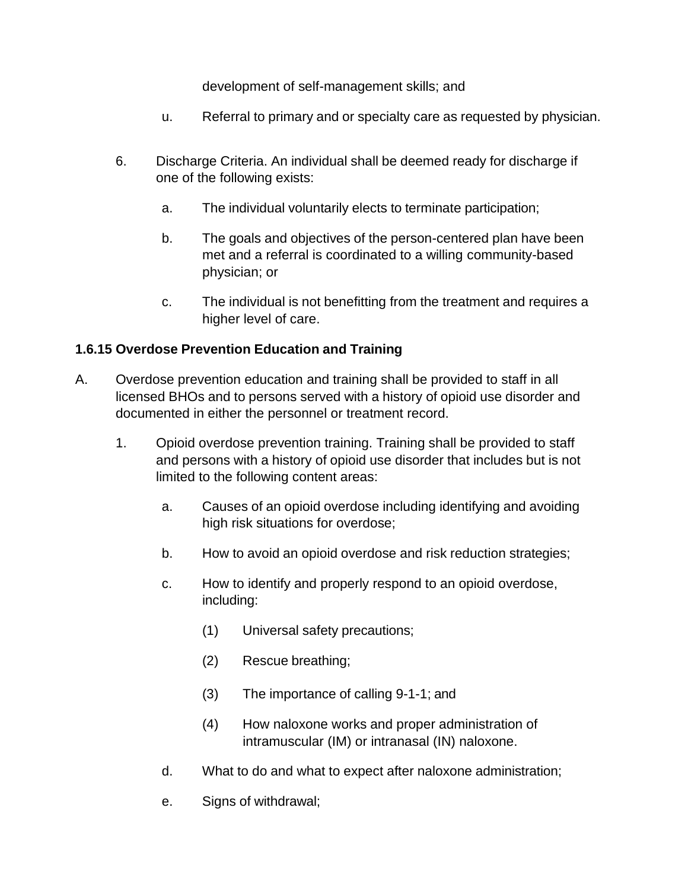development of self-management skills; and

- u. Referral to primary and or specialty care as requested by physician.
- 6. Discharge Criteria. An individual shall be deemed ready for discharge if one of the following exists:
	- a. The individual voluntarily elects to terminate participation;
	- b. The goals and objectives of the person-centered plan have been met and a referral is coordinated to a willing community-based physician; or
	- c. The individual is not benefitting from the treatment and requires a higher level of care.

## **1.6.15 Overdose Prevention Education and Training**

- A. Overdose prevention education and training shall be provided to staff in all licensed BHOs and to persons served with a history of opioid use disorder and documented in either the personnel or treatment record.
	- 1. Opioid overdose prevention training. Training shall be provided to staff and persons with a history of opioid use disorder that includes but is not limited to the following content areas:
		- a. Causes of an opioid overdose including identifying and avoiding high risk situations for overdose;
		- b. How to avoid an opioid overdose and risk reduction strategies;
		- c. How to identify and properly respond to an opioid overdose, including:
			- (1) Universal safety precautions;
			- (2) Rescue breathing;
			- (3) The importance of calling 9-1-1; and
			- (4) How naloxone works and proper administration of intramuscular (IM) or intranasal (IN) naloxone.
		- d. What to do and what to expect after naloxone administration;
		- e. Signs of withdrawal;